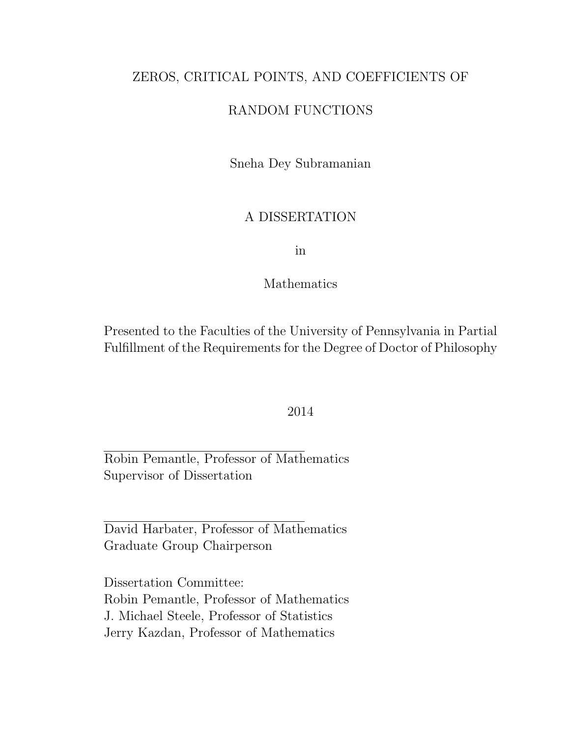#### ZEROS, CRITICAL POINTS, AND COEFFICIENTS OF

#### RANDOM FUNCTIONS

Sneha Dey Subramanian

#### A DISSERTATION

in

#### Mathematics

Presented to the Faculties of the University of Pennsylvania in Partial Fulfillment of the Requirements for the Degree of Doctor of Philosophy

#### 2014

Robin Pemantle, Professor of Mathematics Supervisor of Dissertation

David Harbater, Professor of Mathematics Graduate Group Chairperson

Dissertation Committee: Robin Pemantle, Professor of Mathematics J. Michael Steele, Professor of Statistics Jerry Kazdan, Professor of Mathematics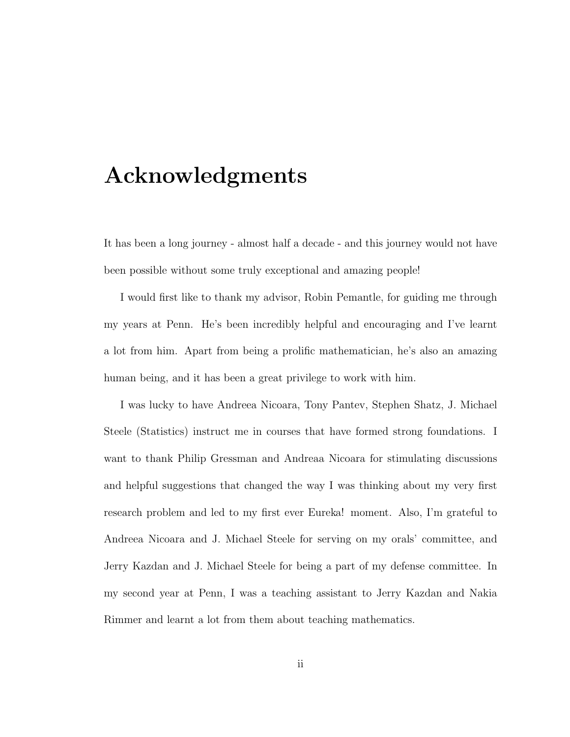# Acknowledgments

It has been a long journey - almost half a decade - and this journey would not have been possible without some truly exceptional and amazing people!

I would first like to thank my advisor, Robin Pemantle, for guiding me through my years at Penn. He's been incredibly helpful and encouraging and I've learnt a lot from him. Apart from being a prolific mathematician, he's also an amazing human being, and it has been a great privilege to work with him.

I was lucky to have Andreea Nicoara, Tony Pantev, Stephen Shatz, J. Michael Steele (Statistics) instruct me in courses that have formed strong foundations. I want to thank Philip Gressman and Andreaa Nicoara for stimulating discussions and helpful suggestions that changed the way I was thinking about my very first research problem and led to my first ever Eureka! moment. Also, I'm grateful to Andreea Nicoara and J. Michael Steele for serving on my orals' committee, and Jerry Kazdan and J. Michael Steele for being a part of my defense committee. In my second year at Penn, I was a teaching assistant to Jerry Kazdan and Nakia Rimmer and learnt a lot from them about teaching mathematics.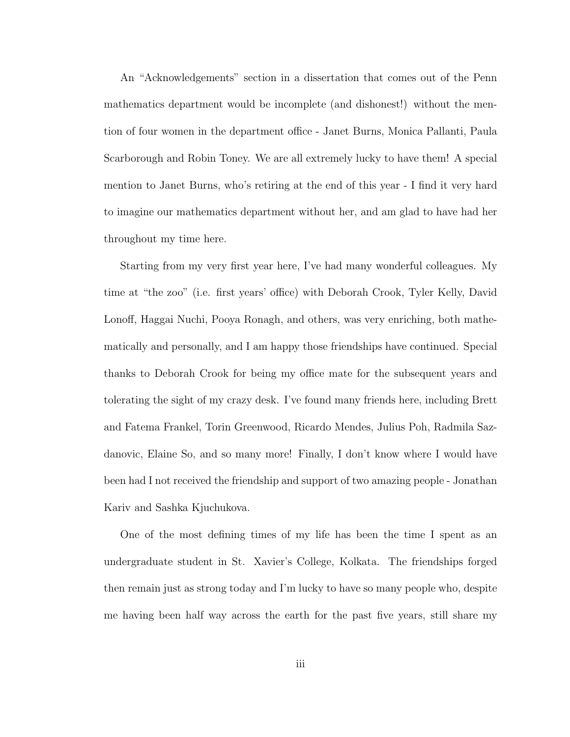An "Acknowledgements" section in a dissertation that comes out of the Penn mathematics department would be incomplete (and dishonest!) without the mention of four women in the department office - Janet Burns, Monica Pallanti, Paula Scarborough and Robin Toney. We are all extremely lucky to have them! A special mention to Janet Burns, who's retiring at the end of this year - I find it very hard to imagine our mathematics department without her, and am glad to have had her throughout my time here.

Starting from my very first year here, I've had many wonderful colleagues. My time at "the zoo" (i.e. first years' office) with Deborah Crook, Tyler Kelly, David Lonoff, Haggai Nuchi, Pooya Ronagh, and others, was very enriching, both mathematically and personally, and I am happy those friendships have continued. Special thanks to Deborah Crook for being my office mate for the subsequent years and tolerating the sight of my crazy desk. I've found many friends here, including Brett and Fatema Frankel, Torin Greenwood, Ricardo Mendes, Julius Poh, Radmila Sazdanovic, Elaine So, and so many more! Finally, I don't know where I would have been had I not received the friendship and support of two amazing people - Jonathan Kariv and Sashka Kjuchukova.

One of the most defining times of my life has been the time I spent as an undergraduate student in St. Xavier's College, Kolkata. The friendships forged then remain just as strong today and I'm lucky to have so many people who, despite me having been half way across the earth for the past five years, still share my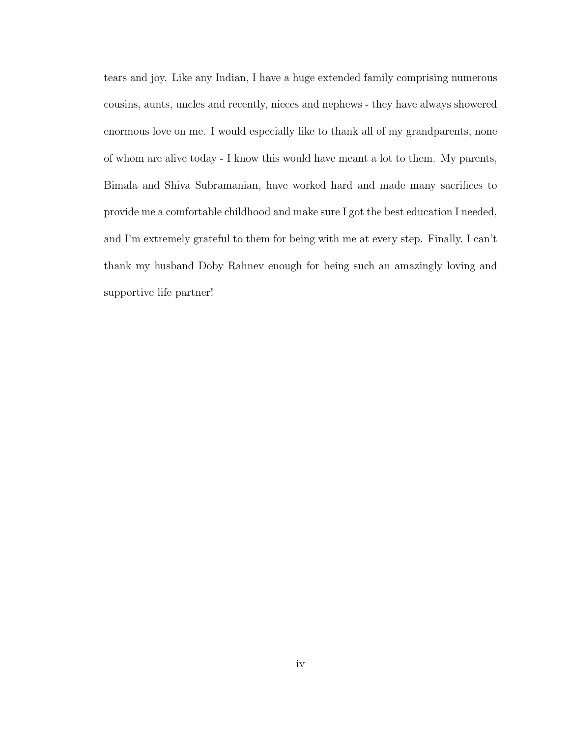tears and joy. Like any Indian, I have a huge extended family comprising numerous cousins, aunts, uncles and recently, nieces and nephews - they have always showered enormous love on me. I would especially like to thank all of my grandparents, none of whom are alive today - I know this would have meant a lot to them. My parents, Bimala and Shiva Subramanian, have worked hard and made many sacrifices to provide me a comfortable childhood and make sure I got the best education I needed, and I'm extremely grateful to them for being with me at every step. Finally, I can't thank my husband Doby Rahnev enough for being such an amazingly loving and supportive life partner!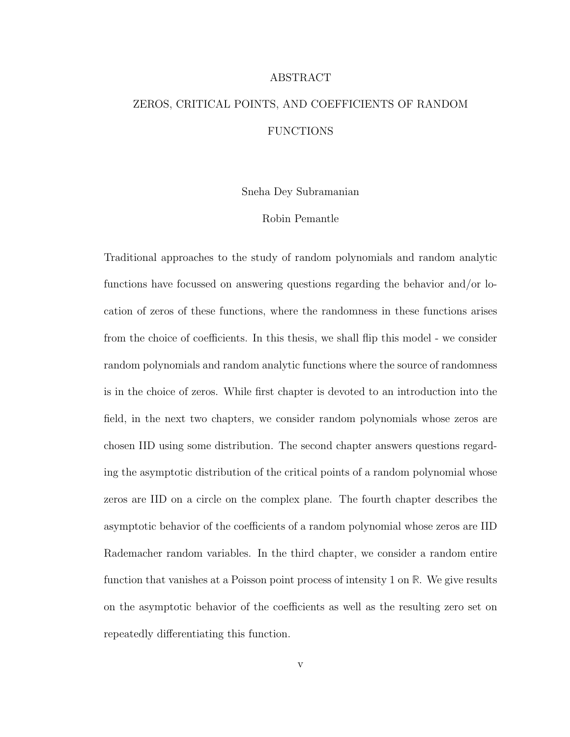#### ABSTRACT

## ZEROS, CRITICAL POINTS, AND COEFFICIENTS OF RANDOM FUNCTIONS

Sneha Dey Subramanian

#### Robin Pemantle

Traditional approaches to the study of random polynomials and random analytic functions have focussed on answering questions regarding the behavior and/or location of zeros of these functions, where the randomness in these functions arises from the choice of coefficients. In this thesis, we shall flip this model - we consider random polynomials and random analytic functions where the source of randomness is in the choice of zeros. While first chapter is devoted to an introduction into the field, in the next two chapters, we consider random polynomials whose zeros are chosen IID using some distribution. The second chapter answers questions regarding the asymptotic distribution of the critical points of a random polynomial whose zeros are IID on a circle on the complex plane. The fourth chapter describes the asymptotic behavior of the coefficients of a random polynomial whose zeros are IID Rademacher random variables. In the third chapter, we consider a random entire function that vanishes at a Poisson point process of intensity 1 on **R**. We give results on the asymptotic behavior of the coefficients as well as the resulting zero set on repeatedly differentiating this function.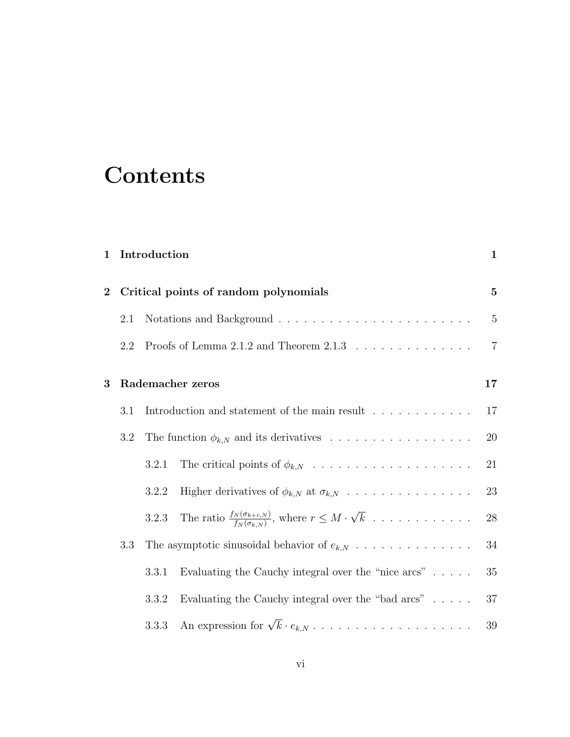# **Contents**

| $\mathbf{1}$     |     | Introduction |                                                                                                                     | $\mathbf{1}$   |
|------------------|-----|--------------|---------------------------------------------------------------------------------------------------------------------|----------------|
| $\boldsymbol{2}$ |     |              | Critical points of random polynomials                                                                               | $\mathbf{5}$   |
|                  | 2.1 |              |                                                                                                                     | $5\,$          |
|                  | 2.2 |              | Proofs of Lemma 2.1.2 and Theorem 2.1.3 $\ldots \ldots \ldots \ldots \ldots$                                        | $\overline{7}$ |
| 3                |     |              | Rademacher zeros                                                                                                    | 17             |
|                  | 3.1 |              | Introduction and statement of the main result $\hfill\ldots\ldots\ldots\ldots\ldots\ldots$                          | 17             |
|                  | 3.2 |              |                                                                                                                     | 20             |
|                  |     | 3.2.1        |                                                                                                                     | 21             |
|                  |     | 3.2.2        | Higher derivatives of $\phi_{k,N}$ at $\sigma_{k,N}$                                                                | 23             |
|                  |     | 3.2.3        | The ratio $\frac{f_N(\sigma_{k+r,N})}{f_N(\sigma_{k,N})}$ , where $r \leq M \cdot \sqrt{k} \dots \dots \dots \dots$ | $28\,$         |
|                  | 3.3 |              | The asymptotic sinusoidal behavior of $e_{k,N}$                                                                     | $34\,$         |
|                  |     | 3.3.1        | Evaluating the Cauchy integral over the "nice $\arcs"$                                                              | $35\,$         |
|                  |     | 3.3.2        | Evaluating the Cauchy integral over the "bad $\arcs" \dots$                                                         | 37             |
|                  |     | 3.3.3        |                                                                                                                     | $39\,$         |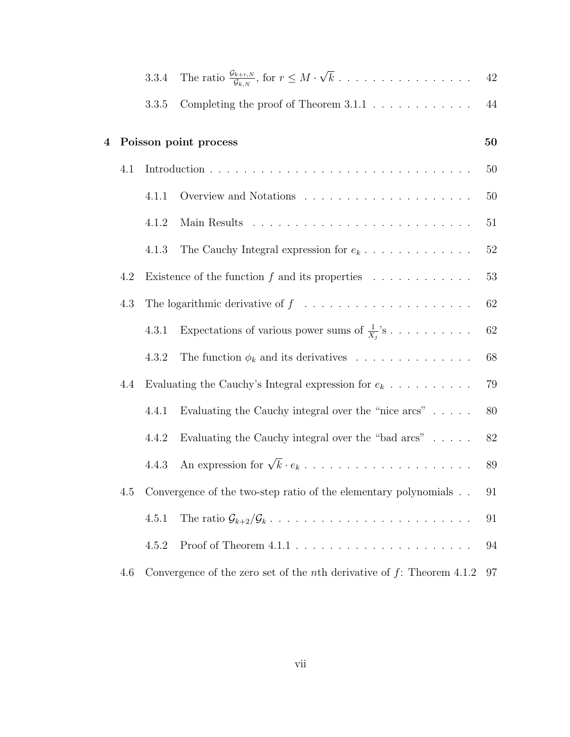|         |     | 3.3.4 |                                                                                                                       | 42       |
|---------|-----|-------|-----------------------------------------------------------------------------------------------------------------------|----------|
|         |     | 3.3.5 | Completing the proof of Theorem $3.1.1\,$                                                                             | $\bf 44$ |
| $\bf 4$ |     |       | Poisson point process                                                                                                 | 50       |
|         | 4.1 |       |                                                                                                                       | 50       |
|         |     | 4.1.1 |                                                                                                                       | 50       |
|         |     | 4.1.2 |                                                                                                                       | 51       |
|         |     | 4.1.3 | The Cauchy Integral expression for $e_k \ldots \ldots \ldots \ldots$                                                  | $52\,$   |
|         | 4.2 |       | Existence of the function $f$ and its properties $\ldots \ldots \ldots \ldots$                                        | $53\,$   |
|         | 4.3 |       | The logarithmic derivative of $f \quad \dots \quad \dots \quad \dots \quad \dots \quad \dots \quad \dots \quad \dots$ | 62       |
|         |     | 4.3.1 | Expectations of various power sums of $\frac{1}{X_i}$ 's                                                              | 62       |
|         |     | 4.3.2 | The function $\phi_k$ and its derivatives                                                                             | 68       |
|         | 4.4 |       | Evaluating the Cauchy's Integral expression for $e_k \text{  } \text{  } \text{  }$                                   | 79       |
|         |     | 4.4.1 | Evaluating the Cauchy integral over the "nice $arcs$ "                                                                | 80       |
|         |     | 4.4.2 | Evaluating the Cauchy integral over the "bad $arcs$ "                                                                 | 82       |
|         |     | 4.4.3 |                                                                                                                       | 89       |
|         | 4.5 |       | Convergence of the two-step ratio of the elementary polynomials                                                       | 91       |
|         |     | 4.5.1 |                                                                                                                       | 91       |
|         |     | 4.5.2 |                                                                                                                       | 94       |
|         | 4.6 |       | Convergence of the zero set of the <i>n</i> th derivative of $f$ : Theorem 4.1.2                                      | 97       |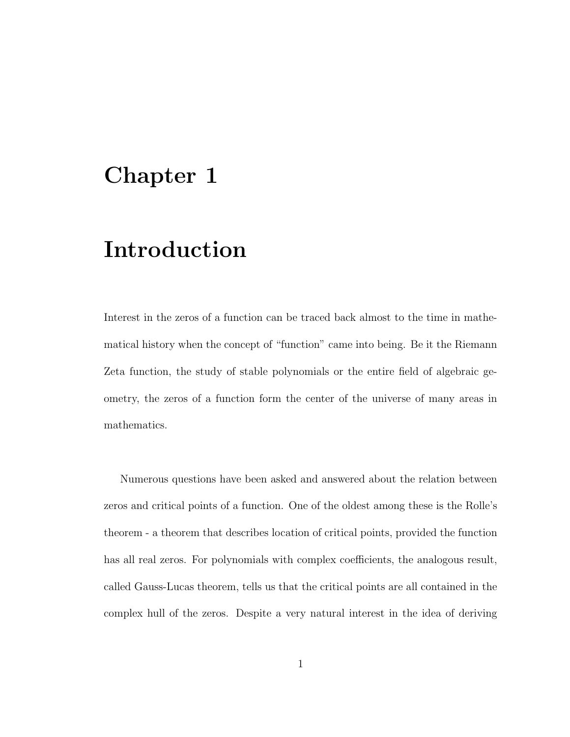# Chapter 1

# Introduction

Interest in the zeros of a function can be traced back almost to the time in mathematical history when the concept of "function" came into being. Be it the Riemann Zeta function, the study of stable polynomials or the entire field of algebraic geometry, the zeros of a function form the center of the universe of many areas in mathematics.

Numerous questions have been asked and answered about the relation between zeros and critical points of a function. One of the oldest among these is the Rolle's theorem - a theorem that describes location of critical points, provided the function has all real zeros. For polynomials with complex coefficients, the analogous result, called Gauss-Lucas theorem, tells us that the critical points are all contained in the complex hull of the zeros. Despite a very natural interest in the idea of deriving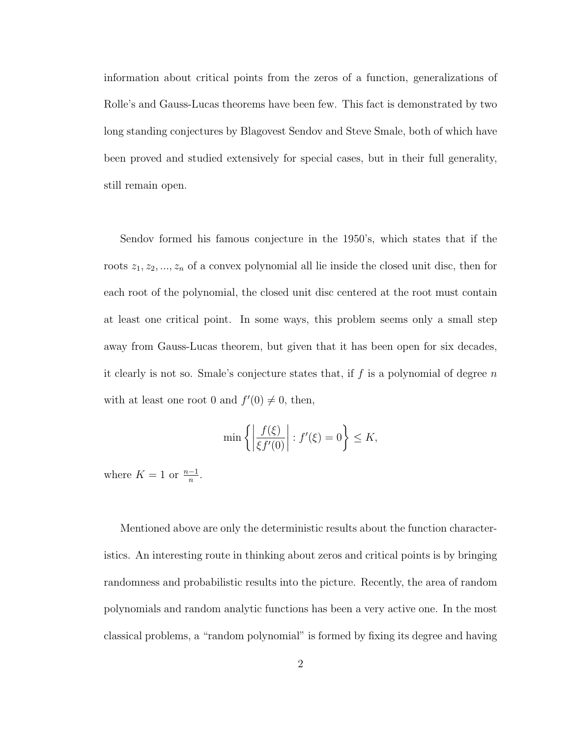information about critical points from the zeros of a function, generalizations of Rolle's and Gauss-Lucas theorems have been few. This fact is demonstrated by two long standing conjectures by Blagovest Sendov and Steve Smale, both of which have been proved and studied extensively for special cases, but in their full generality, still remain open.

Sendov formed his famous conjecture in the 1950's, which states that if the roots  $z_1, z_2, ..., z_n$  of a convex polynomial all lie inside the closed unit disc, then for each root of the polynomial, the closed unit disc centered at the root must contain at least one critical point. In some ways, this problem seems only a small step away from Gauss-Lucas theorem, but given that it has been open for six decades, it clearly is not so. Smale's conjecture states that, if  $f$  is a polynomial of degree  $n$ with at least one root 0 and  $f'(0) \neq 0$ , then,

$$
\min\left\{ \left| \frac{f(\xi)}{\xi f'(0)} \right| : f'(\xi) = 0 \right\} \le K,
$$

where  $K = 1$  or  $\frac{n-1}{n}$ .

Mentioned above are only the deterministic results about the function characteristics. An interesting route in thinking about zeros and critical points is by bringing randomness and probabilistic results into the picture. Recently, the area of random polynomials and random analytic functions has been a very active one. In the most classical problems, a "random polynomial" is formed by fixing its degree and having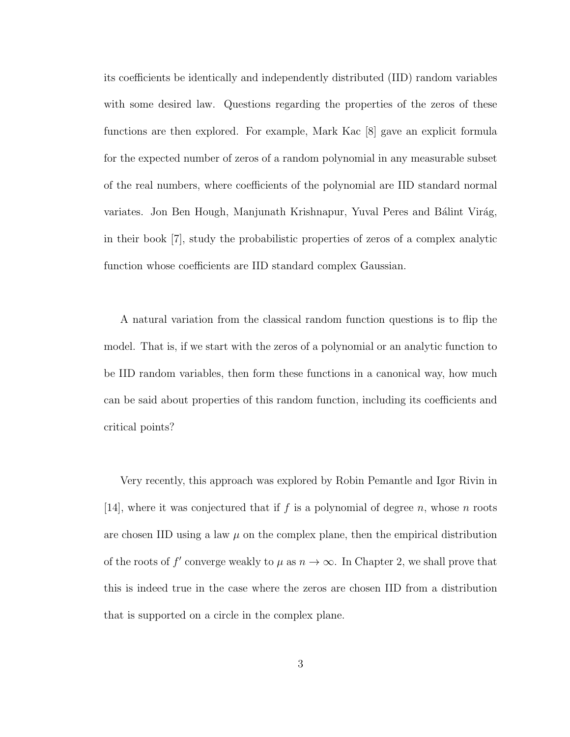its coefficients be identically and independently distributed (IID) random variables with some desired law. Questions regarding the properties of the zeros of these functions are then explored. For example, Mark Kac [8] gave an explicit formula for the expected number of zeros of a random polynomial in any measurable subset of the real numbers, where coefficients of the polynomial are IID standard normal variates. Jon Ben Hough, Manjunath Krishnapur, Yuval Peres and Bálint Virág, in their book [7], study the probabilistic properties of zeros of a complex analytic function whose coefficients are IID standard complex Gaussian.

A natural variation from the classical random function questions is to flip the model. That is, if we start with the zeros of a polynomial or an analytic function to be IID random variables, then form these functions in a canonical way, how much can be said about properties of this random function, including its coefficients and critical points?

Very recently, this approach was explored by Robin Pemantle and Igor Rivin in [14], where it was conjectured that if f is a polynomial of degree n, whose n roots are chosen IID using a law  $\mu$  on the complex plane, then the empirical distribution of the roots of  $f'$  converge weakly to  $\mu$  as  $n \to \infty$ . In Chapter 2, we shall prove that this is indeed true in the case where the zeros are chosen IID from a distribution that is supported on a circle in the complex plane.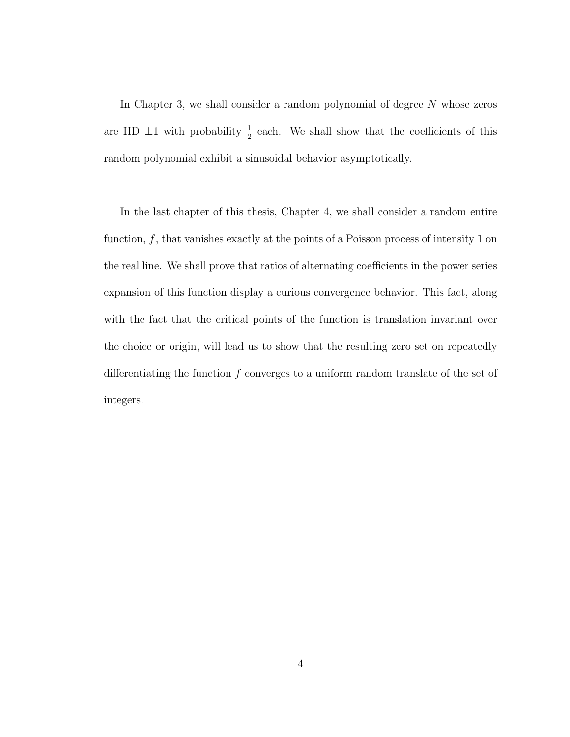In Chapter 3, we shall consider a random polynomial of degree N whose zeros are IID  $\pm 1$  with probability  $\frac{1}{2}$  each. We shall show that the coefficients of this random polynomial exhibit a sinusoidal behavior asymptotically.

In the last chapter of this thesis, Chapter 4, we shall consider a random entire function,  $f$ , that vanishes exactly at the points of a Poisson process of intensity 1 on the real line. We shall prove that ratios of alternating coefficients in the power series expansion of this function display a curious convergence behavior. This fact, along with the fact that the critical points of the function is translation invariant over the choice or origin, will lead us to show that the resulting zero set on repeatedly differentiating the function  $f$  converges to a uniform random translate of the set of integers.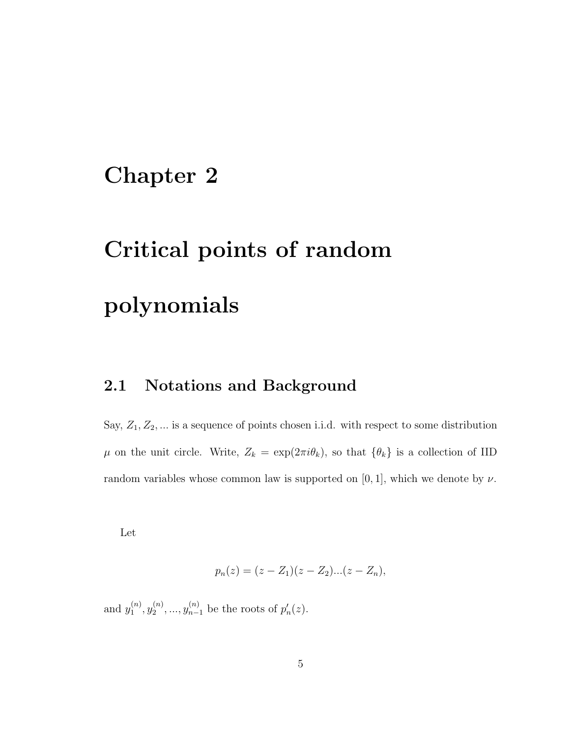# Chapter 2

# Critical points of random polynomials

### 2.1 Notations and Background

Say,  $Z_1, Z_2, \dots$  is a sequence of points chosen i.i.d. with respect to some distribution  $\mu$  on the unit circle. Write,  $Z_k = \exp(2\pi i \theta_k)$ , so that  $\{\theta_k\}$  is a collection of IID random variables whose common law is supported on [0, 1], which we denote by  $\nu$ .

Let

$$
p_n(z) = (z - Z_1)(z - Z_2)...(z - Z_n),
$$

and  $y_1^{(n)}$  $\mathcal{y}_1^{(n)},\mathcal{y}_2^{(n)}$  $y_2^{(n)},..., y_{n-1}^{(n)}$  be the roots of  $p'_n(z)$ .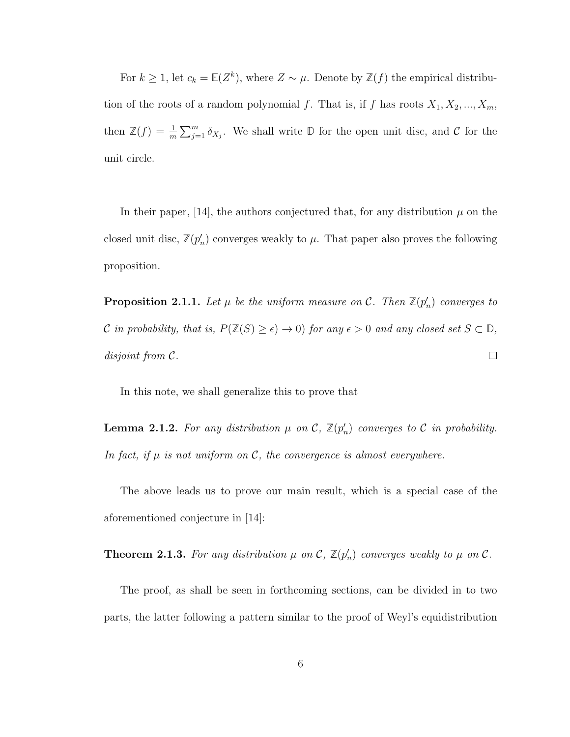For  $k \geq 1$ , let  $c_k = \mathbb{E}(Z^k)$ , where  $Z \sim \mu$ . Denote by  $\mathbb{Z}(f)$  the empirical distribution of the roots of a random polynomial f. That is, if f has roots  $X_1, X_2, ..., X_m$ , then  $\mathbb{Z}(f) = \frac{1}{m} \sum_{j=1}^{m} \delta_{X_j}$ . We shall write  $\mathbb{D}$  for the open unit disc, and  $\mathcal{C}$  for the unit circle.

In their paper,  $|14|$ , the authors conjectured that, for any distribution  $\mu$  on the closed unit disc,  $\mathbb{Z}(p'_n)$  converges weakly to  $\mu$ . That paper also proves the following proposition.

**Proposition 2.1.1.** Let  $\mu$  be the uniform measure on  $\mathcal{C}$ . Then  $\mathbb{Z}(p'_n)$  converges to C in probability, that is,  $P(\mathbb{Z}(S) \ge \epsilon) \to 0$ ) for any  $\epsilon > 0$  and any closed set  $S \subset \mathbb{D}$ , disjoint from C.  $\Box$ 

In this note, we shall generalize this to prove that

**Lemma 2.1.2.** For any distribution  $\mu$  on  $\mathcal{C}$ ,  $\mathbb{Z}(p'_n)$  converges to  $\mathcal{C}$  in probability. In fact, if  $\mu$  is not uniform on  $\mathcal{C}$ , the convergence is almost everywhere.

The above leads us to prove our main result, which is a special case of the aforementioned conjecture in [14]:

**Theorem 2.1.3.** For any distribution  $\mu$  on  $\mathcal{C}$ ,  $\mathbb{Z}(p'_n)$  converges weakly to  $\mu$  on  $\mathcal{C}$ .

The proof, as shall be seen in forthcoming sections, can be divided in to two parts, the latter following a pattern similar to the proof of Weyl's equidistribution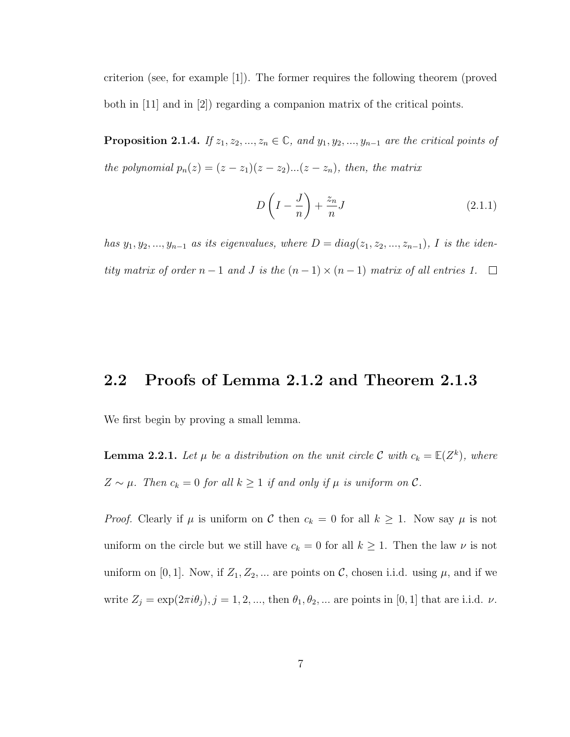criterion (see, for example [1]). The former requires the following theorem (proved both in [11] and in [2]) regarding a companion matrix of the critical points.

**Proposition 2.1.4.** If  $z_1, z_2, ..., z_n \in \mathbb{C}$ , and  $y_1, y_2, ..., y_{n-1}$  are the critical points of the polynomial  $p_n(z) = (z - z_1)(z - z_2)...(z - z_n)$ , then, the matrix

$$
D\left(I - \frac{J}{n}\right) + \frac{z_n}{n}J\tag{2.1.1}
$$

has  $y_1, y_2, ..., y_{n-1}$  as its eigenvalues, where  $D = diag(z_1, z_2, ..., z_{n-1}),$  I is the identity matrix of order  $n-1$  and  $J$  is the  $(n-1) \times (n-1)$  matrix of all entries 1. □

#### 2.2 Proofs of Lemma 2.1.2 and Theorem 2.1.3

We first begin by proving a small lemma.

**Lemma 2.2.1.** Let  $\mu$  be a distribution on the unit circle C with  $c_k = \mathbb{E}(Z^k)$ , where  $Z \sim \mu$ . Then  $c_k = 0$  for all  $k \ge 1$  if and only if  $\mu$  is uniform on  $\mathcal{C}$ .

*Proof.* Clearly if  $\mu$  is uniform on C then  $c_k = 0$  for all  $k \ge 1$ . Now say  $\mu$  is not uniform on the circle but we still have  $c_k = 0$  for all  $k \geq 1$ . Then the law  $\nu$  is not uniform on [0, 1]. Now, if  $Z_1, Z_2, \dots$  are points on C, chosen i.i.d. using  $\mu$ , and if we write  $Z_j = \exp(2\pi i \theta_j), j = 1, 2, ...,$  then  $\theta_1, \theta_2, ...$  are points in [0, 1] that are i.i.d.  $\nu$ .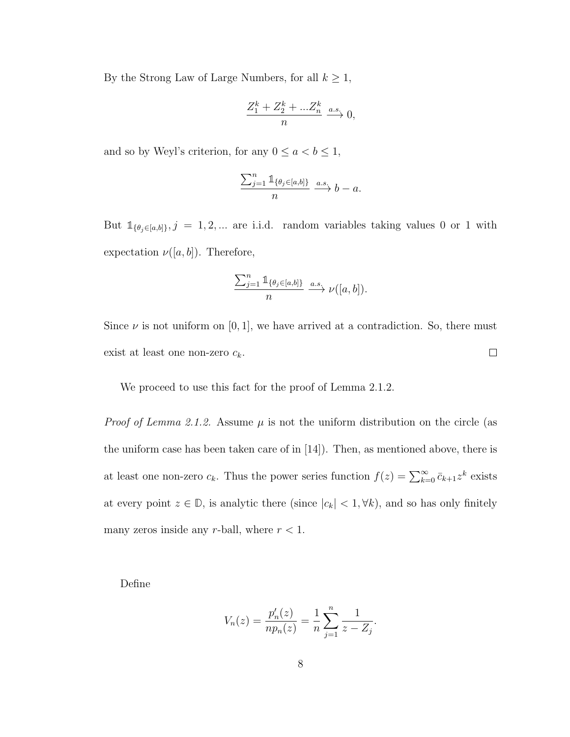By the Strong Law of Large Numbers, for all  $k\geq 1,$ 

$$
\frac{Z_1^k + Z_2^k + \dots Z_n^k}{n} \xrightarrow{a.s.} 0,
$$

and so by Weyl's criterion, for any  $0 \le a < b \le 1$ ,

$$
\frac{\sum_{j=1}^n \mathbb{1}_{\{\theta_j \in [a,b]\}}}{n} \xrightarrow{a.s.} b-a.
$$

But  $\mathbb{1}_{\{\theta_j \in [a,b]\}}$ ,  $j = 1, 2, \dots$  are i.i.d. random variables taking values 0 or 1 with expectation  $\nu([a, b])$ . Therefore,

$$
\frac{\sum_{j=1}^n \mathbb{1}_{\{\theta_j \in [a,b]\}}}{n} \xrightarrow{a.s.} \nu([a,b]).
$$

Since  $\nu$  is not uniform on [0, 1], we have arrived at a contradiction. So, there must  $\Box$ exist at least one non-zero  $c_k$ .

We proceed to use this fact for the proof of Lemma 2.1.2.

*Proof of Lemma 2.1.2.* Assume  $\mu$  is not the uniform distribution on the circle (as the uniform case has been taken care of in [14]). Then, as mentioned above, there is at least one non-zero  $c_k$ . Thus the power series function  $f(z) = \sum_{k=0}^{\infty} \bar{c}_{k+1} z^k$  exists at every point  $z \in \mathbb{D}$ , is analytic there (since  $|c_k| < 1, \forall k$ ), and so has only finitely many zeros inside any r-ball, where  $r < 1$ .

Define

$$
V_n(z) = \frac{p'_n(z)}{np_n(z)} = \frac{1}{n} \sum_{j=1}^n \frac{1}{z - Z_j}.
$$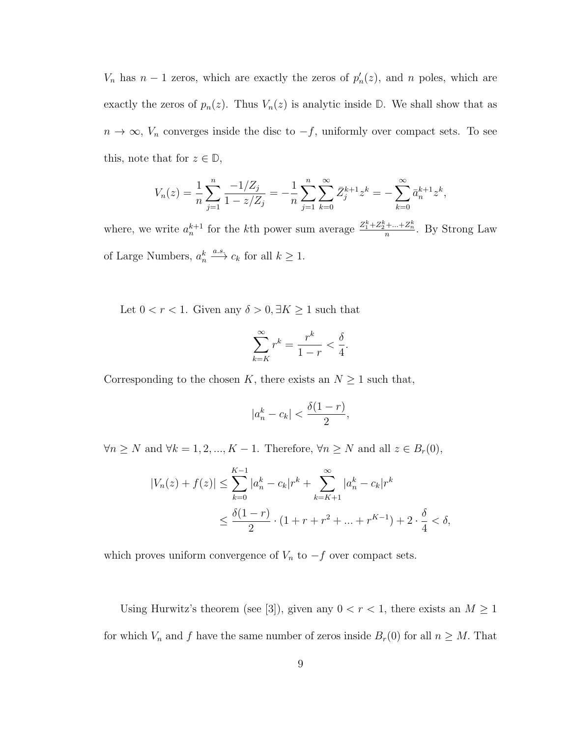$V_n$  has  $n-1$  zeros, which are exactly the zeros of  $p'_n(z)$ , and n poles, which are exactly the zeros of  $p_n(z)$ . Thus  $V_n(z)$  is analytic inside  $\mathbb{D}$ . We shall show that as  $n \to \infty$ ,  $V_n$  converges inside the disc to  $-f$ , uniformly over compact sets. To see this, note that for  $z \in \mathbb{D}$ ,

$$
V_n(z) = \frac{1}{n} \sum_{j=1}^n \frac{-1/Z_j}{1 - z/Z_j} = -\frac{1}{n} \sum_{j=1}^n \sum_{k=0}^\infty \bar{Z}_j^{k+1} z^k = -\sum_{k=0}^\infty \bar{a}_n^{k+1} z^k,
$$

where, we write  $a_n^{k+1}$  for the kth power sum average  $\frac{Z_1^k + Z_2^k + ... + Z_n^k}{n}$ . By Strong Law of Large Numbers,  $a_n^k \xrightarrow{a.s.} c_k$  for all  $k \geq 1$ .

Let  $0 < r < 1$ . Given any  $\delta > 0$ ,  $\exists K \ge 1$  such that

$$
\sum_{k=K}^{\infty} r^k = \frac{r^k}{1-r} < \frac{\delta}{4}.
$$

Corresponding to the chosen K, there exists an  $N \geq 1$  such that,

$$
|a_n^k - c_k| < \frac{\delta(1-r)}{2},
$$

 $\forall n \ge N$  and  $\forall k = 1, 2, ..., K - 1$ . Therefore,  $\forall n \ge N$  and all  $z \in B_r(0)$ ,

$$
|V_n(z) + f(z)| \le \sum_{k=0}^{K-1} |a_n^k - c_k| r^k + \sum_{k=K+1}^{\infty} |a_n^k - c_k| r^k
$$
  

$$
\le \frac{\delta(1-r)}{2} \cdot (1 + r + r^2 + \dots + r^{K-1}) + 2 \cdot \frac{\delta}{4} < \delta,
$$

which proves uniform convergence of  $V_n$  to  $-f$  over compact sets.

Using Hurwitz's theorem (see [3]), given any  $0 < r < 1$ , there exists an  $M \ge 1$ for which  $V_n$  and f have the same number of zeros inside  $B_r(0)$  for all  $n \geq M$ . That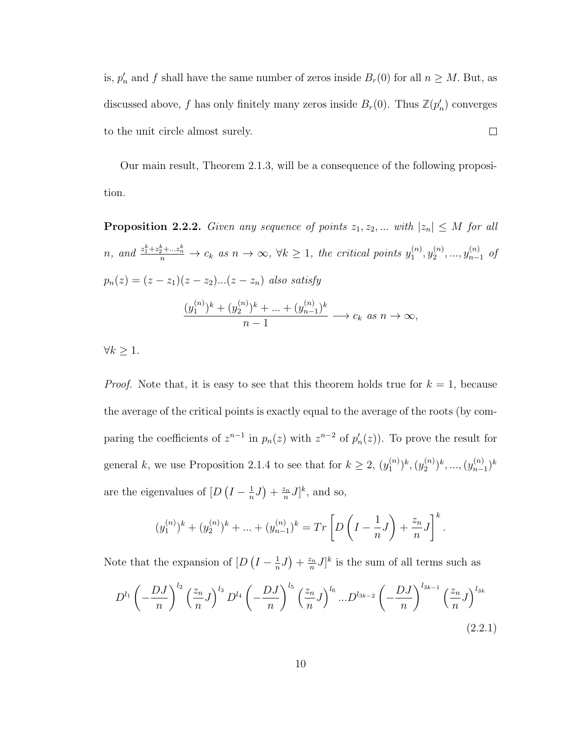is,  $p'_n$  and f shall have the same number of zeros inside  $B_r(0)$  for all  $n \geq M$ . But, as discussed above, f has only finitely many zeros inside  $B_r(0)$ . Thus  $\mathbb{Z}(p'_n)$  converges to the unit circle almost surely.  $\Box$ 

Our main result, Theorem 2.1.3, will be a consequence of the following proposition.

**Proposition 2.2.2.** Given any sequence of points  $z_1, z_2, ...$  with  $|z_n| \leq M$  for all n, and  $\frac{z_1^k + z_2^k + \dots z_n^k}{n} \to c_k$  as  $n \to \infty$ ,  $\forall k \ge 1$ , the critical points  $y_1^{(n)}$  $\binom{n}{1}, \mathcal{Y}_2^{(n)}$  $y_2^{(n)},...,y_{n-1}^{(n)}$  of  $p_n(z) = (z - z_1)(z - z_2)...(z - z_n)$  also satisfy

$$
\frac{(y_1^{(n)})^k + (y_2^{(n)})^k + \dots + (y_{n-1}^{(n)})^k}{n-1} \longrightarrow c_k \text{ as } n \to \infty,
$$

 $\forall k \geq 1.$ 

*Proof.* Note that, it is easy to see that this theorem holds true for  $k = 1$ , because the average of the critical points is exactly equal to the average of the roots (by comparing the coefficients of  $z^{n-1}$  in  $p_n(z)$  with  $z^{n-2}$  of  $p'_n(z)$ ). To prove the result for general k, we use Proposition 2.1.4 to see that for  $k \geq 2$ ,  $(y_1^{(n)})$  $\binom{n}{1}^k$ ,  $\left(y_2^{(n)}\right)$  $\binom{n}{2}^k, ..., \binom{n}{n-1}$  $_{n-1}^{(n)})^k$ are the eigenvalues of  $[D(I - \frac{1}{n})]$  $\frac{1}{n}J\big)+\frac{z_n}{n}$  $\frac{\sum n}{n}J^k$ , and so,

$$
(y_1^{(n)})^k + (y_2^{(n)})^k + \dots + (y_{n-1}^{(n)})^k = Tr\left[D\left(I - \frac{1}{n}J\right) + \frac{z_n}{n}J\right]^k.
$$

Note that the expansion of  $[D(I - \frac{1}{n})]$  $\frac{1}{n}J\big)+\frac{z_n}{n}$  $\frac{\sum n}{n}J]^k$  is the sum of all terms such as

$$
D^{l_1} \left(-\frac{DJ}{n}\right)^{l_2} \left(\frac{z_n}{n}J\right)^{l_3} D^{l_4} \left(-\frac{DJ}{n}\right)^{l_5} \left(\frac{z_n}{n}J\right)^{l_6} \dots D^{l_{3k-2}} \left(-\frac{DJ}{n}\right)^{l_{3k-1}} \left(\frac{z_n}{n}J\right)^{l_{3k}}
$$
\n(2.2.1)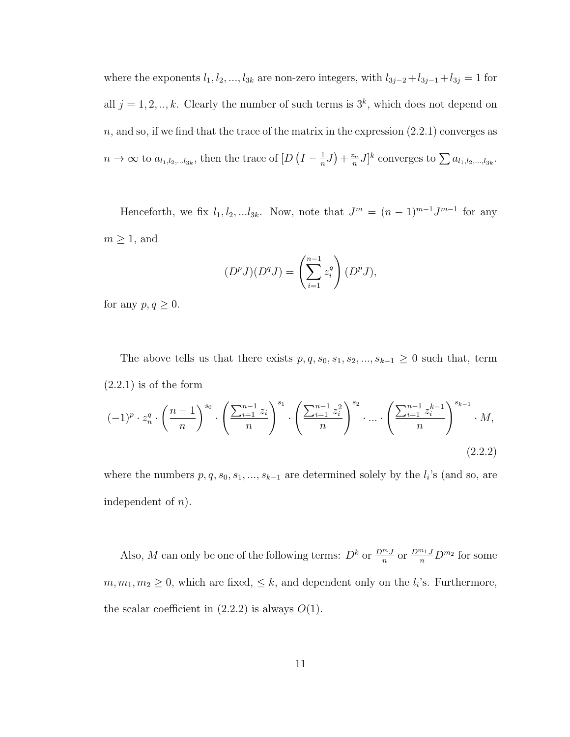where the exponents  $l_1, l_2, ..., l_{3k}$  are non-zero integers, with  $l_{3j-2}+l_{3j-1}+l_{3j} = 1$  for all  $j = 1, 2, ..., k$ . Clearly the number of such terms is  $3<sup>k</sup>$ , which does not depend on  $n$ , and so, if we find that the trace of the matrix in the expression  $(2.2.1)$  converges as  $n \to \infty$  to  $a_{l_1,l_2,...l_{3k}}$ , then the trace of  $[D]$   $(I - \frac{1}{n}]$  $\frac{1}{n}J)+\frac{z_n}{n}$  $\sum_{n}^{z_n} J]^k$  converges to  $\sum a_{l_1,l_2,\dots,l_{3k}}$ .

Henceforth, we fix  $l_1, l_2, ... l_{3k}$ . Now, note that  $J^m = (n-1)^{m-1} J^{m-1}$  for any  $m \geq 1$ , and

$$
(DpJ)(DqJ) = \left(\sum_{i=1}^{n-1} z_i^q\right)(DpJ),
$$

for any  $p, q \geq 0$ .

The above tells us that there exists  $p, q, s_0, s_1, s_2, ..., s_{k-1} \geq 0$  such that, term  $(2.2.1)$  is of the form  $(-1)^p \cdot z_n^q \cdot$  $\sqrt{n-1}$  $\overline{n}$  $\bigwedge^{s_0}$ ·  $\int \sum_{i=1}^{n-1} z_i$ n  $\bigwedge^{s_1}$ ·  $\int \sum_{i=1}^{n-1} z_i^2$ n  $\bigwedge^{s_2}$ · ... ·  $\int \sum_{i=1}^{n-1} z_i^{k-1}$ i n  $\bigwedge^{s_{k-1}}$  $\cdot$   $M,$ 

where the numbers  $p, q, s_0, s_1, ..., s_{k-1}$  are determined solely by the  $l_i$ 's (and so, are independent of  $n$ ).

(2.2.2)

Also, M can only be one of the following terms:  $D^k$  or  $\frac{D^{m}J}{n}$  or  $\frac{D^{m}J}{n}D^{m}$  for some  $m, m_1, m_2 \geq 0$ , which are fixed,  $\leq k$ , and dependent only on the  $l_i$ 's. Furthermore, the scalar coefficient in  $(2.2.2)$  is always  $O(1)$ .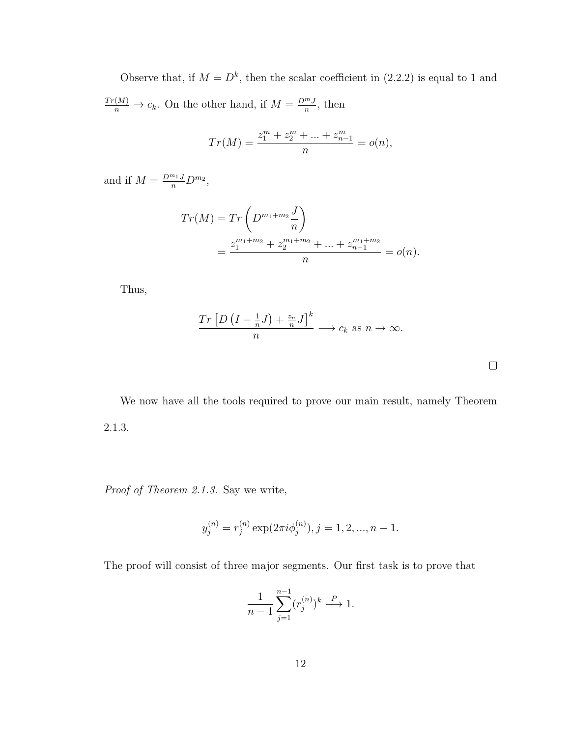Observe that, if  $M = D^k$ , then the scalar coefficient in (2.2.2) is equal to 1 and  $\frac{Tr(M)}{n} \to c_k$ . On the other hand, if  $M = \frac{D^m J}{n}$  $\frac{m}{n}$ , then

$$
Tr(M) = \frac{z_1^m + z_2^m + \dots + z_{n-1}^m}{n} = o(n),
$$

and if  $M = \frac{D^{m_1} J}{n} D^{m_2}$ ,

$$
Tr(M) = Tr\left(D^{m_1+m_2}\frac{J}{n}\right)
$$
  
= 
$$
\frac{z_1^{m_1+m_2} + z_2^{m_1+m_2} + \dots + z_{n-1}^{m_1+m_2}}{n} = o(n).
$$

Thus,

$$
\frac{\operatorname{Tr}\left[D\left(I-\frac{1}{n}J\right)+\frac{z_n}{n}J\right]^k}{n} \longrightarrow c_k \text{ as } n \to \infty.
$$

 $\Box$ 

We now have all the tools required to prove our main result, namely Theorem 2.1.3.

Proof of Theorem 2.1.3. Say we write,

$$
y_j^{(n)} = r_j^{(n)} \exp(2\pi i \phi_j^{(n)}), j = 1, 2, ..., n - 1.
$$

The proof will consist of three major segments. Our first task is to prove that

$$
\frac{1}{n-1} \sum_{j=1}^{n-1} (r_j^{(n)})^k \xrightarrow{P} 1.
$$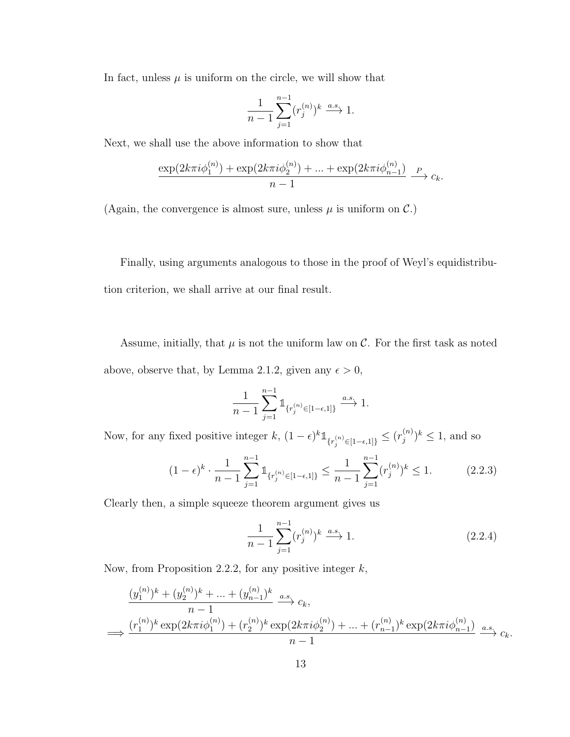In fact, unless  $\mu$  is uniform on the circle, we will show that

$$
\frac{1}{n-1}\sum_{j=1}^{n-1}(r_j^{(n)})^k\stackrel{a.s.}{\longrightarrow} 1.
$$

Next, we shall use the above information to show that

$$
\frac{\exp(2k\pi i\phi_1^{(n)}) + \exp(2k\pi i\phi_2^{(n)}) + \dots + \exp(2k\pi i\phi_{n-1}^{(n)})}{n-1} \xrightarrow{P} c_k.
$$

(Again, the convergence is almost sure, unless  $\mu$  is uniform on  $\mathcal{C}$ .)

Finally, using arguments analogous to those in the proof of Weyl's equidistribution criterion, we shall arrive at our final result.

Assume, initially, that  $\mu$  is not the uniform law on  $\mathcal{C}$ . For the first task as noted above, observe that, by Lemma 2.1.2, given any  $\epsilon > 0$ ,

$$
\frac{1}{n-1} \sum_{j=1}^{n-1} \mathbb{1}_{\{r_j^{(n)} \in [1-\epsilon,1]\}} \xrightarrow{a.s.} 1.
$$

Now, for any fixed positive integer  $k$ ,  $(1 - \epsilon)^{k} \mathbb{1}_{\{r_j^{(n)} \in [1 - \epsilon, 1]\}} \leq (r_j^{(n)})$  $j^{(n)}$ )<sup>k</sup>  $\leq 1$ , and so

$$
(1 - \epsilon)^k \cdot \frac{1}{n - 1} \sum_{j=1}^{n-1} \mathbb{1}_{\{r_j^{(n)} \in [1 - \epsilon, 1]\}} \le \frac{1}{n - 1} \sum_{j=1}^{n-1} (r_j^{(n)})^k \le 1.
$$
 (2.2.3)

Clearly then, a simple squeeze theorem argument gives us

$$
\frac{1}{n-1} \sum_{j=1}^{n-1} (r_j^{(n)})^k \xrightarrow{a.s.} 1.
$$
 (2.2.4)

Now, from Proposition 2.2.2, for any positive integer  $k$ ,

$$
\frac{(y_1^{(n)})^k + (y_2^{(n)})^k + \dots + (y_{n-1}^{(n)})^k}{n-1} \xrightarrow{a.s.} c_k,
$$
  

$$
\implies \frac{(r_1^{(n)})^k \exp(2k\pi i \phi_1^{(n)}) + (r_2^{(n)})^k \exp(2k\pi i \phi_2^{(n)}) + \dots + (r_{n-1}^{(n)})^k \exp(2k\pi i \phi_{n-1}^{(n)})}{n-1} \xrightarrow{a.s.} c_k.
$$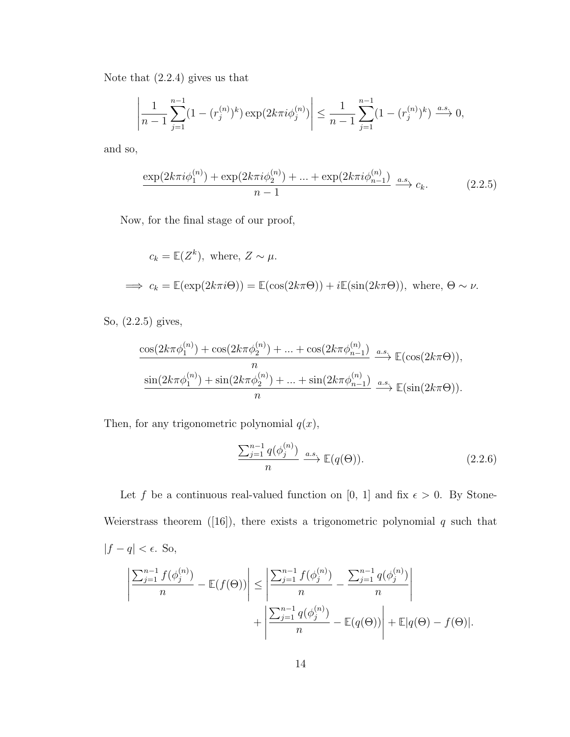Note that (2.2.4) gives us that

$$
\left| \frac{1}{n-1} \sum_{j=1}^{n-1} (1 - (r_j^{(n)})^k) \exp(2k\pi i \phi_j^{(n)}) \right| \le \frac{1}{n-1} \sum_{j=1}^{n-1} (1 - (r_j^{(n)})^k) \xrightarrow{a.s.} 0,
$$

and so,

$$
\frac{\exp(2k\pi i \phi_1^{(n)}) + \exp(2k\pi i \phi_2^{(n)}) + \dots + \exp(2k\pi i \phi_{n-1}^{(n)})}{n-1} \xrightarrow{a.s.} c_k.
$$
 (2.2.5)

Now, for the final stage of our proof,

$$
c_k = \mathbb{E}(Z^k)
$$
, where,  $Z \sim \mu$ .  
\n $\implies c_k = \mathbb{E}(\exp(2k\pi i\Theta)) = \mathbb{E}(\cos(2k\pi\Theta)) + i\mathbb{E}(\sin(2k\pi\Theta))$ , where,  $\Theta \sim \nu$ .

So, (2.2.5) gives,

$$
\frac{\cos(2k\pi\phi_1^{(n)}) + \cos(2k\pi\phi_2^{(n)}) + \dots + \cos(2k\pi\phi_{n-1}^{(n)})}{n} \xrightarrow{a.s.} \mathbb{E}(\cos(2k\pi\Theta)),
$$
  

$$
\frac{\sin(2k\pi\phi_1^{(n)}) + \sin(2k\pi\phi_2^{(n)}) + \dots + \sin(2k\pi\phi_{n-1}^{(n)})}{n} \xrightarrow{a.s.} \mathbb{E}(\sin(2k\pi\Theta)).
$$

Then, for any trigonometric polynomial  $q(x)$ ,

$$
\frac{\sum_{j=1}^{n-1} q(\phi_j^{(n)})}{n} \xrightarrow{a.s.} \mathbb{E}(q(\Theta)).
$$
\n(2.2.6)

Let f be a continuous real-valued function on [0, 1] and fix  $\epsilon > 0$ . By Stone-Weierstrass theorem ([16]), there exists a trigonometric polynomial  $q$  such that  $|f - q| < \epsilon$ . So,

$$
\left| \frac{\sum_{j=1}^{n-1} f(\phi_j^{(n)})}{n} - \mathbb{E}(f(\Theta)) \right| \le \left| \frac{\sum_{j=1}^{n-1} f(\phi_j^{(n)})}{n} - \frac{\sum_{j=1}^{n-1} q(\phi_j^{(n)})}{n} \right| + \left| \frac{\sum_{j=1}^{n-1} q(\phi_j^{(n)})}{n} - \mathbb{E}(q(\Theta)) \right| + \mathbb{E}|q(\Theta) - f(\Theta)|.
$$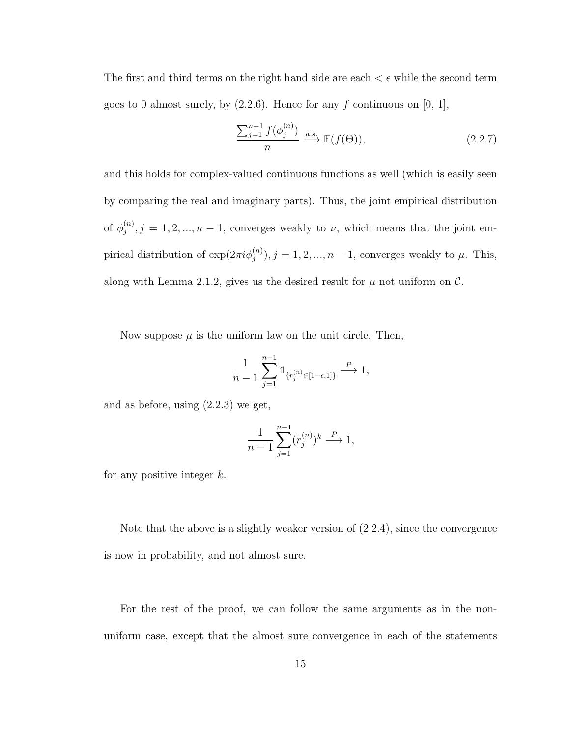The first and third terms on the right hand side are each  $\epsilon \in \mathbb{R}$  while the second term goes to 0 almost surely, by  $(2.2.6)$ . Hence for any f continuous on [0, 1],

$$
\frac{\sum_{j=1}^{n-1} f(\phi_j^{(n)})}{n} \xrightarrow{a.s.} \mathbb{E}(f(\Theta)),
$$
\n(2.2.7)

and this holds for complex-valued continuous functions as well (which is easily seen by comparing the real and imaginary parts). Thus, the joint empirical distribution of  $\phi_i^{(n)}$  $j^{(n)}$ ,  $j = 1, 2, ..., n - 1$ , converges weakly to  $\nu$ , which means that the joint empirical distribution of  $\exp(2\pi i \phi_j^{(n)})$ ,  $j = 1, 2, ..., n-1$ , converges weakly to  $\mu$ . This, along with Lemma 2.1.2, gives us the desired result for  $\mu$  not uniform on  $\mathcal{C}$ .

Now suppose  $\mu$  is the uniform law on the unit circle. Then,

$$
\frac{1}{n-1}\sum_{j=1}^{n-1}\mathbb{1}_{\{r_j^{(n)}\in[1-\epsilon,1]\}}\stackrel{P}{\longrightarrow} 1,
$$

and as before, using (2.2.3) we get,

$$
\frac{1}{n-1} \sum_{j=1}^{n-1} (r_j^{(n)})^k \stackrel{P}{\longrightarrow} 1,
$$

for any positive integer  $k$ .

Note that the above is a slightly weaker version of  $(2.2.4)$ , since the convergence is now in probability, and not almost sure.

For the rest of the proof, we can follow the same arguments as in the nonuniform case, except that the almost sure convergence in each of the statements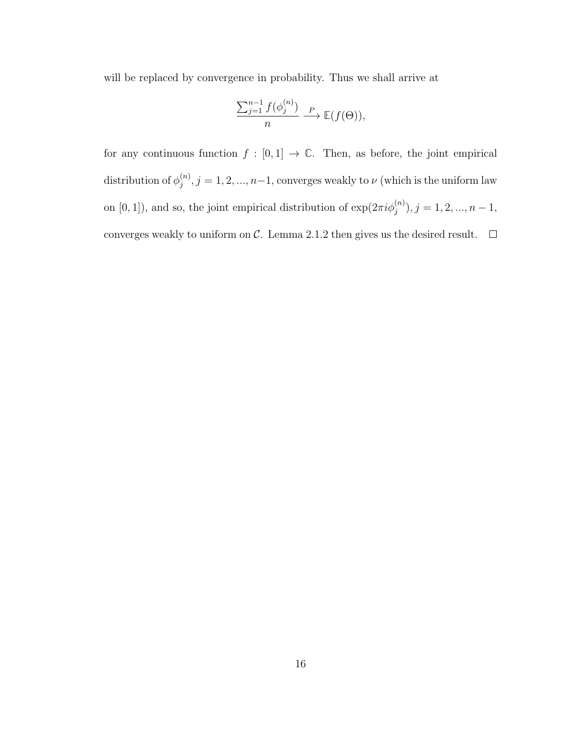will be replaced by convergence in probability. Thus we shall arrive at

$$
\frac{\sum_{j=1}^{n-1} f(\phi_j^{(n)})}{n} \xrightarrow{P} \mathbb{E}(f(\Theta)),
$$

for any continuous function  $f : [0,1] \to \mathbb{C}$ . Then, as before, the joint empirical distribution of  $\phi_i^{(n)}$  $j^{(n)}$ ,  $j = 1, 2, ..., n-1$ , converges weakly to  $\nu$  (which is the uniform law on [0, 1]), and so, the joint empirical distribution of  $\exp(2\pi i \phi_j^{(n)})$ ,  $j = 1, 2, ..., n - 1$ , converges weakly to uniform on  $\mathcal C$ . Lemma 2.1.2 then gives us the desired result.  $\Box$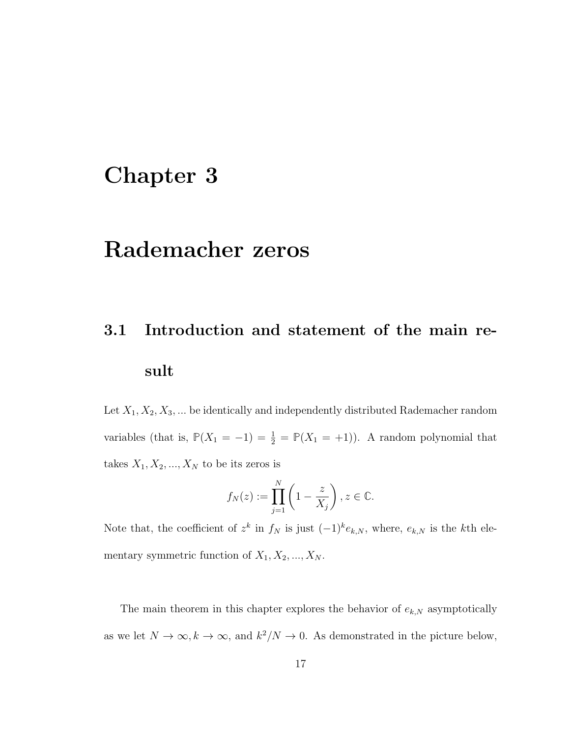# Chapter 3

# Rademacher zeros

# 3.1 Introduction and statement of the main result

Let  $X_1, X_2, X_3, \ldots$  be identically and independently distributed Rademacher random variables (that is,  $\mathbb{P}(X_1 = -1) = \frac{1}{2} = \mathbb{P}(X_1 = +1)$ ). A random polynomial that takes  $X_1, X_2, ..., X_N$  to be its zeros is

$$
f_N(z) := \prod_{j=1}^N \left(1 - \frac{z}{X_j}\right), z \in \mathbb{C}.
$$

Note that, the coefficient of  $z^k$  in  $f_N$  is just  $(-1)^k e_{k,N}$ , where,  $e_{k,N}$  is the kth elementary symmetric function of  $X_1, X_2, ..., X_N$ .

The main theorem in this chapter explores the behavior of  $e_{k,N}$  asymptotically as we let  $N \to \infty, k \to \infty$ , and  $k^2/N \to 0$ . As demonstrated in the picture below,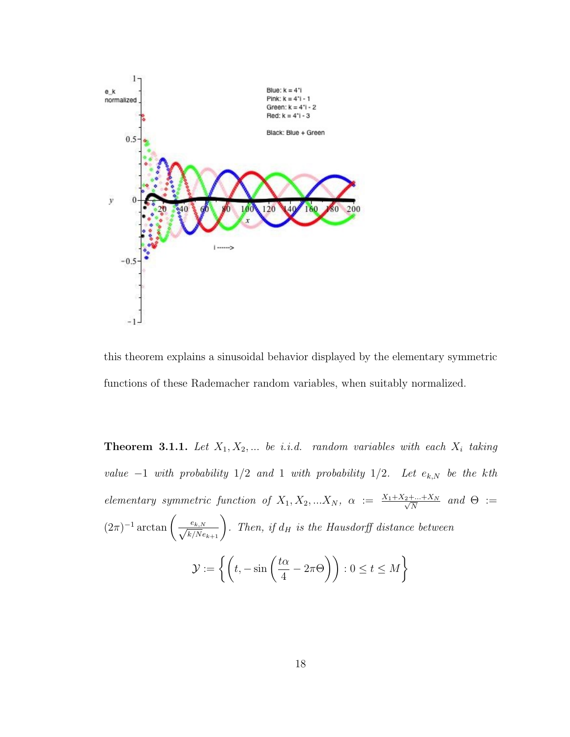

this theorem explains a sinusoidal behavior displayed by the elementary symmetric functions of these Rademacher random variables, when suitably normalized.

**Theorem 3.1.1.** Let  $X_1, X_2, ...$  be i.i.d. random variables with each  $X_i$  taking value  $-1$  with probability  $1/2$  and 1 with probability  $1/2$ . Let  $e_{k,N}$  be the kth elementary symmetric function of  $X_1, X_2, ... X_N$ ,  $\alpha := \frac{X_1 + X_2 + ... + X_N}{\sqrt{N}}$  and  $\Theta :=$  $(2\pi)^{-1} \arctan\left(\frac{e_{k,N}}{\sqrt{k/N}e_{k+1}}\right)$ . Then, if  $d_H$  is the Hausdorff distance between  $\mathcal{Y} := \left\{ \left( t, -\sin \left( \frac{t \alpha}{4} \right) \right) \right\}$ 4  $-2\pi\Theta$ ) :  $0 \le t \le M$ }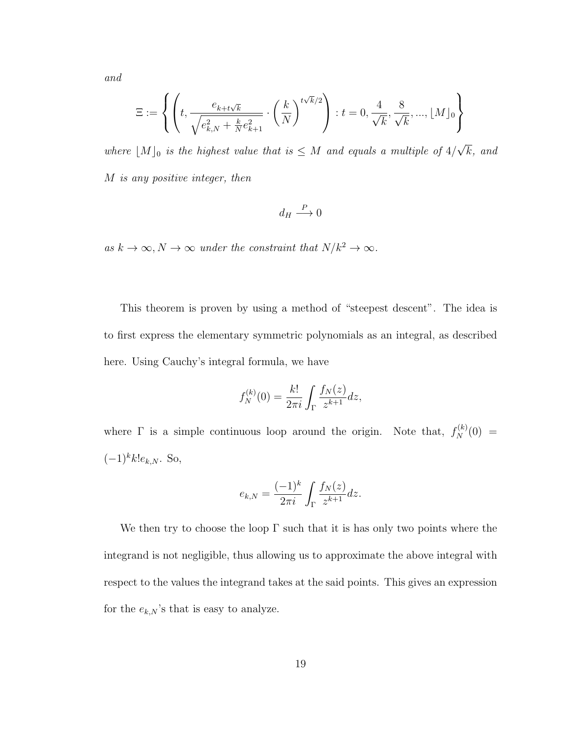and

$$
\Xi:=\left\{\left(t,\frac{e_{k+t\sqrt{k}}}{\sqrt{e_{k,N}^2+\frac{k}{N}e_{k+1}^2}}\cdot\left(\frac{k}{N}\right)^{t\sqrt{k}/2}\right): t=0,\frac{4}{\sqrt{k}},\frac{8}{\sqrt{k}},...,\lfloor M\rfloor_0\right\}
$$

where  $[M]_0$  is the highest value that is  $\leq M$  and equals a multiple of 4/ k, and M is any positive integer, then

$$
d_H \stackrel{P}{\longrightarrow} 0
$$

as  $k \to \infty$ ,  $N \to \infty$  under the constraint that  $N/k^2 \to \infty$ .

This theorem is proven by using a method of "steepest descent". The idea is to first express the elementary symmetric polynomials as an integral, as described here. Using Cauchy's integral formula, we have

$$
f_N^{(k)}(0) = \frac{k!}{2\pi i} \int_{\Gamma} \frac{f_N(z)}{z^{k+1}} dz,
$$

where  $\Gamma$  is a simple continuous loop around the origin. Note that,  $f_N^{(k)}(0) =$  $(-1)^k k! e_{k,N}$ . So,

$$
e_{k,N} = \frac{(-1)^k}{2\pi i} \int_{\Gamma} \frac{f_N(z)}{z^{k+1}} dz.
$$

We then try to choose the loop  $\Gamma$  such that it is has only two points where the integrand is not negligible, thus allowing us to approximate the above integral with respect to the values the integrand takes at the said points. This gives an expression for the  $e_{k,N}$ 's that is easy to analyze.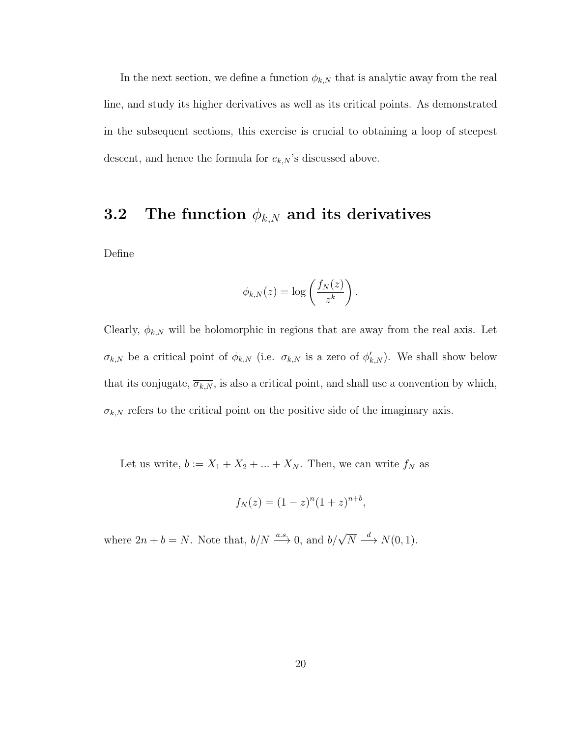In the next section, we define a function  $\phi_{k,N}$  that is analytic away from the real line, and study its higher derivatives as well as its critical points. As demonstrated in the subsequent sections, this exercise is crucial to obtaining a loop of steepest descent, and hence the formula for  $e_{k,N}$ 's discussed above.

## 3.2 The function  $\phi_{k,N}$  and its derivatives

Define

$$
\phi_{k,N}(z) = \log\left(\frac{f_N(z)}{z^k}\right).
$$

Clearly,  $\phi_{k,N}$  will be holomorphic in regions that are away from the real axis. Let  $\sigma_{k,N}$  be a critical point of  $\phi_{k,N}$  (i.e.  $\sigma_{k,N}$  is a zero of  $\phi'_{k,N}$ ). We shall show below that its conjugate,  $\overline{\sigma_{k,N}}$ , is also a critical point, and shall use a convention by which,  $\sigma_{k,N}$  refers to the critical point on the positive side of the imaginary axis.

Let us write,  $b := X_1 + X_2 + \ldots + X_N$ . Then, we can write  $f_N$  as

$$
f_N(z) = (1 - z)^n (1 + z)^{n+b},
$$

where  $2n + b = N$ . Note that,  $b/N \stackrel{a.s.}{\longrightarrow} 0$ , and  $b/\sqrt{N} \stackrel{d}{\longrightarrow} N(0, 1)$ .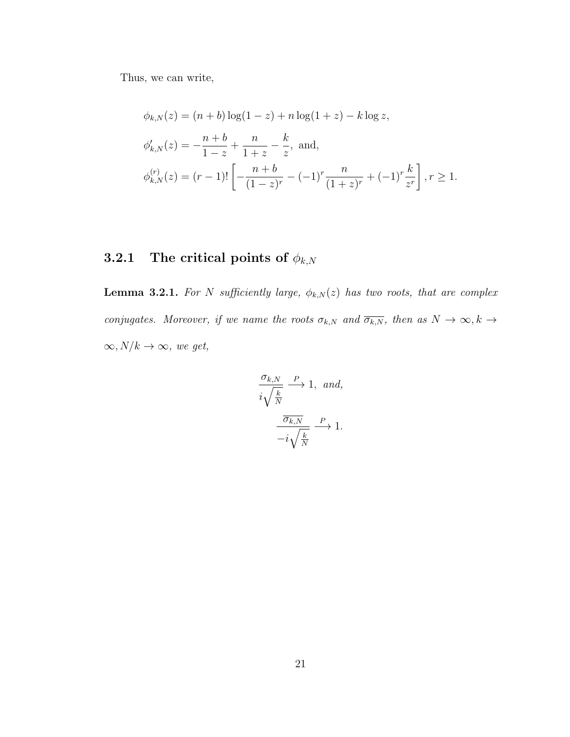Thus, we can write,

$$
\phi_{k,N}(z) = (n+b)\log(1-z) + n\log(1+z) - k\log z,
$$
  
\n
$$
\phi'_{k,N}(z) = -\frac{n+b}{1-z} + \frac{n}{1+z} - \frac{k}{z}, \text{ and,}
$$
  
\n
$$
\phi_{k,N}^{(r)}(z) = (r-1)! \left[ -\frac{n+b}{(1-z)^r} - (-1)^r \frac{n}{(1+z)^r} + (-1)^r \frac{k}{z^r} \right], r \ge 1.
$$

## 3.2.1 The critical points of  $\phi_{k,N}$

**Lemma 3.2.1.** For N sufficiently large,  $\phi_{k,N}(z)$  has two roots, that are complex conjugates. Moreover, if we name the roots  $\sigma_{k,N}$  and  $\overline{\sigma_{k,N}}$ , then as  $N \to \infty$ ,  $k \to \infty$  $\infty, N/k \to \infty$ , we get,

$$
\frac{\sigma_{k,N}}{i\sqrt{\frac{k}{N}}} \xrightarrow{P} 1, \text{ and,}
$$

$$
\frac{\overline{\sigma_{k,N}}}{-i\sqrt{\frac{k}{N}}} \xrightarrow{P} 1.
$$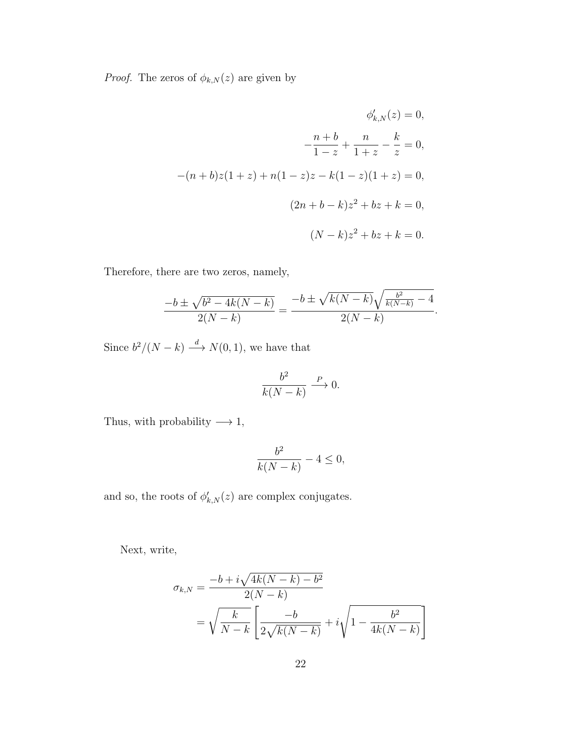*Proof.* The zeros of  $\phi_{k,N}(z)$  are given by

$$
\phi'_{k,N}(z) = 0,
$$
  

$$
-\frac{n+b}{1-z} + \frac{n}{1+z} - \frac{k}{z} = 0,
$$
  

$$
-(n+b)z(1+z) + n(1-z)z - k(1-z)(1+z) = 0,
$$
  

$$
(2n+b-k)z^2 + bz + k = 0,
$$
  

$$
(N-k)z^2 + bz + k = 0.
$$

Therefore, there are two zeros, namely,

$$
\frac{-b \pm \sqrt{b^2 - 4k(N-k)}}{2(N-k)} = \frac{-b \pm \sqrt{k(N-k)}\sqrt{\frac{b^2}{k(N-k)}} - 4}{2(N-k)}.
$$

Since  $b^2/(N-k) \stackrel{d}{\longrightarrow} N(0, 1)$ , we have that

$$
\frac{b^2}{k(N-k)} \xrightarrow{P} 0.
$$

Thus, with probability  $\longrightarrow$  1,

$$
\frac{b^2}{k(N-k)} - 4 \le 0,
$$

and so, the roots of  $\phi'_{k,N}(z)$  are complex conjugates.

Next, write,

$$
\sigma_{k,N} = \frac{-b + i\sqrt{4k(N-k) - b^2}}{2(N-k)} \n= \sqrt{\frac{k}{N-k}} \left[ \frac{-b}{2\sqrt{k(N-k)}} + i\sqrt{1 - \frac{b^2}{4k(N-k)}} \right]
$$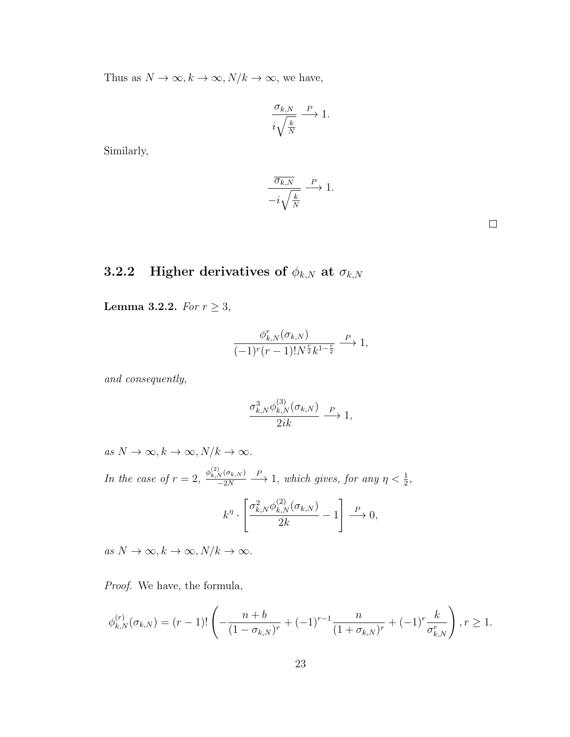Thus as  $N\to\infty, k\to\infty, N/k\to\infty,$  we have,

$$
\frac{\sigma_{k,N}}{i\sqrt{\frac{k}{N}}} \xrightarrow{P} 1.
$$

Similarly,

$$
\frac{\overline{\sigma_{k,N}}}{-i\sqrt{\frac{k}{N}}} \xrightarrow{P} 1.
$$

## 3.2.2 Higher derivatives of  $\phi_{k,N}$  at  $\sigma_{k,N}$

Lemma 3.2.2. For  $r \geq 3$ ,

$$
\frac{\phi_{k,N}^r(\sigma_{k,N})}{(-1)^r(r-1)!N^{\frac{r}{2}}k^{1-\frac{r}{2}}} \xrightarrow{P} 1,
$$

and consequently,

$$
\frac{\sigma_{k,N}^3 \phi_{k,N}^{(3)}(\sigma_{k,N})}{2ik} \xrightarrow{P} 1,
$$

as  $N \to \infty, k \to \infty, N/k \to \infty$ .

In the case of  $r = 2$ ,  $\frac{\phi_{k,N}^{(2)}(\sigma_{k,N})}{\phi_{k,N}}$  $-2N$  $\stackrel{P}{\longrightarrow}$  1, which gives, for any  $\eta < \frac{1}{2}$ ,

$$
k^{\eta} \cdot \left[ \frac{\sigma_{k,N}^2 \phi_{k,N}^{(2)}(\sigma_{k,N})}{2k} - 1 \right] \xrightarrow{P} 0,
$$

as  $N \to \infty, k \to \infty, N/k \to \infty$ .

Proof. We have, the formula,

$$
\phi_{k,N}^{(r)}(\sigma_{k,N}) = (r-1)! \left( -\frac{n+b}{(1-\sigma_{k,N})^r} + (-1)^{r-1} \frac{n}{(1+\sigma_{k,N})^r} + (-1)^r \frac{k}{\sigma_{k,N}^r} \right), r \ge 1.
$$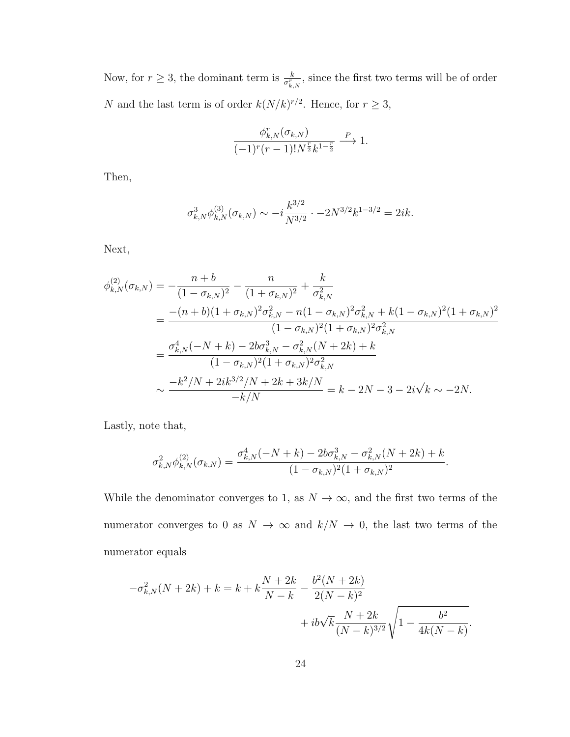Now, for  $r \geq 3$ , the dominant term is  $\frac{k}{\sigma_{k,N}^r}$ , since the first two terms will be of order N and the last term is of order  $k(N/k)^{r/2}$ . Hence, for  $r \geq 3$ ,

$$
\frac{\phi_{k,N}^r(\sigma_{k,N})}{(-1)^r(r-1)!N^{\frac{r}{2}}k^{1-\frac{r}{2}}} \xrightarrow{P} 1.
$$

Then,

$$
\sigma_{k,N}^3 \phi_{k,N}^{(3)} (\sigma_{k,N}) \sim -i \frac{k^{3/2}}{N^{3/2}} \cdot -2N^{3/2} k^{1-3/2} = 2ik.
$$

Next,

$$
\phi_{k,N}^{(2)}(\sigma_{k,N}) = -\frac{n+b}{(1-\sigma_{k,N})^2} - \frac{n}{(1+\sigma_{k,N})^2} + \frac{k}{\sigma_{k,N}^2}
$$
\n
$$
= \frac{-(n+b)(1+\sigma_{k,N})^2 \sigma_{k,N}^2 - n(1-\sigma_{k,N})^2 \sigma_{k,N}^2 + k(1-\sigma_{k,N})^2 (1+\sigma_{k,N})^2}{(1-\sigma_{k,N})^2 (1+\sigma_{k,N})^2 \sigma_{k,N}^2}
$$
\n
$$
= \frac{\sigma_{k,N}^4(-N+k) - 2b\sigma_{k,N}^3 - \sigma_{k,N}^2(N+2k) + k}{(1-\sigma_{k,N})^2 (1+\sigma_{k,N})^2 \sigma_{k,N}^2}
$$
\n
$$
\sim \frac{-k^2/N + 2ik^{3/2}/N + 2k + 3k/N}{-k/N} = k - 2N - 3 - 2i\sqrt{k} \sim -2N.
$$

Lastly, note that,

$$
\sigma_{k,N}^2 \phi_{k,N}^{(2)}(\sigma_{k,N}) = \frac{\sigma_{k,N}^4(-N+k) - 2b\sigma_{k,N}^3 - \sigma_{k,N}^2(N+2k) + k}{(1 - \sigma_{k,N})^2(1 + \sigma_{k,N})^2}.
$$

While the denominator converges to 1, as  $N \to \infty$ , and the first two terms of the numerator converges to 0 as  $N$   $\rightarrow$   $\infty$  and  $k/N$   $\rightarrow$  0, the last two terms of the numerator equals

$$
-\sigma_{k,N}^2(N+2k) + k = k + k\frac{N+2k}{N-k} - \frac{b^2(N+2k)}{2(N-k)^2} + ib\sqrt{k}\frac{N+2k}{(N-k)^{3/2}}\sqrt{1 - \frac{b^2}{4k(N-k)}}.
$$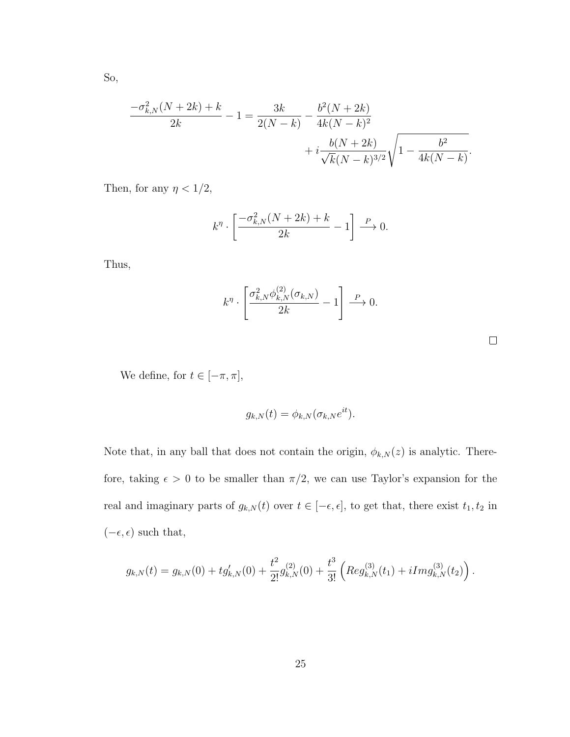So,

$$
\frac{-\sigma_{k,N}^2(N+2k)+k}{2k} - 1 = \frac{3k}{2(N-k)} - \frac{b^2(N+2k)}{4k(N-k)^2} + i\frac{b(N+2k)}{\sqrt{k}(N-k)^{3/2}}\sqrt{1 - \frac{b^2}{4k(N-k)}}.
$$

Then, for any  $\eta < 1/2,$ 

$$
k^{\eta} \cdot \left[ \frac{-\sigma_{k,N}^2 (N+2k) + k}{2k} - 1 \right] \xrightarrow{P} 0.
$$

Thus,

$$
k^{\eta} \cdot \left[ \frac{\sigma_{k,N}^2 \phi_{k,N}^{(2)}(\sigma_{k,N})}{2k} - 1 \right] \xrightarrow{P} 0.
$$

We define, for  $t\in[-\pi,\pi],$ 

$$
g_{k,N}(t) = \phi_{k,N}(\sigma_{k,N}e^{it}).
$$

Note that, in any ball that does not contain the origin,  $\phi_{k,N}(z)$  is analytic. Therefore, taking  $\epsilon > 0$  to be smaller than  $\pi/2$ , we can use Taylor's expansion for the real and imaginary parts of  $g_{k,N}(t)$  over  $t \in [-\epsilon, \epsilon]$ , to get that, there exist  $t_1, t_2$  in  $(-\epsilon, \epsilon)$  such that,

$$
g_{k,N}(t) = g_{k,N}(0) + t g'_{k,N}(0) + \frac{t^2}{2!} g_{k,N}^{(2)}(0) + \frac{t^3}{3!} \left( \mathop{Reg}_{k,N}^{(3)}(t_1) + i \mathop{Img}_{k,N}^{(3)}(t_2) \right).
$$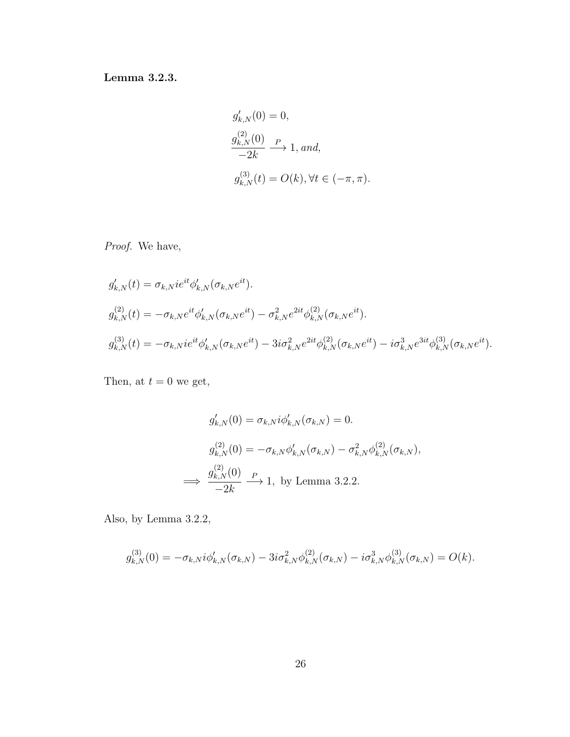Lemma 3.2.3.

$$
g'_{k,N}(0) = 0,
$$
  
\n $g_{k,N}^{(2)}(0) \xrightarrow{P} 1, and,$   
\n $g_{k,N}^{(3)}(t) = O(k), \forall t \in (-\pi, \pi).$ 

Proof. We have,

$$
g'_{k,N}(t) = \sigma_{k,N}ie^{it}\phi'_{k,N}(\sigma_{k,N}e^{it}).
$$
  
\n
$$
g^{(2)}_{k,N}(t) = -\sigma_{k,N}e^{it}\phi'_{k,N}(\sigma_{k,N}e^{it}) - \sigma_{k,N}^2e^{2it}\phi^{(2)}_{k,N}(\sigma_{k,N}e^{it}).
$$
  
\n
$$
g^{(3)}_{k,N}(t) = -\sigma_{k,N}ie^{it}\phi'_{k,N}(\sigma_{k,N}e^{it}) - 3i\sigma_{k,N}^2e^{2it}\phi^{(2)}_{k,N}(\sigma_{k,N}e^{it}) - i\sigma_{k,N}^3e^{3it}\phi^{(3)}_{k,N}(\sigma_{k,N}e^{it}).
$$

Then, at  $t = 0$  we get,

$$
g'_{k,N}(0) = \sigma_{k,N} i \phi'_{k,N}(\sigma_{k,N}) = 0.
$$
  

$$
g^{(2)}_{k,N}(0) = -\sigma_{k,N} \phi'_{k,N}(\sigma_{k,N}) - \sigma_{k,N}^2 \phi^{(2)}_{k,N}(\sigma_{k,N}),
$$
  

$$
\implies \frac{g^{(2)}_{k,N}(0)}{-2k} \xrightarrow{P} 1, \text{ by Lemma 3.2.2.}
$$

Also, by Lemma 3.2.2,

$$
g_{k,N}^{(3)}(0) = -\sigma_{k,N} i\phi'_{k,N}(\sigma_{k,N}) - 3i\sigma_{k,N}^2 \phi_{k,N}^{(2)}(\sigma_{k,N}) - i\sigma_{k,N}^3 \phi_{k,N}^{(3)}(\sigma_{k,N}) = O(k).
$$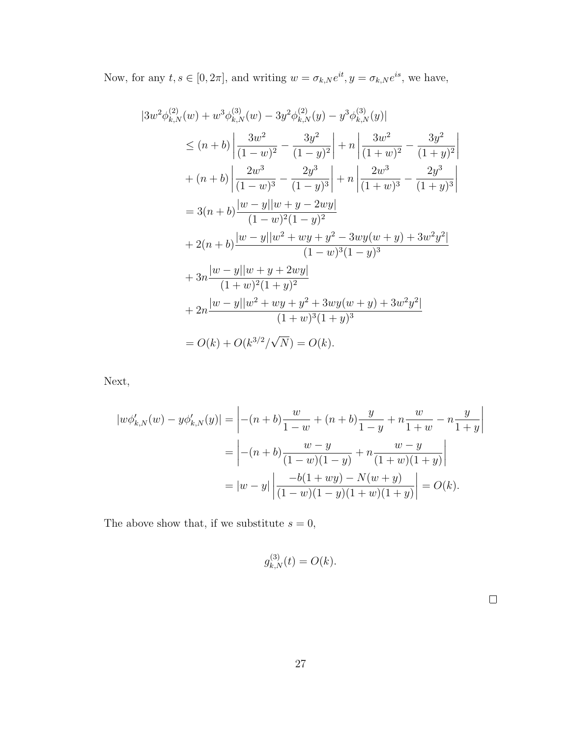Now, for any  $t, s \in [0, 2\pi]$ , and writing  $w = \sigma_{k,N} e^{it}$ ,  $y = \sigma_{k,N} e^{is}$ , we have,

$$
|3w^{2}\phi_{k,N}^{(2)}(w) + w^{3}\phi_{k,N}^{(3)}(w) - 3y^{2}\phi_{k,N}^{(2)}(y) - y^{3}\phi_{k,N}^{(3)}(y)|
$$
  
\n
$$
\leq (n+b) \left| \frac{3w^{2}}{(1-w)^{2}} - \frac{3y^{2}}{(1-y)^{2}} \right| + n \left| \frac{3w^{2}}{(1+w)^{2}} - \frac{3y^{2}}{(1+y)^{2}} \right|
$$
  
\n
$$
+ (n+b) \left| \frac{2w^{3}}{(1-w)^{3}} - \frac{2y^{3}}{(1-y)^{3}} \right| + n \left| \frac{2w^{3}}{(1+w)^{3}} - \frac{2y^{3}}{(1+y)^{3}} \right|
$$
  
\n
$$
= 3(n+b) \frac{|w-y||w+y-2wy|}{(1-w)^{2}(1-y)^{2}}
$$
  
\n
$$
+ 2(n+b) \frac{|w-y||w^{2}+wy+y^{2}-3wy(w+y)+3w^{2}y^{2}|}{(1-w)^{3}(1-y)^{3}}
$$
  
\n
$$
+ 3n \frac{|w-y||w+y+2wy|}{(1+w)^{2}(1+y)^{2}}
$$
  
\n
$$
+ 2n \frac{|w-y||w^{2}+wy+y^{2}+3wy(w+y)+3w^{2}y^{2}|}{(1+w)^{3}(1+y)^{3}}
$$
  
\n
$$
= O(k) + O(k^{3/2}/\sqrt{N}) = O(k).
$$

Next,

$$
|w\phi'_{k,N}(w) - y\phi'_{k,N}(y)| = \left| -(n+b)\frac{w}{1-w} + (n+b)\frac{y}{1-y} + n\frac{w}{1+w} - n\frac{y}{1+y} \right|
$$
  
= 
$$
\left| -(n+b)\frac{w-y}{(1-w)(1-y)} + n\frac{w-y}{(1+w)(1+y)} \right|
$$
  
= 
$$
|w-y| \left| \frac{-b(1+wy) - N(w+y)}{(1-w)(1-y)(1+w)(1+y)} \right| = O(k).
$$

The above show that, if we substitute  $s = 0$ ,

$$
g_{k,N}^{(3)}(t) = O(k).
$$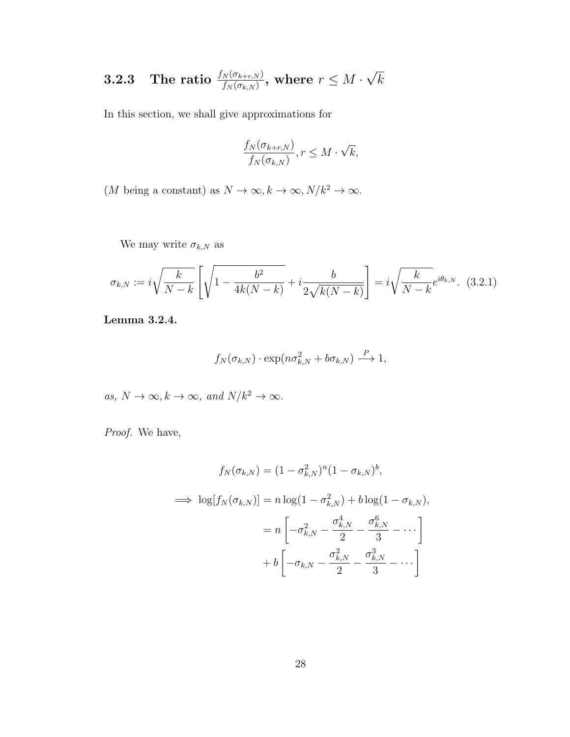#### $\textbf{3.2.3} \quad \textbf{The ratio} \,\, \frac{f_N(\sigma_{k+r,N})}{f_N(\sigma_{k,N})}, \text{ where } r \leq M \cdot$ √ k

In this section, we shall give approximations for

$$
\frac{f_N(\sigma_{k+r,N})}{f_N(\sigma_{k,N})}, r \le M \cdot \sqrt{k},
$$

 $(M$  being a constant) as  $N\to\infty, k\to\infty, N/k^2\to\infty.$ 

We may write  $\sigma_{k,N}$  as

$$
\sigma_{k,N} := i\sqrt{\frac{k}{N-k}} \left[ \sqrt{1 - \frac{b^2}{4k(N-k)}} + i \frac{b}{2\sqrt{k(N-k)}} \right] = i\sqrt{\frac{k}{N-k}} e^{i\theta_{k,N}}.
$$
 (3.2.1)

Lemma 3.2.4.

$$
f_N(\sigma_{k,N}) \cdot \exp(n\sigma_{k,N}^2 + b\sigma_{k,N}) \xrightarrow{P} 1,
$$

as,  $N \to \infty$ ,  $k \to \infty$ , and  $N/k^2 \to \infty$ .

Proof. We have,

$$
f_N(\sigma_{k,N}) = (1 - \sigma_{k,N}^2)^n (1 - \sigma_{k,N})^b,
$$
  
\n
$$
\implies \log[f_N(\sigma_{k,N})] = n \log(1 - \sigma_{k,N}^2) + b \log(1 - \sigma_{k,N}),
$$
  
\n
$$
= n \left[ -\sigma_{k,N}^2 - \frac{\sigma_{k,N}^4}{2} - \frac{\sigma_{k,N}^6}{3} - \cdots \right]
$$
  
\n
$$
+ b \left[ -\sigma_{k,N} - \frac{\sigma_{k,N}^2}{2} - \frac{\sigma_{k,N}^3}{3} - \cdots \right]
$$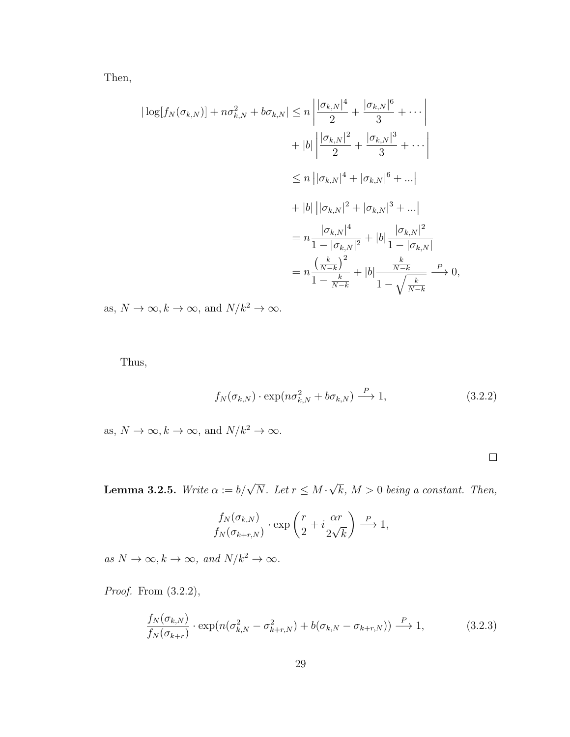Then,

$$
|\log[f_N(\sigma_{k,N})] + n\sigma_{k,N}^2 + b\sigma_{k,N}| \le n \left| \frac{|\sigma_{k,N}|^4}{2} + \frac{|\sigma_{k,N}|^6}{3} + \cdots \right|
$$
  
+  $|b| \left| \frac{|\sigma_{k,N}|^2}{2} + \frac{|\sigma_{k,N}|^3}{3} + \cdots \right|$   
 $\le n \left| |\sigma_{k,N}|^4 + |\sigma_{k,N}|^6 + \cdots \right|$   
+  $|b| \left| |\sigma_{k,N}|^2 + |\sigma_{k,N}|^3 + \cdots \right|$   
=  $n \frac{|\sigma_{k,N}|^4}{1 - |\sigma_{k,N}|^2} + |b| \frac{|\sigma_{k,N}|^2}{1 - |\sigma_{k,N}|}$   
=  $n \frac{\left(\frac{k}{N-k}\right)^2}{1 - \frac{k}{N-k}} + |b| \frac{\frac{k}{N-k}}{1 - \sqrt{\frac{k}{N-k}}} \xrightarrow{P} 0,$ 

as,  $N\to\infty, k\to\infty,$  and  $N/k^2\to\infty.$ 

Thus,

$$
f_N(\sigma_{k,N}) \cdot \exp(n\sigma_{k,N}^2 + b\sigma_{k,N}) \stackrel{P}{\longrightarrow} 1,
$$
\n(3.2.2)

as,  $N\to\infty, k\to\infty,$  and  $N/k^2\to\infty.$ 

**Lemma 3.2.5.** Write  $\alpha := b/\sqrt{N}$ . Let  $r \leq M$ . √  $k, M > 0$  being a constant. Then,

$$
\frac{f_N(\sigma_{k,N})}{f_N(\sigma_{k+r,N})} \cdot \exp\left(\frac{r}{2} + i\frac{\alpha r}{2\sqrt{k}}\right) \stackrel{P}{\longrightarrow} 1,
$$

as  $N \to \infty$ ,  $k \to \infty$ , and  $N/k^2 \to \infty$ .

Proof. From  $(3.2.2)$ ,

$$
\frac{f_N(\sigma_{k,N})}{f_N(\sigma_{k+r})} \cdot \exp(n(\sigma_{k,N}^2 - \sigma_{k+r,N}^2) + b(\sigma_{k,N} - \sigma_{k+r,N})) \xrightarrow{P} 1, \tag{3.2.3}
$$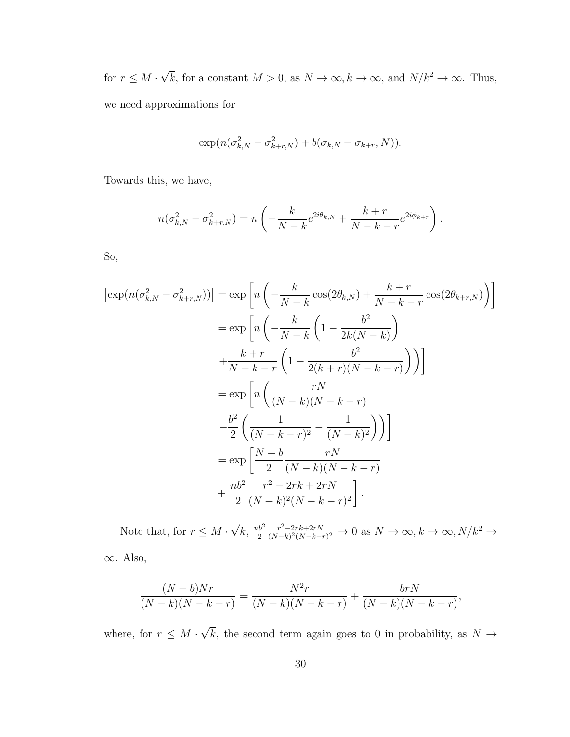for  $r \leq M$ . √  $\overline{k}$ , for a constant  $M > 0$ , as  $N \to \infty$ ,  $k \to \infty$ , and  $N/k^2 \to \infty$ . Thus, we need approximations for

$$
\exp(n(\sigma_{k,N}^2 - \sigma_{k+r,N}^2) + b(\sigma_{k,N} - \sigma_{k+r}, N)).
$$

Towards this, we have,

$$
n(\sigma_{k,N}^2 - \sigma_{k+r,N}^2) = n\left(-\frac{k}{N-k}e^{2i\theta_{k,N}} + \frac{k+r}{N-k-r}e^{2i\phi_{k+r}}\right).
$$

So,

$$
\begin{split} \left| \exp(n(\sigma_{k,N}^2 - \sigma_{k+r,N}^2)) \right| &= \exp\left[ n\left( -\frac{k}{N-k} \cos(2\theta_{k,N}) + \frac{k+r}{N-k-r} \cos(2\theta_{k+r,N}) \right) \right] \\ &= \exp\left[ n\left( -\frac{k}{N-k} \left( 1 - \frac{b^2}{2k(N-k)} \right) \right. \\ &\left. + \frac{k+r}{N-k-r} \left( 1 - \frac{b^2}{2(k+r)(N-k-r)} \right) \right) \right] \\ &= \exp\left[ n\left( \frac{rN}{(N-k)(N-k-r)} \right. \\ &\left. - \frac{b^2}{2} \left( \frac{1}{(N-k-r)^2} - \frac{1}{(N-k)^2} \right) \right) \right] \\ &= \exp\left[ \frac{N-b}{2} \frac{rN}{(N-k)(N-k-r)} \right. \\ &\left. + \frac{nb^2}{2} \frac{r^2 - 2rk + 2rN}{(N-k)^2(N-k-r)^2} \right]. \end{split}
$$

Note that, for  $r \leq M$ . √  $\overline{k}, \frac{nb^2}{2}$ 2  $r^2 - 2rk + 2rN$  $\frac{r^2-2rk+2rN}{(N-k)^2(N-k-r)^2} \to 0$  as  $N \to \infty, k \to \infty, N/k^2 \to$ 

∞. Also,

$$
\frac{(N-b)Nr}{(N-k)(N-k-r)} = \frac{N^2r}{(N-k)(N-k-r)} + \frac{brN}{(N-k)(N-k-r)},
$$

where, for  $r \leq M$ . √ k, the second term again goes to 0 in probability, as  $N \rightarrow$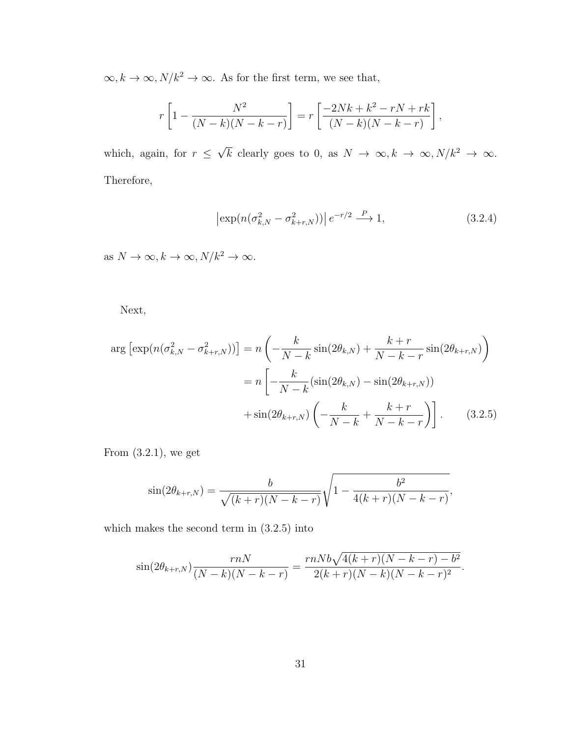$\infty, k \to \infty, N/k^2 \to \infty.$  As for the first term, we see that,

$$
r\left[1-\frac{N^2}{(N-k)(N-k-r)}\right] = r\left[\frac{-2Nk+k^2-rN+rk}{(N-k)(N-k-r)}\right],
$$

which, again, for  $r \leq$ √  $\overline{k}$  clearly goes to 0, as  $N \to \infty, k \to \infty, N/k^2 \to \infty$ . Therefore,

$$
\left|\exp(n(\sigma_{k,N}^2 - \sigma_{k+r,N}^2))\right| e^{-r/2} \xrightarrow{P} 1,\tag{3.2.4}
$$

as  $N \to \infty, k \to \infty, N/k^2 \to \infty$ .

Next,

$$
\arg\left[\exp(n(\sigma_{k,N}^2 - \sigma_{k+r,N}^2))\right] = n\left(-\frac{k}{N-k}\sin(2\theta_{k,N}) + \frac{k+r}{N-k-r}\sin(2\theta_{k+r,N})\right)
$$

$$
= n\left[-\frac{k}{N-k}(\sin(2\theta_{k,N}) - \sin(2\theta_{k+r,N})) + \sin(2\theta_{k+r,N})\left(-\frac{k}{N-k} + \frac{k+r}{N-k-r}\right)\right].
$$
(3.2.5)

From (3.2.1), we get

$$
\sin(2\theta_{k+r,N}) = \frac{b}{\sqrt{(k+r)(N-k-r)}}\sqrt{1-\frac{b^2}{4(k+r)(N-k-r)}},
$$

which makes the second term in (3.2.5) into

$$
\sin(2\theta_{k+r,N})\frac{rnN}{(N-k)(N-k-r)} = \frac{rnNb\sqrt{4(k+r)(N-k-r)-b^2}}{2(k+r)(N-k)(N-k-r)^2}.
$$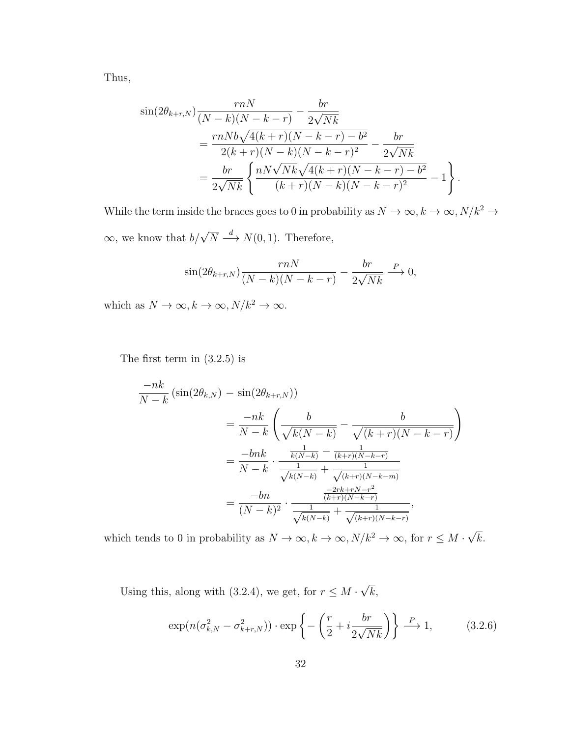Thus,

$$
\sin(2\theta_{k+r,N})\frac{rnN}{(N-k)(N-k-r)} - \frac{br}{2\sqrt{Nk}}\n= \frac{rnNb\sqrt{4(k+r)(N-k-r)-b^2}}{2(k+r)(N-k)(N-k-r)^2} - \frac{br}{2\sqrt{Nk}}\n= \frac{br}{2\sqrt{Nk}}\left\{\frac{nN\sqrt{Nk}\sqrt{4(k+r)(N-k-r)-b^2}}{(k+r)(N-k)(N-k-r)^2} - 1\right\}.
$$

While the term inside the braces goes to 0 in probability as  $N\to\infty, k\to\infty, N/k^2\to$  $\infty$ , we know that  $b/\sqrt{N} \stackrel{d}{\longrightarrow} N(0, 1)$ . Therefore,

$$
\sin(2\theta_{k+r,N})\frac{rnN}{(N-k)(N-k-r)} - \frac{br}{2\sqrt{Nk}} \xrightarrow{P} 0,
$$

which as  $N \to \infty, k \to \infty, N/k^2 \to \infty$ .

The first term in (3.2.5) is

$$
\frac{-nk}{N-k} \left( \sin(2\theta_{k,N}) - \sin(2\theta_{k+r,N}) \right)
$$
\n
$$
= \frac{-nk}{N-k} \left( \frac{b}{\sqrt{k(N-k)}} - \frac{b}{\sqrt{(k+r)(N-k-r)}} \right)
$$
\n
$$
= \frac{-bnk}{N-k} \cdot \frac{\frac{1}{k(N-k)} - \frac{1}{(k+r)(N-k-r)}}{\frac{1}{\sqrt{k(N-k)}} + \frac{1}{\sqrt{(k+r)(N-k-m)}}}
$$
\n
$$
= \frac{-bn}{(N-k)^2} \cdot \frac{\frac{-2rk+rN-r^2}{(k+r)(N-k-r)}}{\frac{1}{\sqrt{k(N-k)}} + \frac{1}{\sqrt{(k+r)(N-k-r)}}},
$$

which tends to 0 in probability as  $N \to \infty$ ,  $k \to \infty$ ,  $N/k^2 \to \infty$ , for  $r \leq M$ . √ k.

Using this, along with (3.2.4), we get, for  $r \leq M$ . √  $k,$ 

$$
\exp(n(\sigma_{k,N}^2 - \sigma_{k+r,N}^2)) \cdot \exp\left\{-\left(\frac{r}{2} + i\frac{br}{2\sqrt{Nk}}\right)\right\} \xrightarrow{P} 1,\tag{3.2.6}
$$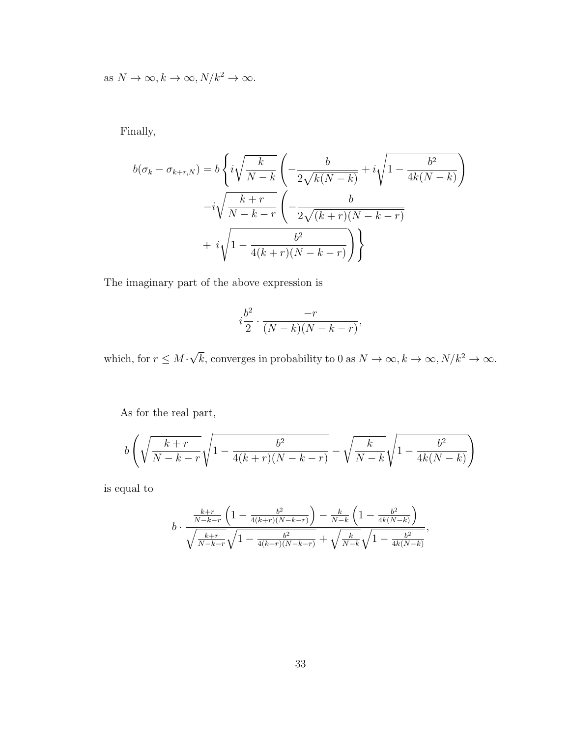as  $N \to \infty, k \to \infty, N/k^2 \to \infty$ .

Finally,

$$
b(\sigma_k - \sigma_{k+r,N}) = b \left\{ i \sqrt{\frac{k}{N-k}} \left( -\frac{b}{2\sqrt{k(N-k)}} + i \sqrt{1 - \frac{b^2}{4k(N-k)}} \right) - i \sqrt{\frac{k+r}{N-k-r}} \left( -\frac{b}{2\sqrt{(k+r)(N-k-r)}} + i \sqrt{1 - \frac{b^2}{4(k+r)(N-k-r)}} \right) \right\}
$$

The imaginary part of the above expression is

$$
i\frac{b^2}{2} \cdot \frac{-r}{(N-k)(N-k-r)},
$$

which, for  $r \leq M$ . √  $\overline{k}$ , converges in probability to 0 as  $N \to \infty$ ,  $k \to \infty$ ,  $N/k^2 \to \infty$ .

As for the real part,

$$
b\left(\sqrt{\frac{k+r}{N-k-r}}\sqrt{1-\frac{b^2}{4(k+r)(N-k-r)}}-\sqrt{\frac{k}{N-k}}\sqrt{1-\frac{b^2}{4k(N-k)}}\right)
$$

is equal to

$$
b \cdot \frac{\frac{k+r}{N-k-r} \left(1 - \frac{b^2}{4(k+r)(N-k-r)}\right) - \frac{k}{N-k} \left(1 - \frac{b^2}{4k(N-k)}\right)}{\sqrt{\frac{k+r}{N-k-r}} \sqrt{1 - \frac{b^2}{4(k+r)(N-k-r)}} + \sqrt{\frac{k}{N-k}} \sqrt{1 - \frac{b^2}{4k(N-k)}}},
$$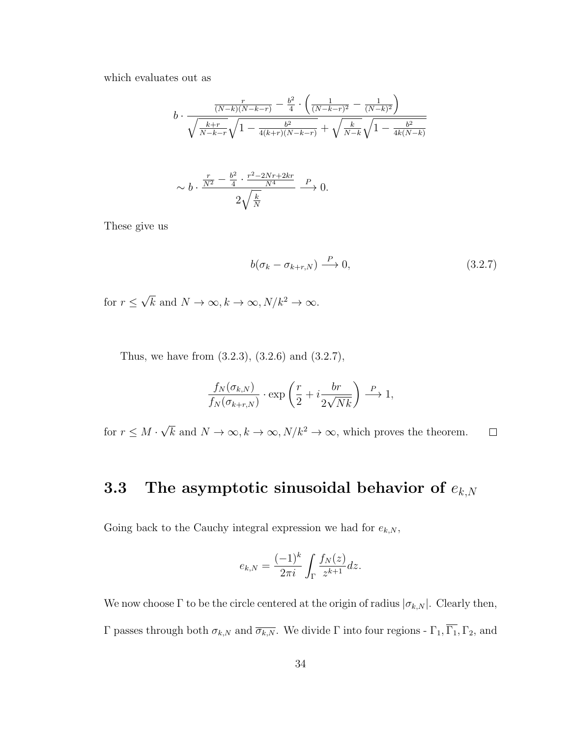which evaluates out as

$$
b \cdot \frac{\frac{r}{(N-k)(N-k-r)} - \frac{b^2}{4} \cdot \left(\frac{1}{(N-k-r)^2} - \frac{1}{(N-k)^2}\right)}{\sqrt{\frac{k+r}{N-k-r}} \sqrt{1 - \frac{b^2}{4(k+r)(N-k-r)}} + \sqrt{\frac{k}{N-k}} \sqrt{1 - \frac{b^2}{4k(N-k)}}}
$$

$$
\sim b \cdot \frac{\frac{r}{N^2} - \frac{b^2}{4} \cdot \frac{r^2 - 2Nr + 2kr}{N^4}}{\frac{2\sqrt{\frac{k}{N}}}{K}} \xrightarrow{P} 0.
$$

These give us

$$
b(\sigma_k - \sigma_{k+r,N}) \stackrel{P}{\longrightarrow} 0,\tag{3.2.7}
$$

for  $r \leq$ √  $\overline{k}$  and  $N \to \infty, k \to \infty, N/k^2 \to \infty$ .

Thus, we have from (3.2.3), (3.2.6) and (3.2.7),

$$
\frac{f_N(\sigma_{k,N})}{f_N(\sigma_{k+r,N})}\cdot \exp\left(\frac{r}{2}+i\frac{br}{2\sqrt{Nk}}\right)\stackrel{P}{\longrightarrow} 1,
$$

√  $\overline{k}$  and  $N \to \infty, k \to \infty, N/k^2 \to \infty$ , which proves the theorem. for  $r \leq M$ .  $\Box$ 

## 3.3 The asymptotic sinusoidal behavior of  $e_{k,N}$

Going back to the Cauchy integral expression we had for  $e_{k,N},$ 

$$
e_{k,N} = \frac{(-1)^k}{2\pi i} \int_{\Gamma} \frac{f_N(z)}{z^{k+1}} dz.
$$

We now choose  $\Gamma$  to be the circle centered at the origin of radius  $|\sigma_{k,N}|$ . Clearly then, Γ passes through both  $\sigma_{k,N}$  and  $\overline{\sigma_{k,N}}$ . We divide Γ into four regions - Γ<sub>1</sub>, Γ<sub>1</sub>, Γ<sub>2</sub>, and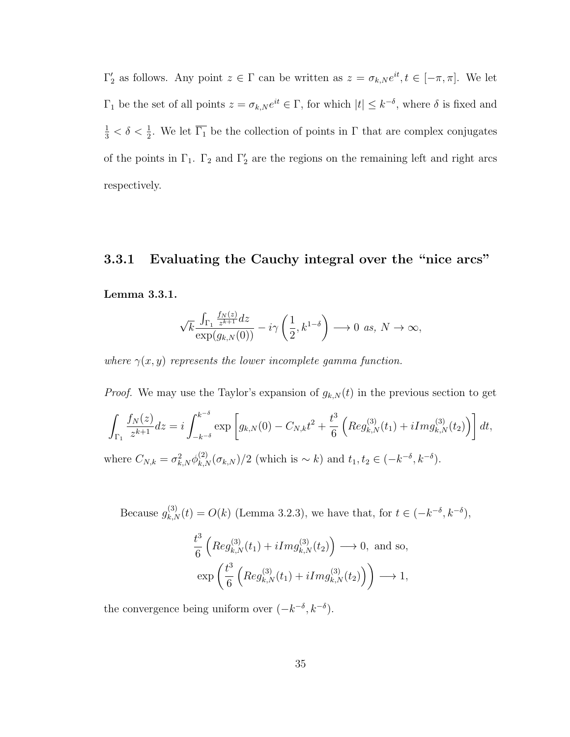$\Gamma'_2$  as follows. Any point  $z \in \Gamma$  can be written as  $z = \sigma_{k,N} e^{it}$ ,  $t \in [-\pi, \pi]$ . We let  $\Gamma_1$  be the set of all points  $z = \sigma_{k,N} e^{it} \in \Gamma$ , for which  $|t| \leq k^{-\delta}$ , where  $\delta$  is fixed and  $\frac{1}{3} < \delta < \frac{1}{2}$ . We let  $\overline{\Gamma_1}$  be the collection of points in  $\Gamma$  that are complex conjugates of the points in  $\Gamma_1$ .  $\Gamma_2$  and  $\Gamma'_2$  are the regions on the remaining left and right arcs respectively.

# 3.3.1 Evaluating the Cauchy integral over the "nice arcs" Lemma 3.3.1.

$$
\sqrt{k}\frac{\int_{\Gamma_1}\frac{f_N(z)}{z^{k+1}}dz}{\exp(g_{k,N}(0))}-i\gamma\left(\frac{1}{2},k^{1-\delta}\right)\longrightarrow 0 \ \text{as, } N\to\infty,
$$

where  $\gamma(x, y)$  represents the lower incomplete gamma function.

*Proof.* We may use the Taylor's expansion of  $g_{k,N}(t)$  in the previous section to get

$$
\int_{\Gamma_1} \frac{f_N(z)}{z^{k+1}} dz = i \int_{-k^{-\delta}}^{k^{-\delta}} \exp \left[ g_{k,N}(0) - C_{N,k} t^2 + \frac{t^3}{6} \left( \text{Reg}_{k,N}^{(3)}(t_1) + i \text{Img}_{k,N}^{(3)}(t_2) \right) \right] dt,
$$
  
where  $C_{N,k} = \sigma_{k,N}^2 \phi_{k,N}^{(2)}(\sigma_{k,N})/2$  (which is  $\sim k$ ) and  $t_1, t_2 \in (-k^{-\delta}, k^{-\delta})$ .

Because  $g_{k,N}^{(3)}(t) = O(k)$  (Lemma 3.2.3), we have that, for  $t \in (-k^{-\delta}, k^{-\delta}),$ 

$$
\frac{t^3}{6} \left( Reg_{k,N}^{(3)}(t_1) + iImg_{k,N}^{(3)}(t_2) \right) \longrightarrow 0, \text{ and so,}
$$

$$
\exp\left(\frac{t^3}{6} \left( Reg_{k,N}^{(3)}(t_1) + iImg_{k,N}^{(3)}(t_2) \right) \right) \longrightarrow 1,
$$

the convergence being uniform over  $(-k^{-\delta}, k^{-\delta})$ .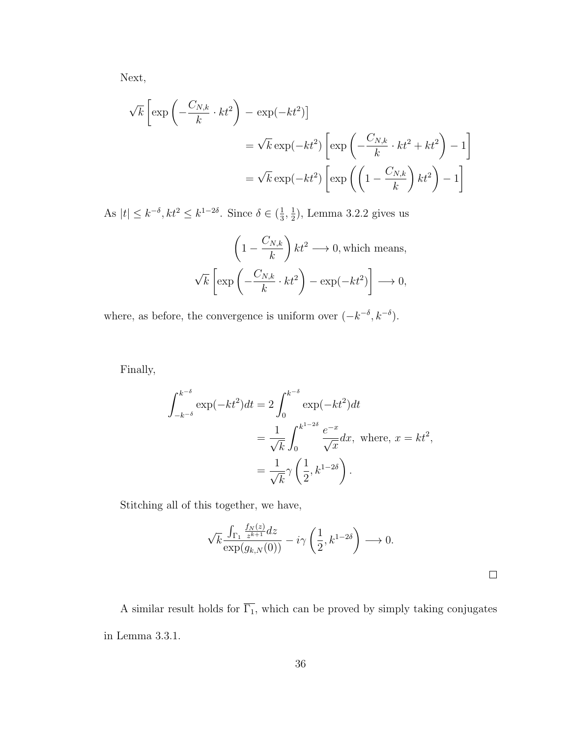Next,

$$
\sqrt{k} \left[ \exp \left( -\frac{C_{N,k}}{k} \cdot kt^2 \right) - \exp(-kt^2) \right]
$$
  
=  $\sqrt{k} \exp(-kt^2) \left[ \exp \left( -\frac{C_{N,k}}{k} \cdot kt^2 + kt^2 \right) - 1 \right]$   
=  $\sqrt{k} \exp(-kt^2) \left[ \exp \left( \left( 1 - \frac{C_{N,k}}{k} \right) kt^2 \right) - 1 \right]$ 

As  $|t| \leq k^{-\delta}, k t^2 \leq k^{1-2\delta}$ . Since  $\delta \in (\frac{1}{3})$  $\frac{1}{3}, \frac{1}{2}$  $(\frac{1}{2})$ , Lemma 3.2.2 gives us

$$
\left(1 - \frac{C_{N,k}}{k}\right)kt^2 \longrightarrow 0, \text{ which means,}
$$

$$
\sqrt{k}\left[\exp\left(-\frac{C_{N,k}}{k}\cdot kt^2\right) - \exp(-kt^2)\right] \longrightarrow 0,
$$

where, as before, the convergence is uniform over  $(-k^{-\delta}, k^{-\delta})$ .

Finally,

$$
\int_{-k^{-\delta}}^{k^{-\delta}} \exp(-kt^2)dt = 2 \int_0^{k^{-\delta}} \exp(-kt^2)dt
$$
  
= 
$$
\frac{1}{\sqrt{k}} \int_0^{k^{1-2\delta}} \frac{e^{-x}}{\sqrt{x}} dx, \text{ where, } x = kt^2,
$$
  
= 
$$
\frac{1}{\sqrt{k}} \gamma \left(\frac{1}{2}, k^{1-2\delta}\right).
$$

Stitching all of this together, we have,

$$
\sqrt{k} \frac{\int_{\Gamma_1} \frac{f_N(z)}{z^{k+1}} dz}{\exp(g_{k,N}(0))} - i\gamma \left(\frac{1}{2}, k^{1-2\delta}\right) \longrightarrow 0.
$$

 $\Box$ 

A similar result holds for  $\overline{\Gamma_1}$ , which can be proved by simply taking conjugates in Lemma 3.3.1.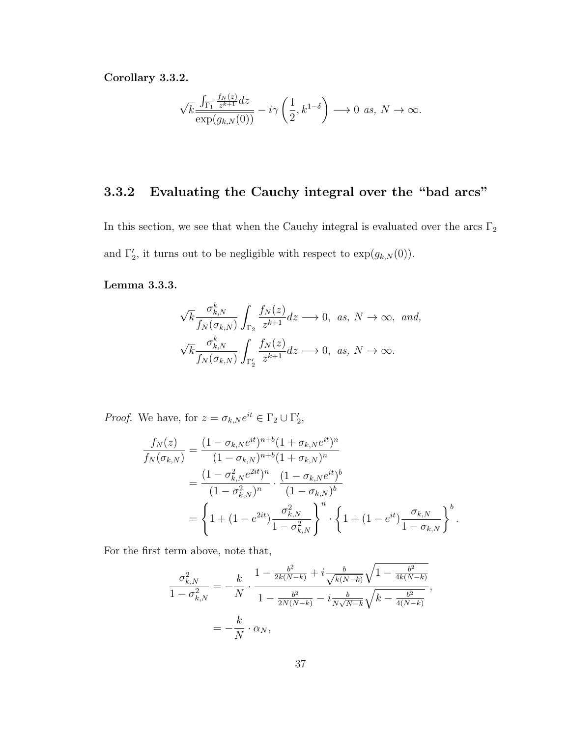Corollary 3.3.2.

$$
\sqrt{k}\frac{\int_{\overline{\Gamma_1}}\frac{f_N(z)}{z^{k+1}}dz}{\exp(g_{k,N}(0))}-i\gamma\left(\frac{1}{2},k^{1-\delta}\right)\longrightarrow 0 \ \ \text{as,}\ \ N\to\infty.
$$

## 3.3.2 Evaluating the Cauchy integral over the "bad arcs"

In this section, we see that when the Cauchy integral is evaluated over the arcs  $\Gamma_2$ and  $\Gamma'_2$ , it turns out to be negligible with respect to  $\exp(g_{k,N}(0))$ .

### Lemma 3.3.3.

$$
\sqrt{k} \frac{\sigma_{k,N}^k}{f_N(\sigma_{k,N})} \int_{\Gamma_2} \frac{f_N(z)}{z^{k+1}} dz \longrightarrow 0, \text{ as, } N \to \infty, \text{ and,}
$$
  

$$
\sqrt{k} \frac{\sigma_{k,N}^k}{f_N(\sigma_{k,N})} \int_{\Gamma_2'} \frac{f_N(z)}{z^{k+1}} dz \longrightarrow 0, \text{ as, } N \to \infty.
$$

*Proof.* We have, for  $z = \sigma_{k,N} e^{it} \in \Gamma_2 \cup \Gamma'_2$ ,

$$
\frac{f_N(z)}{f_N(\sigma_{k,N})} = \frac{(1 - \sigma_{k,N}e^{it})^{n+b}(1 + \sigma_{k,N}e^{it})^n}{(1 - \sigma_{k,N})^{n+b}(1 + \sigma_{k,N})^n}
$$
\n
$$
= \frac{(1 - \sigma_{k,N}^2e^{2it})^n}{(1 - \sigma_{k,N}^2)^n} \cdot \frac{(1 - \sigma_{k,N}e^{it})^b}{(1 - \sigma_{k,N})^b}
$$
\n
$$
= \left\{1 + (1 - e^{2it})\frac{\sigma_{k,N}^2}{1 - \sigma_{k,N}^2}\right\}^n \cdot \left\{1 + (1 - e^{it})\frac{\sigma_{k,N}^2}{1 - \sigma_{k,N}}\right\}^b.
$$

For the first term above, note that,

$$
\frac{\sigma_{k,N}^2}{1 - \sigma_{k,N}^2} = -\frac{k}{N} \cdot \frac{1 - \frac{b^2}{2k(N-k)} + i \frac{b}{\sqrt{k(N-k)}} \sqrt{1 - \frac{b^2}{4k(N-k)}}}{1 - \frac{b^2}{2N(N-k)} - i \frac{b}{N\sqrt{N-k}} \sqrt{k - \frac{b^2}{4(N-k)}}},
$$

$$
= -\frac{k}{N} \cdot \alpha_N,
$$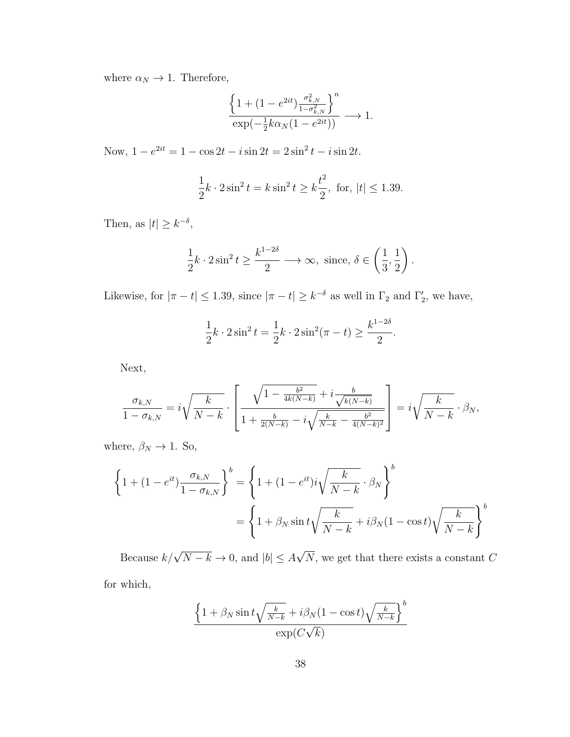where  $\alpha_N \to 1$ . Therefore,

$$
\frac{\left\{1+(1-e^{2it})\frac{\sigma^2_{k,N}}{1-\sigma^2_{k,N}}\right\}^n}{\exp(-\frac{1}{2}k\alpha_N(1-e^{2it}))}\longrightarrow 1.
$$

Now,  $1 - e^{2it} = 1 - \cos 2t - i \sin 2t = 2 \sin^2 t - i \sin 2t$ .

$$
\frac{1}{2}k \cdot 2\sin^2 t = k\sin^2 t \ge k\frac{t^2}{2}, \text{ for, } |t| \le 1.39.
$$

Then, as  $|t| \geq k^{-\delta}$ ,

$$
\frac{1}{2}k \cdot 2\sin^2 t \ge \frac{k^{1-2\delta}}{2} \longrightarrow \infty, \text{ since, } \delta \in \left(\frac{1}{3}, \frac{1}{2}\right).
$$

Likewise, for  $|\pi - t| \leq 1.39$ , since  $|\pi - t| \geq k^{-\delta}$  as well in  $\Gamma_2$  and  $\Gamma'_2$ , we have,

$$
\frac{1}{2}k \cdot 2\sin^2 t = \frac{1}{2}k \cdot 2\sin^2(\pi - t) \ge \frac{k^{1-2\delta}}{2}.
$$

Next,

$$
\frac{\sigma_{k,N}}{1-\sigma_{k,N}} = i\sqrt{\frac{k}{N-k}} \cdot \left[ \frac{\sqrt{1-\frac{b^2}{4k(N-k)}} + i \frac{b}{\sqrt{k(N-k)}}}{1+\frac{b}{2(N-k)} - i \sqrt{\frac{k}{N-k}} - \frac{b^2}{4(N-k)^2}} \right] = i\sqrt{\frac{k}{N-k}} \cdot \beta_N,
$$

where,  $\beta_N \to 1$ . So,

$$
\left\{1 + (1 - e^{it})\frac{\sigma_{k,N}}{1 - \sigma_{k,N}}\right\}^b = \left\{1 + (1 - e^{it})i\sqrt{\frac{k}{N-k}} \cdot \beta_N\right\}^b
$$

$$
= \left\{1 + \beta_N\sin t\sqrt{\frac{k}{N-k}} + i\beta_N(1 - \cos t)\sqrt{\frac{k}{N-k}}\right\}^b
$$

Because  $k/\sqrt{N-k} \to 0$ , and  $|b| \leq A$ √ N, we get that there exists a constant C for which,

$$
\frac{\left\{1 + \beta_N \sin t \sqrt{\frac{k}{N-k}} + i \beta_N (1 - \cos t) \sqrt{\frac{k}{N-k}}\right\}^b}{\exp(C\sqrt{k})}
$$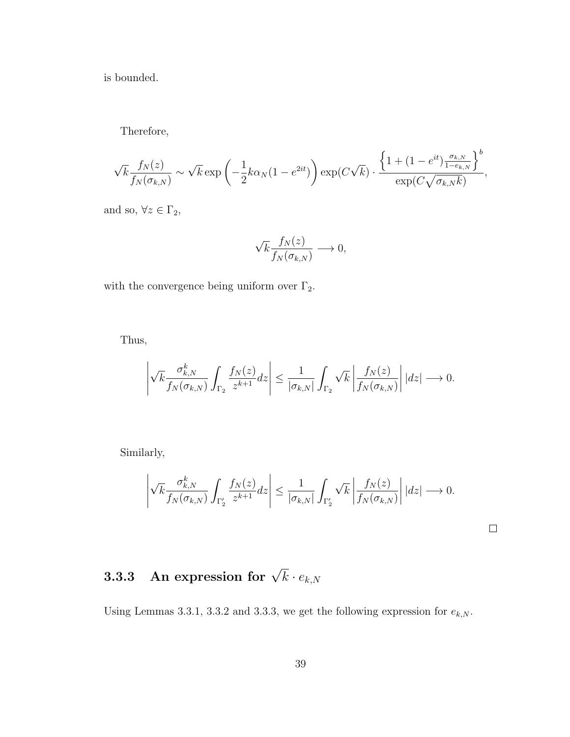is bounded.

Therefore,

$$
\sqrt{k} \frac{f_N(z)}{f_N(\sigma_{k,N})} \sim \sqrt{k} \exp\left(-\frac{1}{2}k\alpha_N(1-e^{2it})\right) \exp(C\sqrt{k}) \cdot \frac{\left\{1+(1-e^{it})\frac{\sigma_{k,N}}{1-e_{k,N}}\right\}^b}{\exp(C\sqrt{\sigma_{k,N}k})},
$$

and so,  $\forall z \in \Gamma_2$ ,

$$
\sqrt{k} \frac{f_N(z)}{f_N(\sigma_{k,N})} \longrightarrow 0,
$$

with the convergence being uniform over  $\Gamma_2.$ 

Thus,

$$
\left|\sqrt{k} \frac{\sigma_{k,N}^k}{f_N(\sigma_{k,N})} \int_{\Gamma_2} \frac{f_N(z)}{z^{k+1}} dz \right| \leq \frac{1}{|\sigma_{k,N}|} \int_{\Gamma_2} \sqrt{k} \left| \frac{f_N(z)}{f_N(\sigma_{k,N})} \right| |dz| \longrightarrow 0.
$$

Similarly,

$$
\left| \sqrt{k} \frac{\sigma_{k,N}^k}{f_N(\sigma_{k,N})} \int_{\Gamma_2'} \frac{f_N(z)}{z^{k+1}} dz \right| \leq \frac{1}{|\sigma_{k,N}|} \int_{\Gamma_2'} \sqrt{k} \left| \frac{f_N(z)}{f_N(\sigma_{k,N})} \right| |dz| \longrightarrow 0.
$$

 $\Box$ 

# $\mathbf{3.3.3} \quad \textbf{An expression for} \,\, \sqrt{k} \cdot e_{k,N}$

Using Lemmas 3.3.1, 3.3.2 and 3.3.3, we get the following expression for  $e_{k,N}$ .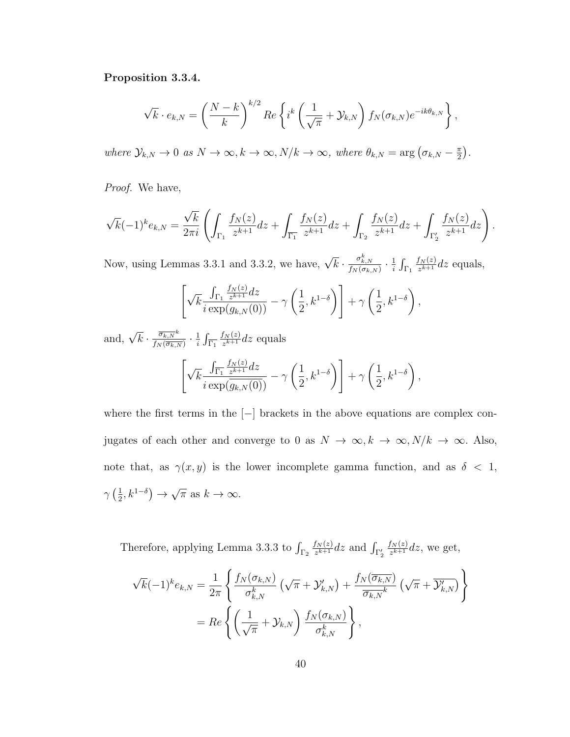#### Proposition 3.3.4.

$$
\sqrt{k} \cdot e_{k,N} = \left(\frac{N-k}{k}\right)^{k/2} Re \left\{ i^k \left(\frac{1}{\sqrt{\pi}} + \mathcal{Y}_{k,N} \right) f_N(\sigma_{k,N}) e^{-ik\theta_{k,N}} \right\},\,
$$

where  $\mathcal{Y}_{k,N} \to 0$  as  $N \to \infty$ ,  $k \to \infty$ ,  $N/k \to \infty$ , where  $\theta_{k,N} = \arg(\sigma_{k,N} - \frac{\pi}{2})$  $\frac{\pi}{2}$ .

Proof. We have,

$$
\sqrt{k}(-1)^k e_{k,N} = \frac{\sqrt{k}}{2\pi i} \left( \int_{\Gamma_1} \frac{f_N(z)}{z^{k+1}} dz + \int_{\overline{\Gamma_1}} \frac{f_N(z)}{z^{k+1}} dz + \int_{\Gamma_2} \frac{f_N(z)}{z^{k+1}} dz + \int_{\Gamma_2'} \frac{f_N(z)}{z^{k+1}} dz \right).
$$

Now, using Lemmas 3.3.1 and 3.3.2, we have,  $\sqrt{k} \cdot \frac{\sigma_{k,N}^k}{f_N(\sigma_{k,N})} \cdot \frac{1}{i}$  $\frac{1}{i} \int_{\Gamma_1}$  $f_N(z)$  $\frac{f_N(z)}{z^{k+1}}$ dz equals,

$$
\left[\sqrt{k}\frac{\int_{\Gamma_1}\frac{f_N(z)}{z^{k+1}}dz}{i\exp(g_{k,N}(0))}-\gamma\left(\frac{1}{2},k^{1-\delta}\right)\right]+\gamma\left(\frac{1}{2},k^{1-\delta}\right),\,
$$

and,  $\sqrt{k} \cdot \frac{\overline{\sigma_{k,N}}^k}{f_N(\overline{\sigma_{k,N}})}$  $\frac{\overline{\sigma_{k,N}}^{\kappa}}{f_{N}(\overline{\sigma_{k,N}})} \cdot \frac{1}{i}$  $\frac{1}{i} \int_{\overline{\Gamma_1}}$  $f_N(z)$  $\frac{f_N(z)}{z^{k+1}}$ dz equals  $\lceil \cdot \rceil$ k  $\int_{\overline{\Gamma_1}}$  $f_N(z)$  $\frac{f_N(z)}{z^{k+1}}$ dz  $i \exp(g_{k,N}(0))$  $- \gamma$  $\sqrt{1}$ 2  $, k^{1-\delta}$  $\setminus$  $+$   $\gamma$  $\sqrt{1}$ 2  $, k^{1-\delta}$ ,

where the first terms in the [−] brackets in the above equations are complex conjugates of each other and converge to 0 as  $N \to \infty, k \to \infty, N/k \to \infty$ . Also, note that, as  $\gamma(x, y)$  is the lower incomplete gamma function, and as  $\delta \langle 1, \rangle$  $\gamma\left(\frac{1}{2}\right)$  $\frac{1}{2}, k^{1-\delta}$   $\rightarrow$ √  $\overline{\pi}$  as  $k \to \infty$ .

Therefore, applying Lemma 3.3.3 to  $\int_{\Gamma_2}$  $f_N(z)$  $\frac{f_N(z)}{z^{k+1}}$ dz and  $\int_{\Gamma_2'}$  $f_N(z)$  $\frac{f_N(z)}{z^{k+1}}$ dz, we get,

$$
\sqrt{k}(-1)^{k}e_{k,N} = \frac{1}{2\pi} \left\{ \frac{f_{N}(\sigma_{k,N})}{\sigma_{k,N}^{k}} \left( \sqrt{\pi} + \mathcal{Y}_{k,N}' \right) + \frac{f_{N}(\overline{\sigma_{k,N}})}{\overline{\sigma_{k,N}}^{k}} \left( \sqrt{\pi} + \overline{\mathcal{Y}_{k,N}'} \right) \right\}
$$

$$
= Re \left\{ \left( \frac{1}{\sqrt{\pi}} + \mathcal{Y}_{k,N} \right) \frac{f_{N}(\sigma_{k,N})}{\sigma_{k,N}^{k}} \right\},
$$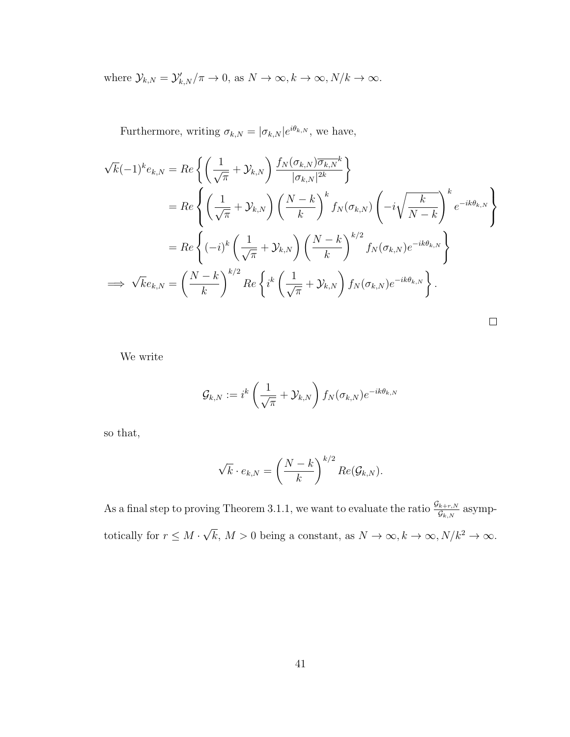where  $\mathcal{Y}_{k,N} = \mathcal{Y}'_{k,N}/\pi \to 0$ , as  $N \to \infty$ ,  $k \to \infty$ ,  $N/k \to \infty$ .

Furthermore, writing  $\sigma_{k,N} = |\sigma_{k,N}| e^{i\theta_{k,N}}$ , we have,

$$
\sqrt{k}(-1)^{k}e_{k,N} = Re\left\{ \left(\frac{1}{\sqrt{\pi}} + \mathcal{Y}_{k,N}\right) \frac{f_{N}(\sigma_{k,N})\overline{\sigma_{k,N}}^{k}}{|\sigma_{k,N}|^{2k}}\right\}
$$
  
\n
$$
= Re\left\{ \left(\frac{1}{\sqrt{\pi}} + \mathcal{Y}_{k,N}\right) \left(\frac{N-k}{k}\right)^{k} f_{N}(\sigma_{k,N}) \left(-i\sqrt{\frac{k}{N-k}}\right)^{k} e^{-ik\theta_{k,N}} \right\}
$$
  
\n
$$
= Re\left\{ (-i)^{k} \left(\frac{1}{\sqrt{\pi}} + \mathcal{Y}_{k,N}\right) \left(\frac{N-k}{k}\right)^{k/2} f_{N}(\sigma_{k,N}) e^{-ik\theta_{k,N}} \right\}
$$
  
\n
$$
\implies \sqrt{k}e_{k,N} = \left(\frac{N-k}{k}\right)^{k/2} Re\left\{ i^{k} \left(\frac{1}{\sqrt{\pi}} + \mathcal{Y}_{k,N}\right) f_{N}(\sigma_{k,N}) e^{-ik\theta_{k,N}} \right\}.
$$

We write

$$
\mathcal{G}_{k,N}:=i^k\left(\frac{1}{\sqrt{\pi}}+\mathcal{Y}_{k,N}\right)f_N(\sigma_{k,N})e^{-ik\theta_{k,N}}
$$

so that,

$$
\sqrt{k} \cdot e_{k,N} = \left(\frac{N-k}{k}\right)^{k/2} Re(\mathcal{G}_{k,N}).
$$

As a final step to proving Theorem 3.1.1, we want to evaluate the ratio  $\frac{\mathcal{G}_{k+r,N}}{\mathcal{G}_{k,N}}$  asymptotically for  $r \leq M$ . √  $\overline{k}, M > 0$  being a constant, as  $N \to \infty, k \to \infty, N/k^2 \to \infty$ .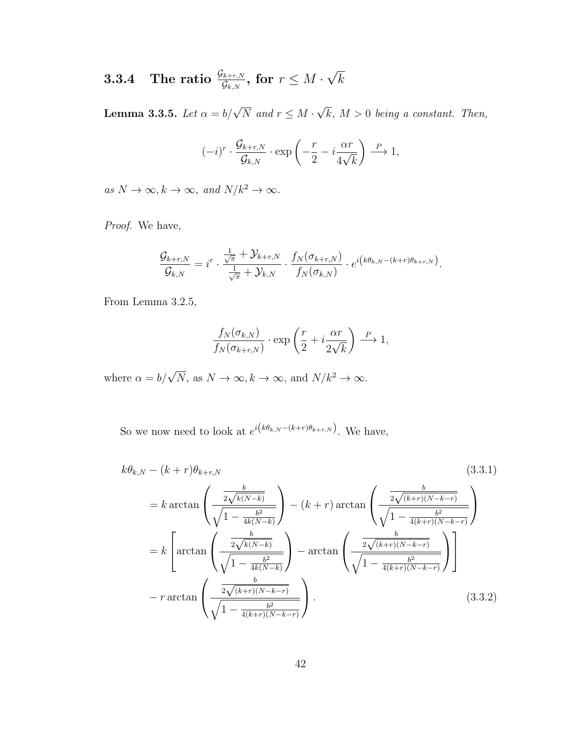#### $\textbf{3.3.4} \quad \textbf{The ratio} \; \frac{\mathcal{G}_{k+r,N}}{\mathcal{G}_{k,N}}, \textbf{ for } r \leq M \cdot \nonumber$ √ k

**Lemma 3.3.5.** Let  $\alpha = b/\sqrt{N}$  and  $r \leq M$ . √  $k, M > 0$  being a constant. Then,

$$
(-i)^r \cdot \frac{\mathcal{G}_{k+r,N}}{\mathcal{G}_{k,N}} \cdot \exp\left(-\frac{r}{2} - i\frac{\alpha r}{4\sqrt{k}}\right) \stackrel{P}{\longrightarrow} 1,
$$

as  $N \to \infty$ ,  $k \to \infty$ , and  $N/k^2 \to \infty$ .

Proof. We have,

$$
\frac{\mathcal{G}_{k+r,N}}{\mathcal{G}_{k,N}} = i^r \cdot \frac{\frac{1}{\sqrt{\pi}} + \mathcal{Y}_{k+r,N}}{\frac{1}{\sqrt{\pi}} + \mathcal{Y}_{k,N}} \cdot \frac{f_N(\sigma_{k+r,N})}{f_N(\sigma_{k,N})} \cdot e^{i(k\theta_{k,N} - (k+r)\theta_{k+r,N})}.
$$

From Lemma 3.2.5,

$$
\frac{f_N(\sigma_{k,N})}{f_N(\sigma_{k+r,N})} \cdot \exp\left(\frac{r}{2} + i\frac{\alpha r}{2\sqrt{k}}\right) \stackrel{P}{\longrightarrow} 1,
$$

where  $\alpha = b/\sqrt{N}$ , as  $N \to \infty$ ,  $k \to \infty$ , and  $N/k^2 \to \infty$ .

So we now need to look at  $e^{i(k\theta_{k,N}-(k+r)\theta_{k+r,N})}$ . We have,

$$
k\theta_{k,N} - (k+r)\theta_{k+r,N} \qquad (3.3.1)
$$
\n
$$
= k \arctan\left(\frac{\frac{b}{2\sqrt{k(N-k)}}}{\sqrt{1 - \frac{b^2}{4k(N-k)}}}\right) - (k+r) \arctan\left(\frac{\frac{b}{2\sqrt{(k+r)(N-k-r)}}}{\sqrt{1 - \frac{b^2}{4(k+r)(N-k-r)}}}\right)
$$
\n
$$
= k \left[\arctan\left(\frac{\frac{b}{2\sqrt{k(N-k)}}}{\sqrt{1 - \frac{b^2}{4k(N-k)}}}\right) - \arctan\left(\frac{\frac{b}{2\sqrt{(k+r)(N-k-r)}}}{\sqrt{1 - \frac{b^2}{4(k+r)(N-k-r)}}}\right)\right]
$$
\n
$$
-r \arctan\left(\frac{\frac{b}{2\sqrt{(k+r)(N-k-r)}}}{\sqrt{1 - \frac{b^2}{4(k+r)(N-k-r)}}}\right).
$$
\n(3.3.2)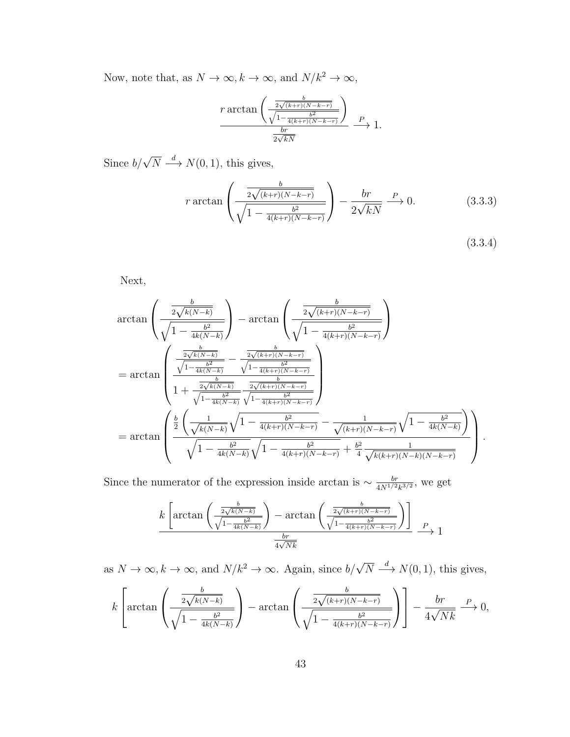Now, note that, as  $N\to\infty, k\to\infty,$  and  $N/k^2\to\infty,$ 

$$
\frac{r \arctan\left(\frac{\frac{b}{2\sqrt{(k+r)(N-k-r)}}}{\sqrt{1-\frac{b^2}{4(k+r)(N-k-r)}}}\right)}{\frac{br}{2\sqrt{kN}}} \xrightarrow{P} 1.
$$

Since  $b/\sqrt{N} \stackrel{d}{\longrightarrow} N(0, 1)$ , this gives,

$$
r \arctan\left(\frac{\frac{b}{2\sqrt{(k+r)(N-k-r)}}}{\sqrt{1-\frac{b^2}{4(k+r)(N-k-r)}}}\right) - \frac{br}{2\sqrt{kN}} \xrightarrow{P} 0. \tag{3.3.3}
$$

(3.3.4)

Next,

$$
\arctan\left(\frac{\frac{b}{2\sqrt{k(N-k)}}}{\sqrt{1-\frac{b^2}{4k(N-k)}}}\right) - \arctan\left(\frac{\frac{b}{2\sqrt{(k+r)(N-k-r)}}}{\sqrt{1-\frac{b^2}{4(k+r)(N-k-r)}}}\right)
$$
\n
$$
= \arctan\left(\frac{\frac{\frac{b}{2\sqrt{k(N-k)}}}{\sqrt{1-\frac{b^2}{4k(N-k)}}}-\frac{\frac{b}{2\sqrt{(k+r)(N-k-r)}}}{\sqrt{1-\frac{b^2}{4(k+r)(N-k-r)}}}}{\frac{b}{\sqrt{1-\frac{b^2}{4k(N-k)}}}\frac{\frac{b}{2\sqrt{(k+r)(N-k-r)}}}{\sqrt{1-\frac{b^2}{4(k+r)(N-k-r)}}}}\right)
$$
\n
$$
= \arctan\left(\frac{\frac{b}{2}\left(\frac{1}{\sqrt{k(N-k)}}\sqrt{1-\frac{b^2}{4(k+r)(N-k-r)}}-\frac{1}{\sqrt{(k+r)(N-k-r)}}\sqrt{1-\frac{b^2}{4k(N-k)}}\right)}{\sqrt{1-\frac{b^2}{4k(N-k)}}\sqrt{1-\frac{b^2}{4(k+r)(N-k-r)}}+\frac{b^2}{4}\frac{1}{\sqrt{k(k+r)(N-k)(N-k-r)}}}\right).
$$

Since the numerator of the expression inside arctan is  $\sim \frac{br}{4N^{1/2}}$  $\frac{br}{4N^{1/2}k^{3/2}},$  we get

$$
k\left[\arctan\left(\frac{\frac{b}{2\sqrt{k(N-k)}}}{\sqrt{1-\frac{b^2}{4k(N-k)}}}\right)-\arctan\left(\frac{\frac{b}{2\sqrt{(k+r)(N-k-r)}}}{\sqrt{1-\frac{b^2}{4(k+r)(N-k-r)}}}\right)\right]_{P\to 1}
$$

as  $N \to \infty$ ,  $k \to \infty$ , and  $N/k^2 \to \infty$ . Again, since  $b/\sqrt{N} \stackrel{d}{\longrightarrow} N(0, 1)$ , this gives,

$$
k\left[\arctan\left(\frac{\frac{b}{2\sqrt{k(N-k)}}}{\sqrt{1-\frac{b^2}{4k(N-k)}}}\right)-\arctan\left(\frac{\frac{b}{2\sqrt{(k+r)(N-k-r)}}}{\sqrt{1-\frac{b^2}{4(k+r)(N-k-r)}}}\right)\right]-\frac{br}{4\sqrt{Nk}} \xrightarrow{P} 0,
$$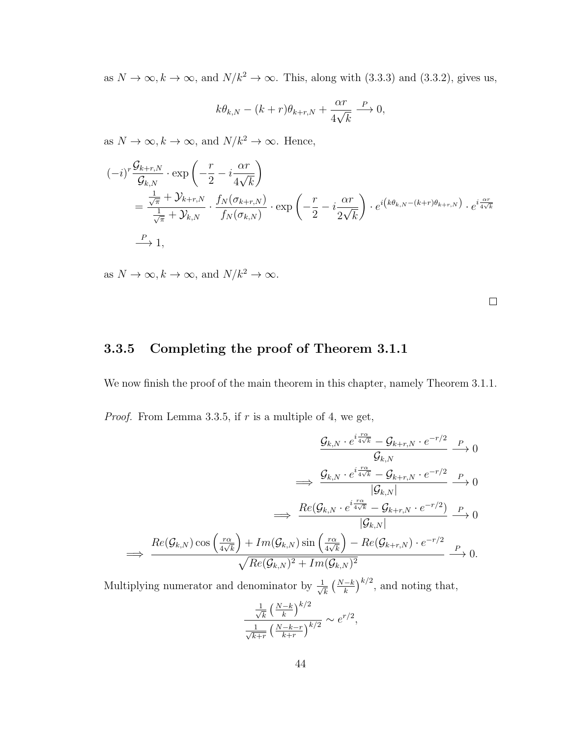as  $N \to \infty, k \to \infty$ , and  $N/k^2 \to \infty$ . This, along with (3.3.3) and (3.3.2), gives us,

$$
k\theta_{k,N} - (k+r)\theta_{k+r,N} + \frac{\alpha r}{4\sqrt{k}} \xrightarrow{P} 0,
$$

as  $N \to \infty, k \to \infty$ , and  $N/k^2 \to \infty$ . Hence,

$$
\begin{split} (-i)^r \frac{\mathcal{G}_{k+r,N}}{\mathcal{G}_{k,N}} &\cdot \exp\left(-\frac{r}{2} - i\frac{\alpha r}{4\sqrt{k}}\right) \\ &= \frac{\frac{1}{\sqrt{\pi}} + \mathcal{Y}_{k+r,N}}{\frac{1}{\sqrt{\pi}} + \mathcal{Y}_{k,N}} \cdot \frac{f_N(\sigma_{k+r,N})}{f_N(\sigma_{k,N})} \cdot \exp\left(-\frac{r}{2} - i\frac{\alpha r}{2\sqrt{k}}\right) \cdot e^{i\left(k\theta_{k,N} - (k+r)\theta_{k+r,N}\right)} \cdot e^{i\frac{\alpha r}{4\sqrt{k}}} \\ &\xrightarrow{P} 1, \end{split}
$$

as  $N \to \infty$ ,  $k \to \infty$ , and  $N/k^2 \to \infty$ .

 $\Box$ 

### 3.3.5 Completing the proof of Theorem 3.1.1

We now finish the proof of the main theorem in this chapter, namely Theorem 3.1.1. *Proof.* From Lemma 3.3.5, if  $r$  is a multiple of 4, we get,

$$
\frac{\mathcal{G}_{k,N} \cdot e^{i\frac{r\alpha}{4\sqrt{k}}} - \mathcal{G}_{k+r,N} \cdot e^{-r/2}}{\mathcal{G}_{k,N}} \xrightarrow{\qquad \qquad} 0
$$
\n
$$
\implies \frac{\mathcal{G}_{k,N} \cdot e^{i\frac{r\alpha}{4\sqrt{k}}} - \mathcal{G}_{k+r,N} \cdot e^{-r/2}}{|\mathcal{G}_{k,N}|} \xrightarrow{\qquad \qquad} 0
$$
\n
$$
\implies \frac{Re(\mathcal{G}_{k,N} \cdot e^{i\frac{r\alpha}{4\sqrt{k}}} - \mathcal{G}_{k+r,N} \cdot e^{-r/2})}{|\mathcal{G}_{k,N}|} \xrightarrow{\qquad \qquad} P} 0
$$
\n
$$
\implies \frac{Re(\mathcal{G}_{k,N}) \cos\left(\frac{r\alpha}{4\sqrt{k}}\right) + Im(\mathcal{G}_{k,N}) \sin\left(\frac{r\alpha}{4\sqrt{k}}\right) - Re(\mathcal{G}_{k+r,N}) \cdot e^{-r/2}}{\sqrt{Re(\mathcal{G}_{k,N})^2 + Im(\mathcal{G}_{k,N})^2}} \xrightarrow{P} 0.
$$

Multiplying numerator and denominator by  $\frac{1}{\sqrt{2}}$  $\frac{1}{k} \left(\frac{N-k}{k}\right)^{k/2}$ , and noting that,

$$
\frac{\frac{1}{\sqrt{k}} \left(\frac{N-k}{k}\right)^{k/2}}{\frac{1}{\sqrt{k+r}} \left(\frac{N-k-r}{k+r}\right)^{k/2}} \sim e^{r/2},
$$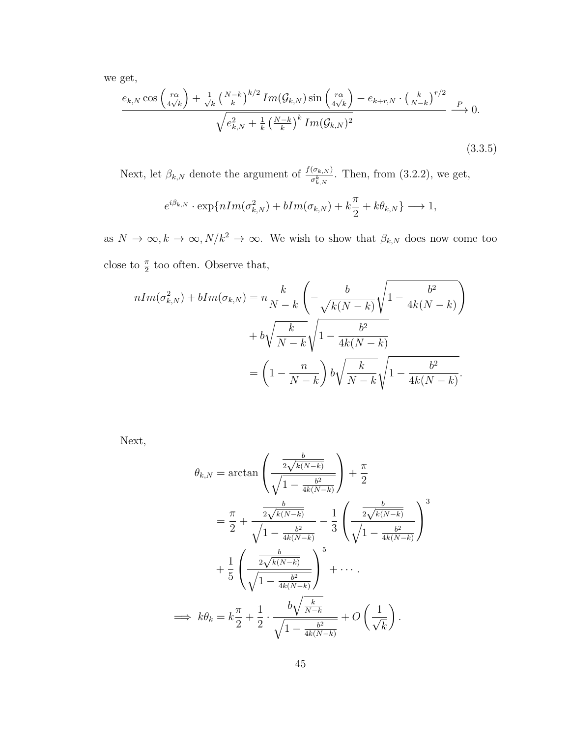we get,

$$
\frac{e_{k,N}\cos\left(\frac{r\alpha}{4\sqrt{k}}\right) + \frac{1}{\sqrt{k}}\left(\frac{N-k}{k}\right)^{k/2}Im(\mathcal{G}_{k,N})\sin\left(\frac{r\alpha}{4\sqrt{k}}\right) - e_{k+r,N} \cdot \left(\frac{k}{N-k}\right)^{r/2}}{\sqrt{e_{k,N}^2 + \frac{1}{k}\left(\frac{N-k}{k}\right)^k Im(\mathcal{G}_{k,N})^2}} \xrightarrow{P} 0.
$$
\n(3.3.5)

Next, let  $\beta_{k,N}$  denote the argument of  $\frac{f(\sigma_{k,N})}{\sigma_{k,N}^k}$ . Then, from (3.2.2), we get,

$$
e^{i\beta_{k,N}} \cdot \exp\{nIm(\sigma_{k,N}^2) + bIm(\sigma_{k,N}) + k\frac{\pi}{2} + k\theta_{k,N}\} \longrightarrow 1,
$$

as  $N \to \infty, k \to \infty, N/k^2 \to \infty$ . We wish to show that  $\beta_{k,N}$  does now come too close to  $\frac{\pi}{2}$  too often. Observe that,

$$
nIm(\sigma_{k,N}^2) + bIm(\sigma_{k,N}) = n\frac{k}{N-k} \left( -\frac{b}{\sqrt{k(N-k)}} \sqrt{1 - \frac{b^2}{4k(N-k)}} \right)
$$

$$
+ b\sqrt{\frac{k}{N-k}} \sqrt{1 - \frac{b^2}{4k(N-k)}}
$$

$$
= \left(1 - \frac{n}{N-k}\right) b\sqrt{\frac{k}{N-k}} \sqrt{1 - \frac{b^2}{4k(N-k)}}.
$$

Next,

$$
\theta_{k,N} = \arctan\left(\frac{\frac{b}{2\sqrt{k(N-k)}}}{\sqrt{1 - \frac{b^2}{4k(N-k)}}}\right) + \frac{\pi}{2}
$$

$$
= \frac{\pi}{2} + \frac{\frac{b}{2\sqrt{k(N-k)}}}{\sqrt{1 - \frac{b^2}{4k(N-k)}}} - \frac{1}{3}\left(\frac{\frac{b}{2\sqrt{k(N-k)}}}{\sqrt{1 - \frac{b^2}{4k(N-k)}}}\right)^3
$$

$$
+ \frac{1}{5}\left(\frac{\frac{b}{2\sqrt{k(N-k)}}}{\sqrt{1 - \frac{b^2}{4k(N-k)}}}\right)^5 + \cdots
$$

$$
\implies k\theta_k = k\frac{\pi}{2} + \frac{1}{2} \cdot \frac{b\sqrt{\frac{k}{N-k}}}{\sqrt{1 - \frac{b^2}{4k(N-k)}}} + O\left(\frac{1}{\sqrt{k}}\right).
$$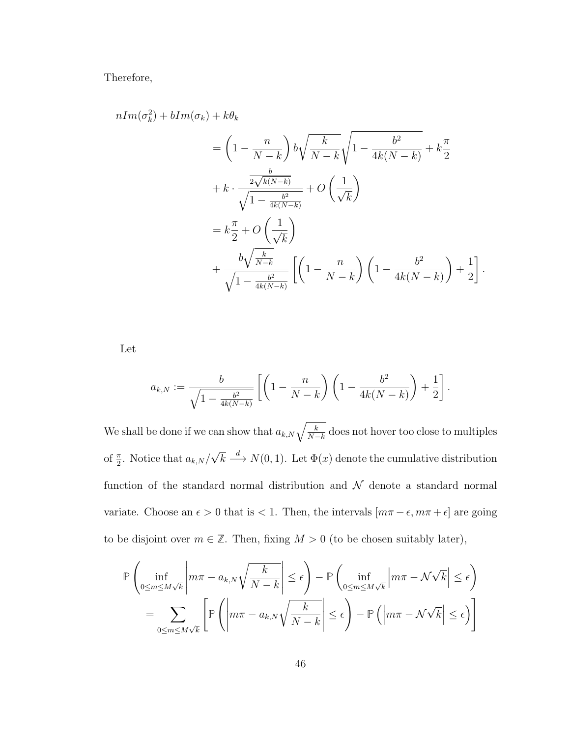Therefore,

 $nIm$ 

$$
(\sigma_k^2) + bIm(\sigma_k) + k\theta_k
$$
  
=  $\left(1 - \frac{n}{N - k}\right) b \sqrt{\frac{k}{N - k}} \sqrt{1 - \frac{b^2}{4k(N - k)}} + k\frac{\pi}{2}$   
+  $k \cdot \frac{\frac{b}{2\sqrt{k(N-k)}}}{\sqrt{1 - \frac{b^2}{4k(N - k)}}} + O\left(\frac{1}{\sqrt{k}}\right)$   
=  $k\frac{\pi}{2} + O\left(\frac{1}{\sqrt{k}}\right)$   
+  $\frac{b \sqrt{\frac{k}{N - k}}}{\sqrt{1 - \frac{b^2}{4k(N - k)}}} \left[\left(1 - \frac{n}{N - k}\right) \left(1 - \frac{b^2}{4k(N - k)}\right) + \frac{1}{2}\right].$ 

Let

$$
a_{k,N} := \frac{b}{\sqrt{1 - \frac{b^2}{4k(N-k)}}} \left[ \left( 1 - \frac{n}{N-k} \right) \left( 1 - \frac{b^2}{4k(N-k)} \right) + \frac{1}{2} \right].
$$

We shall be done if we can show that  $a_{k,N}\sqrt{\frac{k}{N-k}}$  does not hover too close to multiples of  $\frac{\pi}{2}$ . Notice that  $a_{k,N}$ / √  $\overline{k} \stackrel{d}{\longrightarrow} N(0, 1)$ . Let  $\Phi(x)$  denote the cumulative distribution function of the standard normal distribution and  $\mathcal N$  denote a standard normal variate. Choose an  $\epsilon > 0$  that is  $< 1$ . Then, the intervals  $[m\pi - \epsilon, m\pi + \epsilon]$  are going to be disjoint over  $m \in \mathbb{Z}$ . Then, fixing  $M > 0$  (to be chosen suitably later),

$$
\mathbb{P}\left(\inf_{0\leq m\leq M\sqrt{k}}\left|m\pi - a_{k,N}\sqrt{\frac{k}{N-k}}\right| \leq \epsilon\right) - \mathbb{P}\left(\inf_{0\leq m\leq M\sqrt{k}}\left|m\pi - \mathcal{N}\sqrt{k}\right| \leq \epsilon\right)
$$

$$
= \sum_{0\leq m\leq M\sqrt{k}}\left[\mathbb{P}\left(\left|m\pi - a_{k,N}\sqrt{\frac{k}{N-k}}\right| \leq \epsilon\right) - \mathbb{P}\left(\left|m\pi - \mathcal{N}\sqrt{k}\right| \leq \epsilon\right)\right]
$$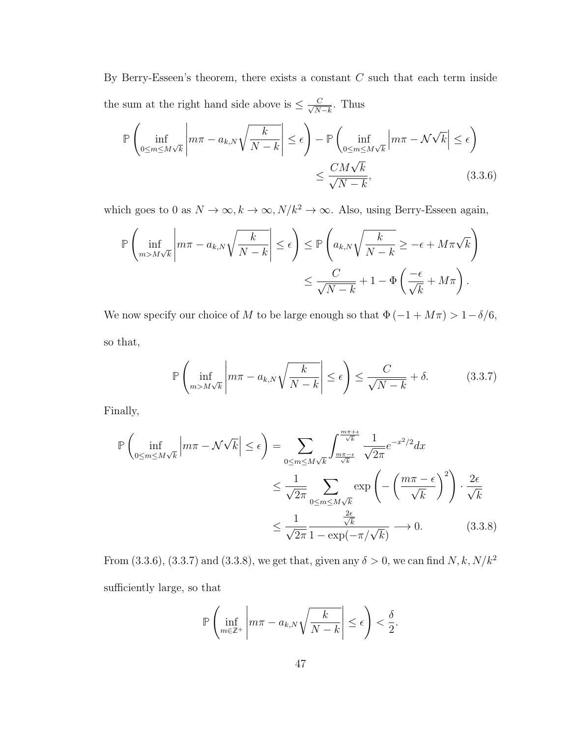By Berry-Esseen's theorem, there exists a constant  $C$  such that each term inside the sum at the right hand side above is  $\leq \frac{C}{\sqrt{N}}$  $\frac{C}{N-k}$ . Thus

$$
\mathbb{P}\left(\inf_{0\leq m\leq M\sqrt{k}}\left|m\pi - a_{k,N}\sqrt{\frac{k}{N-k}}\right| \leq \epsilon\right) - \mathbb{P}\left(\inf_{0\leq m\leq M\sqrt{k}}\left|m\pi - \mathcal{N}\sqrt{k}\right| \leq \epsilon\right) \leq \frac{CM\sqrt{k}}{\sqrt{N-k}},\tag{3.3.6}
$$

which goes to 0 as  $N \to \infty$ ,  $k \to \infty$ ,  $N/k^2 \to \infty$ . Also, using Berry-Esseen again,

$$
\mathbb{P}\left(\inf_{m>M\sqrt{k}}\left|m\pi - a_{k,N}\sqrt{\frac{k}{N-k}}\right| \leq \epsilon\right) \leq \mathbb{P}\left(a_{k,N}\sqrt{\frac{k}{N-k}} \geq -\epsilon + M\pi\sqrt{k}\right)
$$

$$
\leq \frac{C}{\sqrt{N-k}} + 1 - \Phi\left(\frac{-\epsilon}{\sqrt{k}} + M\pi\right).
$$

We now specify our choice of  $M$  to be large enough so that  $\Phi \left( { - 1 + M\pi } \right) > 1 - \delta /6,$ so that,

$$
\mathbb{P}\left(\inf_{m>M\sqrt{k}}\left|m\pi - a_{k,N}\sqrt{\frac{k}{N-k}}\right| \leq \epsilon\right) \leq \frac{C}{\sqrt{N-k}} + \delta. \tag{3.3.7}
$$

Finally,

$$
\mathbb{P}\left(\inf_{0\leq m\leq M\sqrt{k}}\left|m\pi-\mathcal{N}\sqrt{k}\right|\leq\epsilon\right)=\sum_{0\leq m\leq M\sqrt{k}}\int_{\frac{m\pi-\epsilon}{\sqrt{k}}}^{\frac{m\pi+\epsilon}{\sqrt{k}}}\frac{1}{\sqrt{2\pi}}e^{-x^{2}/2}dx
$$

$$
\leq\frac{1}{\sqrt{2\pi}}\sum_{0\leq m\leq M\sqrt{k}}\exp\left(-\left(\frac{m\pi-\epsilon}{\sqrt{k}}\right)^{2}\right)\cdot\frac{2\epsilon}{\sqrt{k}}
$$

$$
\leq\frac{1}{\sqrt{2\pi}}\frac{\frac{2\epsilon}{\sqrt{k}}}{1-\exp(-\pi/\sqrt{k})}\longrightarrow 0.
$$
(3.3.8)

From (3.3.6), (3.3.7) and (3.3.8), we get that, given any  $\delta > 0$ , we can find  $N, k, N/k^2$ sufficiently large, so that

$$
\mathbb{P}\left(\inf_{m\in\mathbb{Z}^+}\left|m\pi-a_{k,N}\sqrt{\frac{k}{N-k}}\right| \leq \epsilon\right) < \frac{\delta}{2}.
$$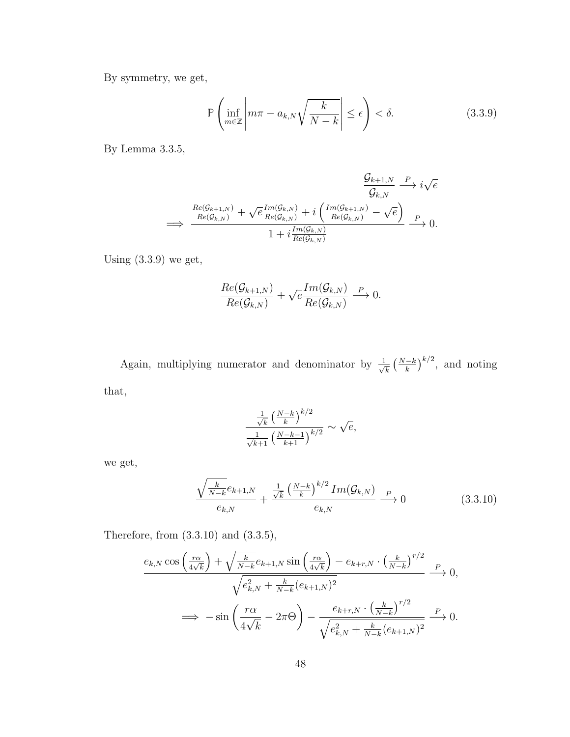By symmetry, we get,

$$
\mathbb{P}\left(\inf_{m\in\mathbb{Z}}\left|m\pi - a_{k,N}\sqrt{\frac{k}{N-k}}\right| \leq \epsilon\right) < \delta. \tag{3.3.9}
$$

By Lemma 3.3.5,

$$
\frac{\mathcal{G}_{k+1,N}}{\mathcal{G}_{k,N}} \xrightarrow{P} i\sqrt{e}
$$
\n
$$
\xrightarrow{\text{Re}(\mathcal{G}_{k+1,N})} + \sqrt{e} \frac{\text{Im}(\mathcal{G}_{k,N})}{\text{Re}(\mathcal{G}_{k,N})} + i\left(\frac{\text{Im}(\mathcal{G}_{k+1,N})}{\text{Re}(\mathcal{G}_{k,N})} - \sqrt{e}\right)}{1 + i\frac{\text{Im}(\mathcal{G}_{k,N})}{\text{Re}(\mathcal{G}_{k,N})}} \xrightarrow{P} 0.
$$

Using  $(3.3.9)$  we get,

$$
\frac{Re(\mathcal{G}_{k+1,N})}{Re(\mathcal{G}_{k,N})} + \sqrt{e} \frac{Im(\mathcal{G}_{k,N})}{Re(\mathcal{G}_{k,N})} \xrightarrow{P} 0.
$$

Again, multiplying numerator and denominator by  $\frac{1}{\sqrt{2}}$  $\frac{k}{k} \left(\frac{N-k}{k}\right)^{k/2}$ , and noting that,

$$
\frac{\frac{1}{\sqrt{k}}\left(\frac{N-k}{k}\right)^{k/2}}{\frac{1}{\sqrt{k+1}}\left(\frac{N-k-1}{k+1}\right)^{k/2}} \sim \sqrt{e},
$$

we get,

$$
\frac{\sqrt{\frac{k}{N-k}}e_{k+1,N}}{e_{k,N}} + \frac{\frac{1}{\sqrt{k}}\left(\frac{N-k}{k}\right)^{k/2}Im(\mathcal{G}_{k,N})}{e_{k,N}} \xrightarrow{P} 0 \tag{3.3.10}
$$

Therefore, from (3.3.10) and (3.3.5),

$$
\frac{e_{k,N}\cos\left(\frac{r\alpha}{4\sqrt{k}}\right) + \sqrt{\frac{k}{N-k}}e_{k+1,N}\sin\left(\frac{r\alpha}{4\sqrt{k}}\right) - e_{k+r,N} \cdot \left(\frac{k}{N-k}\right)^{r/2}}{\sqrt{e_{k,N}^2 + \frac{k}{N-k}}(e_{k+1,N})^2} \xrightarrow{P} 0,
$$
  

$$
\implies -\sin\left(\frac{r\alpha}{4\sqrt{k}} - 2\pi\Theta\right) - \frac{e_{k+r,N} \cdot \left(\frac{k}{N-k}\right)^{r/2}}{\sqrt{e_{k,N}^2 + \frac{k}{N-k}}(e_{k+1,N})^2} \xrightarrow{P} 0.
$$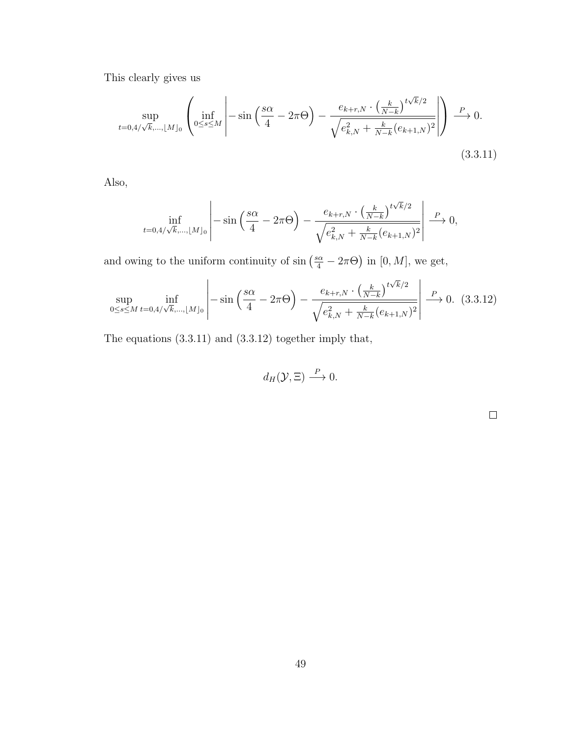This clearly gives us

$$
\sup_{t=0,4/\sqrt{k},\dots, \lfloor M \rfloor_0} \left( \inf_{0 \le s \le M} \left| -\sin\left(\frac{s\alpha}{4} - 2\pi\Theta\right) - \frac{e_{k+r,N} \cdot \left(\frac{k}{N-k}\right)^{t\sqrt{k}/2}}{\sqrt{e_{k,N}^2 + \frac{k}{N-k}(e_{k+1,N})^2}} \right| \right) \xrightarrow{P} 0.
$$
\n(3.3.11)

Also,

$$
\inf_{t=0,4/\sqrt{k},\dots, \lfloor M \rfloor_0} \left| -\sin\left(\frac{s\alpha}{4} - 2\pi\Theta\right) - \frac{e_{k+r,N} \cdot \left(\frac{k}{N-k}\right)^{t\sqrt{k}/2}}{\sqrt{e_{k,N}^2 + \frac{k}{N-k}(e_{k+1,N})^2}} \right| \xrightarrow{P} 0,
$$

and owing to the uniform continuity of  $\sin\left(\frac{s\alpha}{4} - 2\pi\Theta\right)$  in [0, M], we get,

$$
\sup_{0 \le s \le M} \inf_{t=0,4/\sqrt{k},\dots, \lfloor M \rfloor_0} \left| -\sin\left(\frac{s\alpha}{4} - 2\pi\Theta\right) - \frac{e_{k+r,N} \cdot \left(\frac{k}{N-k}\right)^{t\sqrt{k}/2}}{\sqrt{e_{k,N}^2 + \frac{k}{N-k}(e_{k+1,N})^2}} \right| \xrightarrow{P} 0. \tag{3.3.12}
$$

The equations (3.3.11) and (3.3.12) together imply that,

$$
d_H(\mathcal{Y},\Xi)\stackrel{P}{\longrightarrow}0.
$$

 $\Box$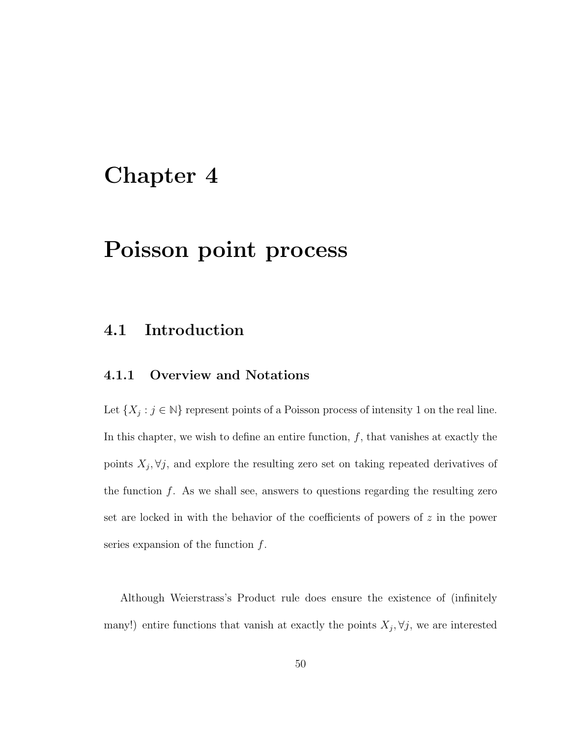## Chapter 4

## Poisson point process

### 4.1 Introduction

### 4.1.1 Overview and Notations

Let  $\{X_j : j \in \mathbb{N}\}\$  represent points of a Poisson process of intensity 1 on the real line. In this chapter, we wish to define an entire function,  $f$ , that vanishes at exactly the points  $X_j, \forall j$ , and explore the resulting zero set on taking repeated derivatives of the function  $f$ . As we shall see, answers to questions regarding the resulting zero set are locked in with the behavior of the coefficients of powers of  $z$  in the power series expansion of the function  $f$ .

Although Weierstrass's Product rule does ensure the existence of (infinitely many!) entire functions that vanish at exactly the points  $X_j$ ,  $\forall j$ , we are interested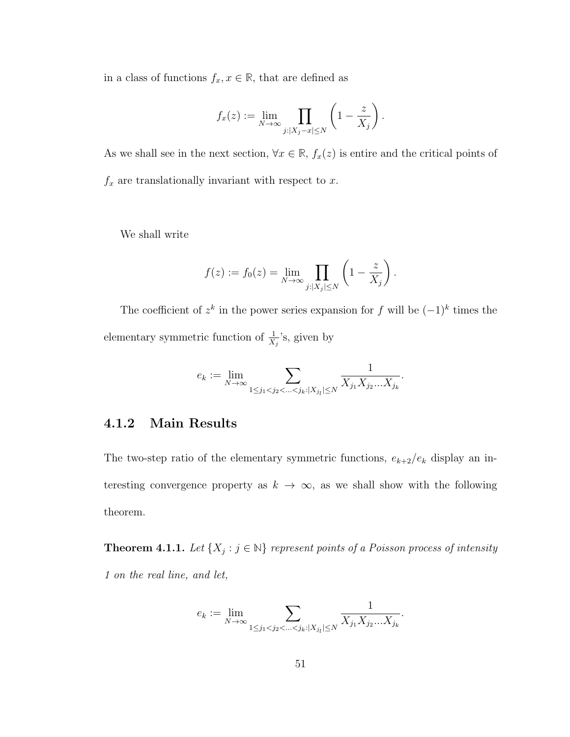in a class of functions  $f_x, x \in \mathbb{R}$ , that are defined as

$$
f_x(z) := \lim_{N \to \infty} \prod_{j:|X_j - x| \le N} \left(1 - \frac{z}{X_j}\right).
$$

As we shall see in the next section,  $\forall x \in \mathbb{R}$ ,  $f_x(z)$  is entire and the critical points of  $f_x$  are translationally invariant with respect to x.

We shall write

$$
f(z) := f_0(z) = \lim_{N \to \infty} \prod_{j:|X_j| \le N} \left(1 - \frac{z}{X_j}\right).
$$

The coefficient of  $z^k$  in the power series expansion for f will be  $(-1)^k$  times the elementary symmetric function of  $\frac{1}{X_j}$ 's, given by

$$
e_k:=\lim_{N\to\infty}\sum_{1\le j_1
$$

### 4.1.2 Main Results

The two-step ratio of the elementary symmetric functions,  $e_{k+2}/e_k$  display an interesting convergence property as  $k \to \infty$ , as we shall show with the following theorem.

**Theorem 4.1.1.** Let  $\{X_j : j \in \mathbb{N}\}$  represent points of a Poisson process of intensity 1 on the real line, and let,

$$
e_k:=\lim_{N\to\infty}\sum_{1\le j_1
$$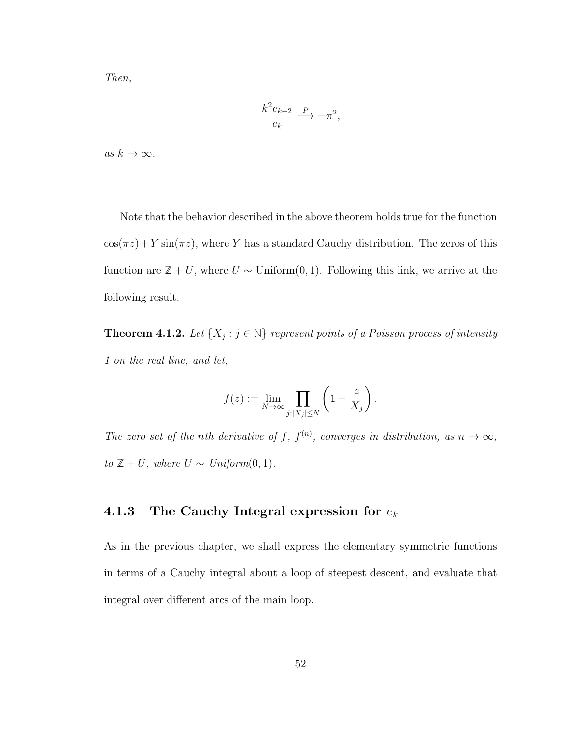Then,

$$
\frac{k^2 e_{k+2}}{e_k} \xrightarrow{P} -\pi^2,
$$

as  $k \to \infty$ .

Note that the behavior described in the above theorem holds true for the function  $cos(\pi z) + Y sin(\pi z)$ , where Y has a standard Cauchy distribution. The zeros of this function are  $\mathbb{Z} + U$ , where  $U \sim$  Uniform $(0, 1)$ . Following this link, we arrive at the following result.

**Theorem 4.1.2.** Let  $\{X_j : j \in \mathbb{N}\}$  represent points of a Poisson process of intensity 1 on the real line, and let,

$$
f(z) := \lim_{N \to \infty} \prod_{j:|X_j| \le N} \left(1 - \frac{z}{X_j}\right).
$$

The zero set of the nth derivative of f,  $f^{(n)}$ , converges in distribution, as  $n \to \infty$ , to  $\mathbb{Z} + U$ , where  $U \sim Uniform(0, 1)$ .

### 4.1.3 The Cauchy Integral expression for  $e_k$

As in the previous chapter, we shall express the elementary symmetric functions in terms of a Cauchy integral about a loop of steepest descent, and evaluate that integral over different arcs of the main loop.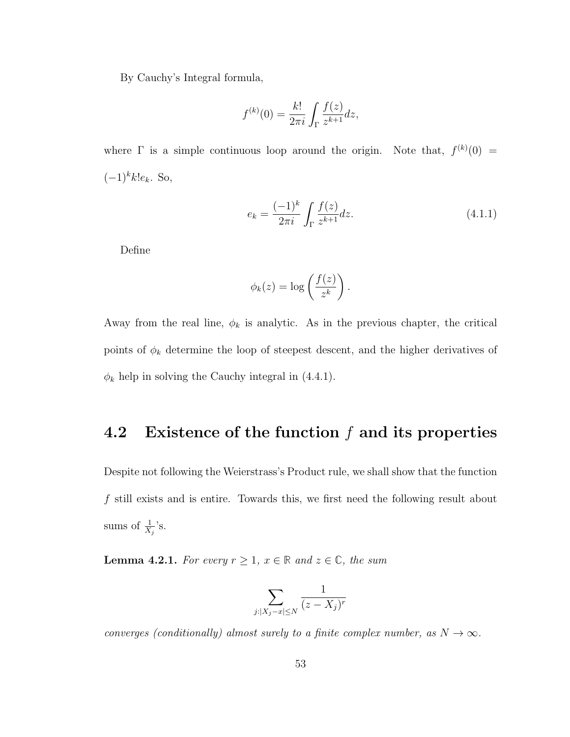By Cauchy's Integral formula,

$$
f^{(k)}(0) = \frac{k!}{2\pi i} \int_{\Gamma} \frac{f(z)}{z^{k+1}} dz,
$$

where  $\Gamma$  is a simple continuous loop around the origin. Note that,  $f^{(k)}(0)$  =  $(-1)^k k!e_k$ . So,

$$
e_k = \frac{(-1)^k}{2\pi i} \int_{\Gamma} \frac{f(z)}{z^{k+1}} dz.
$$
 (4.1.1)

Define

$$
\phi_k(z) = \log\left(\frac{f(z)}{z^k}\right).
$$

Away from the real line,  $\phi_k$  is analytic. As in the previous chapter, the critical points of  $\phi_k$  determine the loop of steepest descent, and the higher derivatives of  $\phi_k$  help in solving the Cauchy integral in (4.4.1).

### 4.2 Existence of the function  $f$  and its properties

Despite not following the Weierstrass's Product rule, we shall show that the function f still exists and is entire. Towards this, we first need the following result about sums of  $\frac{1}{X_j}$ 's.

**Lemma 4.2.1.** For every  $r \geq 1$ ,  $x \in \mathbb{R}$  and  $z \in \mathbb{C}$ , the sum

$$
\sum_{j:|X_j - x| \le N} \frac{1}{(z - X_j)^r}
$$

converges (conditionally) almost surely to a finite complex number, as  $N \to \infty$ .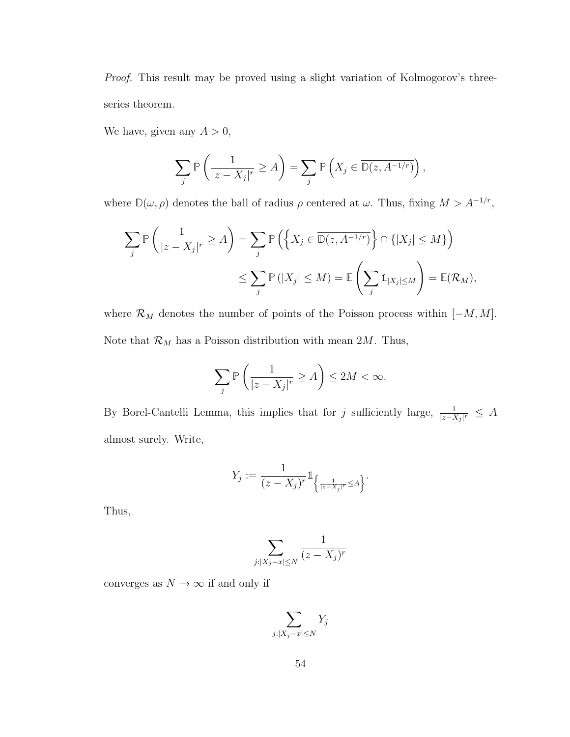Proof. This result may be proved using a slight variation of Kolmogorov's threeseries theorem.

We have, given any  $A > 0$ ,

$$
\sum_{j} \mathbb{P}\left(\frac{1}{|z - X_j|^r} \ge A\right) = \sum_{j} \mathbb{P}\left(X_j \in \overline{\mathbb{D}(z, A^{-1/r})}\right),
$$

where  $\mathbb{D}(\omega,\rho)$  denotes the ball of radius  $\rho$  centered at  $\omega$ . Thus, fixing  $M > A^{-1/r}$ ,

$$
\sum_{j} \mathbb{P}\left(\frac{1}{|z - X_j|^r} \ge A\right) = \sum_{j} \mathbb{P}\left(\left\{X_j \in \overline{\mathbb{D}(z, A^{-1/r})}\right\} \cap \{|X_j| \le M\}\right)
$$

$$
\le \sum_{j} \mathbb{P}\left(|X_j| \le M\right) = \mathbb{E}\left(\sum_{j} \mathbb{1}_{|X_j| \le M}\right) = \mathbb{E}(\mathcal{R}_M),
$$

where  $\mathcal{R}_M$  denotes the number of points of the Poisson process within  $[-M, M]$ . Note that  $\mathcal{R}_M$  has a Poisson distribution with mean 2M. Thus,

$$
\sum_j \mathbb{P}\left(\frac{1}{|z - X_j|^r} \ge A\right) \le 2M < \infty.
$$

By Borel-Cantelli Lemma, this implies that for j sufficiently large,  $\frac{1}{|z-X_j|^r} \leq A$ almost surely. Write,

$$
Y_j:=\frac{1}{(z-X_j)^r}\mathbb{1}_{\left\{\frac{1}{|z-X_j|^r}\leq A\right\}}.
$$

Thus,

$$
\sum_{j:|X_j-x|\leq N}\frac{1}{(z-X_j)^r}
$$

converges as  $N\to\infty$  if and only if

$$
\sum_{j:|X_j-x|\leq N} Y_j
$$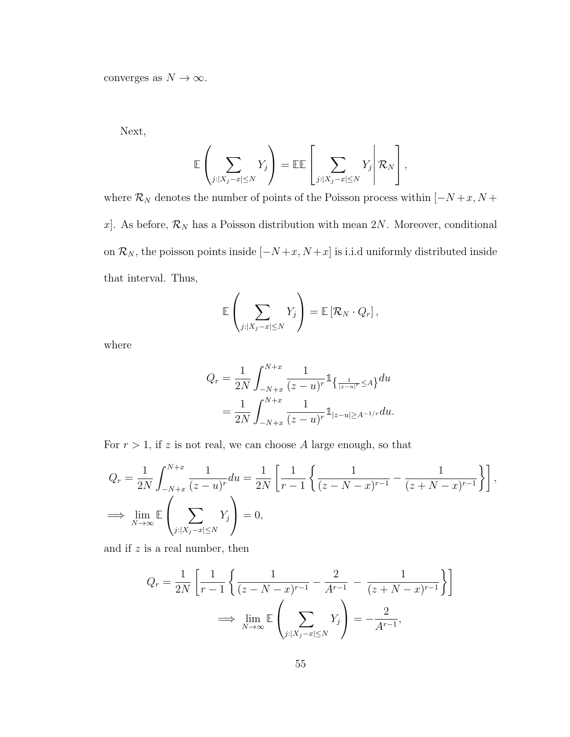converges as  $N\to\infty.$ 

Next,

$$
\mathbb{E}\left(\sum_{j:|X_j-x|\leq N}Y_j\right)=\mathbb{E}\mathbb{E}\left[\sum_{j:|X_j-x|\leq N}Y_j\middle| \mathcal{R}_N\right],
$$

where  $\mathcal{R}_N$  denotes the number of points of the Poisson process within  $[-N+x, N+$ x]. As before,  $\mathcal{R}_N$  has a Poisson distribution with mean 2N. Moreover, conditional on  $\mathcal{R}_N$ , the poisson points inside  $[-N+x, N+x]$  is i.i.d uniformly distributed inside that interval. Thus,

$$
\mathbb{E}\left(\sum_{j:|X_j-x|\leq N}Y_j\right)=\mathbb{E}\left[\mathcal{R}_N\cdot Q_r\right],
$$

where

$$
Q_r = \frac{1}{2N} \int_{-N+x}^{N+x} \frac{1}{(z-u)^r} \mathbb{1}_{\left\{\frac{1}{|z-u|^r} \le A\right\}} du
$$
  
= 
$$
\frac{1}{2N} \int_{-N+x}^{N+x} \frac{1}{(z-u)^r} \mathbb{1}_{|z-u| \ge A^{-1/r}} du.
$$

For  $r > 1$ , if z is not real, we can choose A large enough, so that

$$
Q_r = \frac{1}{2N} \int_{-N+x}^{N+x} \frac{1}{(z-u)^r} du = \frac{1}{2N} \left[ \frac{1}{r-1} \left\{ \frac{1}{(z-N-x)^{r-1}} - \frac{1}{(z+N-x)^{r-1}} \right\} \right],
$$
  
\n
$$
\implies \lim_{N \to \infty} \mathbb{E} \left( \sum_{j:|X_j-x| \le N} Y_j \right) = 0,
$$

and if  $z$  is a real number, then

$$
Q_r = \frac{1}{2N} \left[ \frac{1}{r-1} \left\{ \frac{1}{(z-N-x)^{r-1}} - \frac{2}{A^{r-1}} - \frac{1}{(z+N-x)^{r-1}} \right\} \right]
$$
  

$$
\implies \lim_{N \to \infty} \mathbb{E} \left( \sum_{j:|X_j - x| \le N} Y_j \right) = -\frac{2}{A^{r-1}},
$$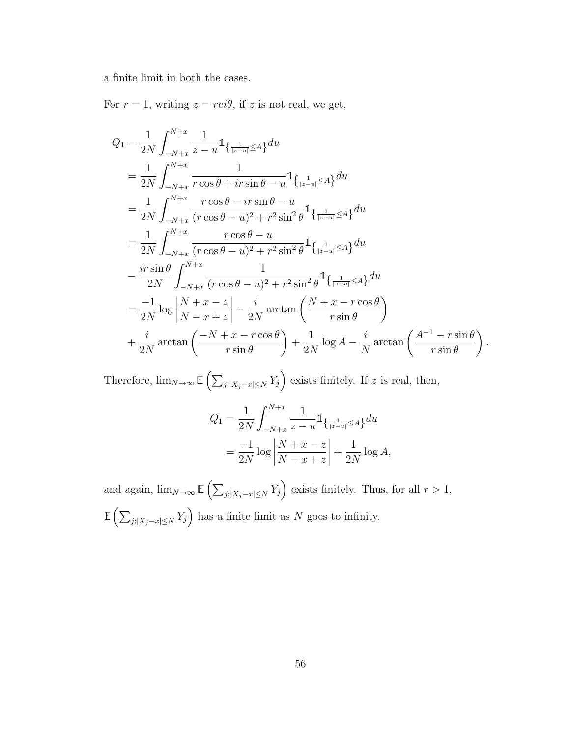a finite limit in both the cases.

For  $r = 1$ , writing  $z = rei\theta$ , if z is not real, we get,

$$
Q_{1} = \frac{1}{2N} \int_{-N+x}^{N+x} \frac{1}{z - u} \mathbb{1}_{\left\{ \frac{1}{|z - u|} \le A\right\}} du
$$
  
\n
$$
= \frac{1}{2N} \int_{-N+x}^{N+x} \frac{1}{r \cos \theta + ir \sin \theta - u} \mathbb{1}_{\left\{ \frac{1}{|z - u|} \le A\right\}} du
$$
  
\n
$$
= \frac{1}{2N} \int_{-N+x}^{N+x} \frac{r \cos \theta - ir \sin \theta - u}{(r \cos \theta - u)^{2} + r^{2} \sin^{2} \theta} \mathbb{1}_{\left\{ \frac{1}{|z - u|} \le A\right\}} du
$$
  
\n
$$
= \frac{1}{2N} \int_{-N+x}^{N+x} \frac{r \cos \theta - u}{(r \cos \theta - u)^{2} + r^{2} \sin^{2} \theta} \mathbb{1}_{\left\{ \frac{1}{|z - u|} \le A\right\}} du
$$
  
\n
$$
- \frac{ir \sin \theta}{2N} \int_{-N+x}^{N+x} \frac{1}{(r \cos \theta - u)^{2} + r^{2} \sin^{2} \theta} \mathbb{1}_{\left\{ \frac{1}{|z - u|} \le A\right\}} du
$$
  
\n
$$
= \frac{-1}{2N} \log \left| \frac{N + x - z}{N - x + z} \right| - \frac{i}{2N} \arctan \left( \frac{N + x - r \cos \theta}{r \sin \theta} \right)
$$
  
\n
$$
+ \frac{i}{2N} \arctan \left( \frac{-N + x - r \cos \theta}{r \sin \theta} \right) + \frac{1}{2N} \log A - \frac{i}{N} \arctan \left( \frac{A^{-1} - r \sin \theta}{r \sin \theta} \right)
$$

.

Therefore,  $\lim_{N\to\infty} \mathbb{E}\left(\sum_{j:\vert X_j-x\vert\leq N} Y_j\right)$  exists finitely. If z is real, then,

$$
Q_1 = \frac{1}{2N} \int_{-N+x}^{N+x} \frac{1}{z - u} \mathbb{1}_{\left\{\frac{1}{|z - u|} \le A\right\}} du
$$
  
=  $\frac{-1}{2N} \log \left| \frac{N + x - z}{N - x + z} \right| + \frac{1}{2N} \log A,$ 

and again,  $\lim_{N\to\infty} \mathbb{E}\left(\sum_{j:|X_j-x|\leq N} Y_j\right)$  exists finitely. Thus, for all  $r>1$ ,  $\mathbb{E}\left(\sum_{j:|X_j-x|\leq N} Y_j\right)$  has a finite limit as N goes to infinity.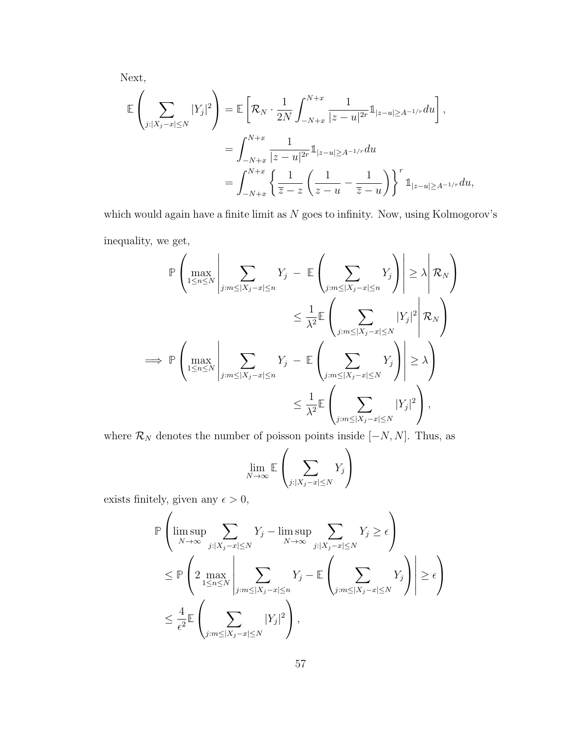Next,

$$
\mathbb{E}\left(\sum_{j:|X_j-x|\leq N}|Y_j|^2\right) = \mathbb{E}\left[\mathcal{R}_N\cdot\frac{1}{2N}\int_{-N+x}^{N+x}\frac{1}{|z-u|^{2r}}1\mathbb{1}_{|z-u|\geq A^{-1/r}}du\right],
$$
  

$$
=\int_{-N+x}^{N+x}\frac{1}{|z-u|^{2r}}1\mathbb{1}_{|z-u|\geq A^{-1/r}}du
$$
  

$$
=\int_{-N+x}^{N+x}\left\{\frac{1}{\overline{z}-z}\left(\frac{1}{z-u}-\frac{1}{\overline{z}-u}\right)\right\}^r1\mathbb{1}_{|z-u|\geq A^{-1/r}}du,
$$

which would again have a finite limit as  $N$  goes to infinity. Now, using Kolmogorov's inequality, we get,

$$
\mathbb{P}\left(\max_{1\leq n\leq N}\left|\sum_{j:m\leq |X_j-x|\leq n}Y_j\right| - \mathbb{E}\left(\sum_{j:m\leq |X_j-x|\leq n}Y_j\right)\right| \geq \lambda \left|\mathcal{R}_N\right)
$$
  

$$
\leq \frac{1}{\lambda^2} \mathbb{E}\left(\sum_{j:m\leq |X_j-x|\leq N} |\sum_{j:m\leq |X_j-x|\leq N} |Y_j|^2 \middle| \mathcal{R}_N\right)
$$
  

$$
\Rightarrow \mathbb{P}\left(\max_{1\leq n\leq N}\left|\sum_{j:m\leq |X_j-x|\leq n} Y_j\right| - \mathbb{E}\left(\sum_{j:m\leq |X_j-x|\leq N} Y_j\right)\right| \geq \lambda\right)
$$
  

$$
\leq \frac{1}{\lambda^2} \mathbb{E}\left(\sum_{j:m\leq |X_j-x|\leq N} |Y_j|^2\right),
$$

where  $\mathcal{R}_N$  denotes the number of poisson points inside  $[-N, N]$ . Thus, as

$$
\lim_{N \to \infty} \mathbb{E} \left( \sum_{j:|X_j - x| \le N} Y_j \right)
$$

exists finitely, given any  $\epsilon > 0,$ 

$$
\mathbb{P}\left(\limsup_{N\to\infty}\sum_{j:|X_j-x|\leq N}Y_j-\limsup_{N\to\infty}\sum_{j:|X_j-x|\leq N}Y_j\geq\epsilon\right)
$$
  

$$
\leq \mathbb{P}\left(2\max_{1\leq n\leq N}\left|\sum_{j:m\leq |X_j-x|\leq n}Y_j-\mathbb{E}\left(\sum_{j:m\leq |X_j-x|\leq N}Y_j\right)\right|\geq\epsilon\right)
$$
  

$$
\leq \frac{4}{\epsilon^2}\mathbb{E}\left(\sum_{j:m\leq |X_j-x|\leq N}|Y_j|^2\right),
$$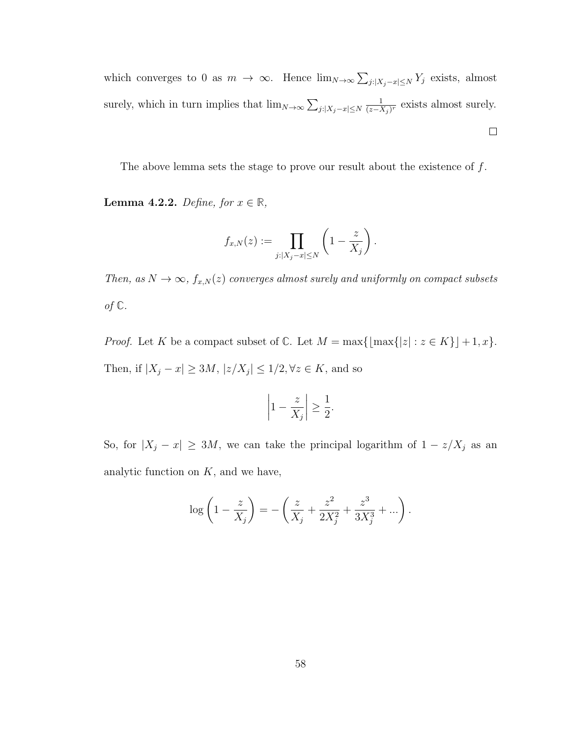which converges to 0 as  $m \to \infty$ . Hence  $\lim_{N \to \infty} \sum_{j:|X_j - x| \le N} Y_j$  exists, almost 1 surely, which in turn implies that  $\lim_{N \to \infty} \sum_{j:|X_j - x| \le N}$  $\frac{1}{(z-X_j )^r}$  exists almost surely.  $\Box$ 

The above lemma sets the stage to prove our result about the existence of  $f$ .

Lemma 4.2.2. Define, for  $x \in \mathbb{R}$ ,

$$
f_{x,N}(z) := \prod_{j:|X_j-x| \leq N} \left(1 - \frac{z}{X_j}\right).
$$

Then, as  $N \to \infty$ ,  $f_{x,N}(z)$  converges almost surely and uniformly on compact subsets of **C**.

*Proof.* Let K be a compact subset of  $\mathbb{C}$ . Let  $M = \max\{\lfloor \max\{|z| : z \in K\}\rfloor + 1, x\}.$ Then, if  $|X_j - x| \ge 3M$ ,  $|z/X_j| \le 1/2$ ,  $\forall z \in K$ , and so

$$
\left|1 - \frac{z}{X_j}\right| \ge \frac{1}{2}.
$$

So, for  $|X_j - x| \ge 3M$ , we can take the principal logarithm of  $1 - z/X_j$  as an analytic function on  $K$ , and we have,

$$
\log\left(1 - \frac{z}{X_j}\right) = -\left(\frac{z}{X_j} + \frac{z^2}{2X_j^2} + \frac{z^3}{3X_j^3} + \ldots\right).
$$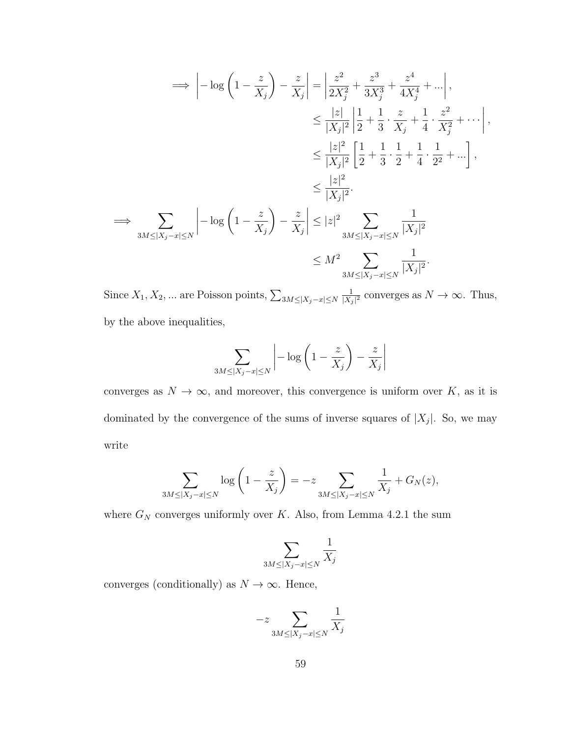$$
\Rightarrow \left| -\log\left(1 - \frac{z}{X_j}\right) - \frac{z}{X_j} \right| = \left| \frac{z^2}{2X_j^2} + \frac{z^3}{3X_j^3} + \frac{z^4}{4X_j^4} + \dots \right|,
$$
  
\n
$$
\leq \frac{|z|}{|X_j|^2} \left| \frac{1}{2} + \frac{1}{3} \cdot \frac{z}{X_j} + \frac{1}{4} \cdot \frac{z^2}{X_j^2} + \dots \right|,
$$
  
\n
$$
\leq \frac{|z|^2}{|X_j|^2} \left[ \frac{1}{2} + \frac{1}{3} \cdot \frac{1}{2} + \frac{1}{4} \cdot \frac{1}{2^2} + \dots \right],
$$
  
\n
$$
\leq \frac{|z|^2}{|X_j|^2}.
$$
  
\n
$$
\Rightarrow \sum_{3M \leq |X_j - x| \leq N} \left| -\log\left(1 - \frac{z}{X_j}\right) - \frac{z}{X_j} \right| \leq |z|^2 \sum_{3M \leq |X_j - x| \leq N} \frac{1}{|X_j|^2}
$$
  
\n
$$
\leq M^2 \sum_{3M \leq |X_j - x| \leq N} \frac{1}{|X_j|^2}.
$$

Since  $X_1, X_2, ...$  are Poisson points,  $\sum_{3M\leq |X_j-x|\leq N}$ 1  $\frac{1}{|X_j|^2}$  converges as  $N \to \infty$ . Thus, by the above inequalities,

$$
\sum_{3M \le |X_j - x| \le N} \left| -\log\left(1 - \frac{z}{X_j}\right) - \frac{z}{X_j}\right|
$$

converges as  $N \to \infty$ , and moreover, this convergence is uniform over K, as it is dominated by the convergence of the sums of inverse squares of  $|X_j|$ . So, we may write

$$
\sum_{3M \le |X_j - x| \le N} \log \left( 1 - \frac{z}{X_j} \right) = -z \sum_{3M \le |X_j - x| \le N} \frac{1}{X_j} + G_N(z),
$$

where  $G_N$  converges uniformly over K. Also, from Lemma 4.2.1 the sum

$$
\sum_{3M \le |X_j - x| \le N} \frac{1}{X_j}
$$

converges (conditionally) as  $N\to\infty.$  Hence,

$$
-z\sum_{3M\leq |X_j-x|\leq N}\frac{1}{X_j}
$$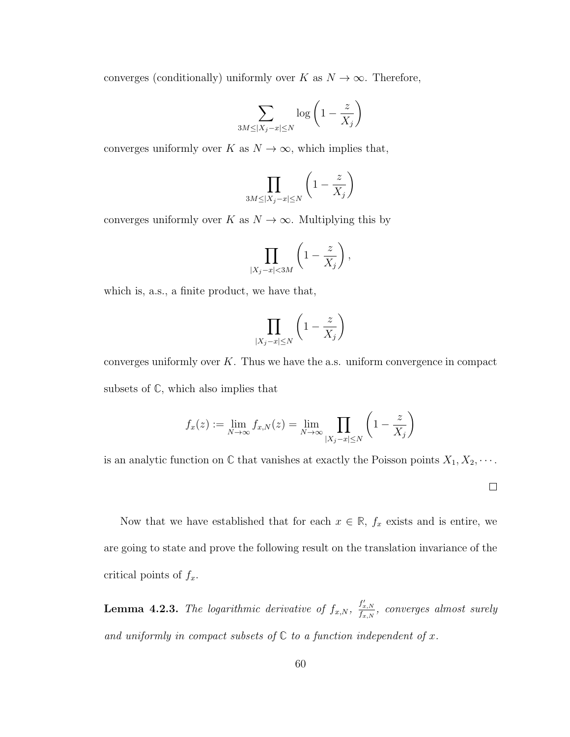converges (conditionally) uniformly over K as  $N \to \infty$ . Therefore,

$$
\sum_{3M \le |X_j - x| \le N} \log \left( 1 - \frac{z}{X_j} \right)
$$

converges uniformly over K as  $N \to \infty$ , which implies that,

$$
\prod_{3M \le |X_j - x| \le N} \left(1 - \frac{z}{X_j}\right)
$$

converges uniformly over K as  $N \to \infty$ . Multiplying this by

$$
\prod_{|X_j-x|<3M} \left(1-\frac{z}{X_j}\right),\,
$$

which is, a.s., a finite product, we have that,

$$
\prod_{|X_j - x| \le N} \left( 1 - \frac{z}{X_j} \right)
$$

converges uniformly over  $K$ . Thus we have the a.s. uniform convergence in compact subsets of **C**, which also implies that

$$
f_x(z) := \lim_{N \to \infty} f_{x,N}(z) = \lim_{N \to \infty} \prod_{|X_j - x| \le N} \left(1 - \frac{z}{X_j}\right)
$$

is an analytic function on  $\mathbb C$  that vanishes at exactly the Poisson points  $X_1, X_2, \cdots$ .

 $\Box$ 

Now that we have established that for each  $x \in \mathbb{R}$ ,  $f_x$  exists and is entire, we are going to state and prove the following result on the translation invariance of the critical points of  $f_x$ .

**Lemma 4.2.3.** The logarithmic derivative of  $f_{x,N}$ ,  $\frac{f'_{x,N}}{f_{x,N}}$ , converges almost surely and uniformly in compact subsets of  $\mathbb C$  to a function independent of  $x$ .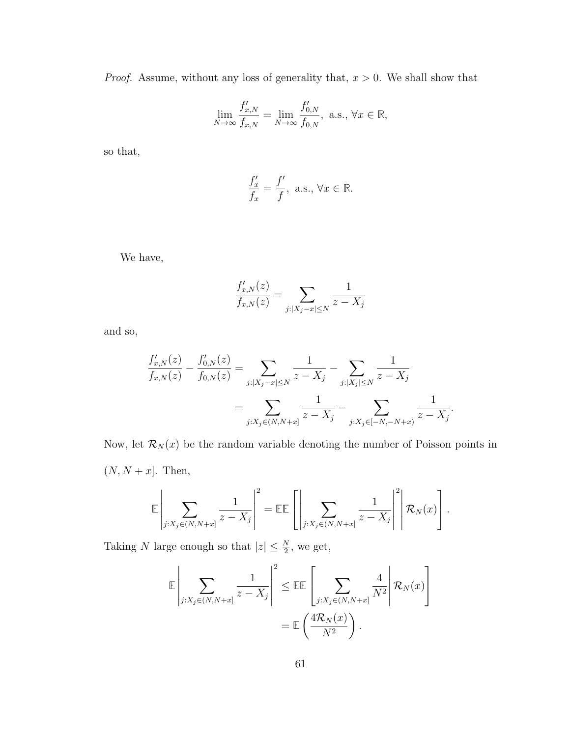*Proof.* Assume, without any loss of generality that,  $x > 0$ . We shall show that

$$
\lim_{N \to \infty} \frac{f'_{x,N}}{f_{x,N}} = \lim_{N \to \infty} \frac{f'_{0,N}}{f_{0,N}}, \text{ a.s., } \forall x \in \mathbb{R},
$$

so that,

$$
\frac{f'_x}{f_x} = \frac{f'}{f}, \text{ a.s., } \forall x \in \mathbb{R}.
$$

We have,

$$
\frac{f'_{x,N}(z)}{f_{x,N}(z)} = \sum_{j:|X_j - x| \le N} \frac{1}{z - X_j}
$$

and so,

$$
\frac{f'_{x,N}(z)}{f_{x,N}(z)} - \frac{f'_{0,N}(z)}{f_{0,N}(z)} = \sum_{j:|X_j - x| \le N} \frac{1}{z - X_j} - \sum_{j:|X_j| \le N} \frac{1}{z - X_j}
$$
\n
$$
= \sum_{j:X_j \in (N, N+x]} \frac{1}{z - X_j} - \sum_{j:X_j \in [-N, -N+x)} \frac{1}{z - X_j}.
$$

Now, let  $\mathcal{R}_N(x)$  be the random variable denoting the number of Poisson points in  $(N, N + x]$ . Then,

$$
\mathbb{E}\left|\sum_{j:X_j\in(N,N+x]} \frac{1}{z-X_j}\right|^2 = \mathbb{E}\mathbb{E}\left[\left|\sum_{j:X_j\in(N,N+x]} \frac{1}{z-X_j}\right|^2\middle|\mathcal{R}_N(x)\right].
$$

Taking N large enough so that  $|z| \leq \frac{N}{2}$ , we get,

$$
\mathbb{E}\left|\sum_{j:X_j\in(N,N+x]} \frac{1}{z-X_j}\right|^2 \leq \mathbb{E}\mathbb{E}\left[\sum_{j:X_j\in(N,N+x]} \frac{4}{N^2}\middle|\mathcal{R}_N(x)\right]
$$

$$
= \mathbb{E}\left(\frac{4\mathcal{R}_N(x)}{N^2}\right).
$$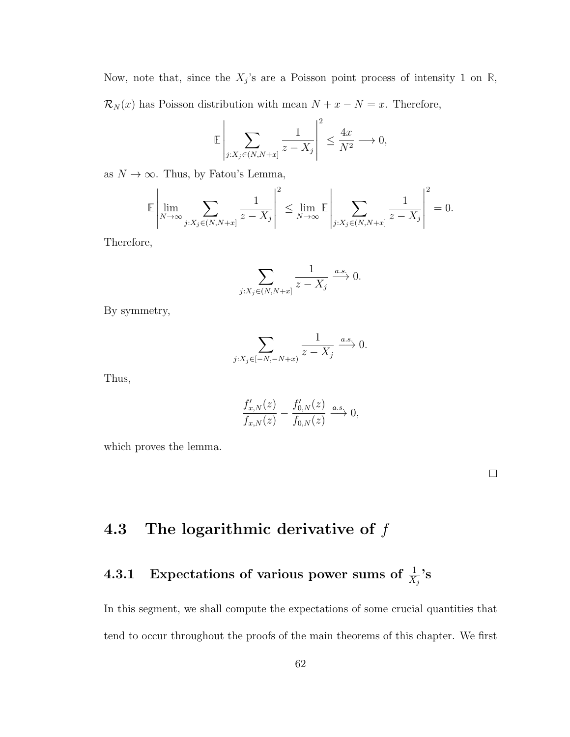Now, note that, since the  $X_j$ 's are a Poisson point process of intensity 1 on  $\mathbb{R}$ ,  $\mathcal{R}_N(x)$  has Poisson distribution with mean  $N + x - N = x$ . Therefore,

$$
\mathbb{E}\left|\sum_{j:X_j\in (N, N+x]}\frac{1}{z-X_j}\right|^2\leq \frac{4x}{N^2}\longrightarrow 0,
$$

as  $N\to\infty.$  Thus, by Fatou's Lemma,

$$
\mathbb{E}\left|\lim_{N\to\infty}\sum_{j:X_j\in(N,N+x]} \frac{1}{z-X_j}\right|^2 \leq \lim_{N\to\infty} \mathbb{E}\left|\sum_{j:X_j\in(N,N+x]} \frac{1}{z-X_j}\right|^2 = 0.
$$

Therefore,

$$
\sum_{j:X_j\in (N,N+x]} \frac{1}{z-X_j} \xrightarrow{a.s.} 0.
$$

By symmetry,

$$
\sum_{j:X_j\in [-N,-N+x)}\frac{1}{z-X_j}\xrightarrow{a.s.}0.
$$

Thus,

$$
\frac{f'_{x,N}(z)}{f_{x,N}(z)} - \frac{f'_{0,N}(z)}{f_{0,N}(z)} \xrightarrow{a.s.} 0,
$$

which proves the lemma.

 $\Box$ 

## 4.3 The logarithmic derivative of  $f$

## 4.3.1 Expectations of various power sums of  $\frac{1}{X_j}$ 's

In this segment, we shall compute the expectations of some crucial quantities that tend to occur throughout the proofs of the main theorems of this chapter. We first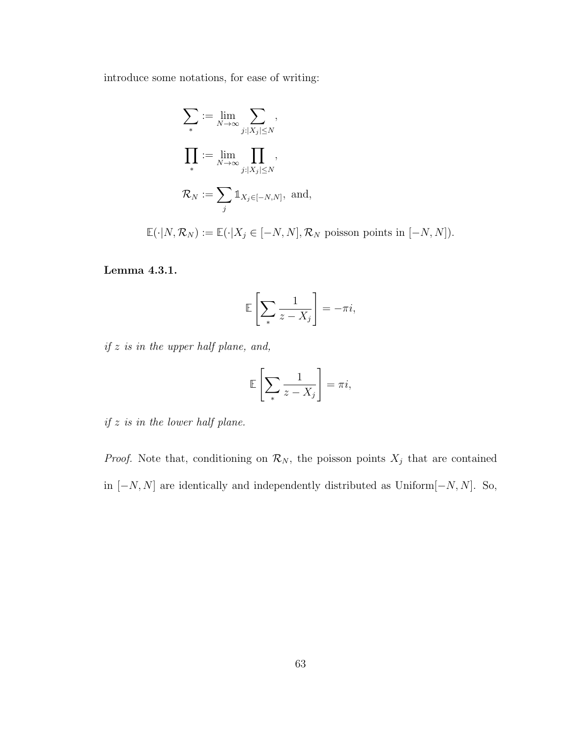introduce some notations, for ease of writing:

$$
\sum_{*} := \lim_{N \to \infty} \sum_{j:|X_j| \le N},
$$

$$
\prod_{*} := \lim_{N \to \infty} \prod_{j:|X_j| \le N},
$$

$$
\mathcal{R}_N := \sum_{j} \mathbb{1}_{X_j \in [-N,N]}, \text{ and,}
$$

 $\mathbb{E}(\cdot|N, \mathcal{R}_N) := \mathbb{E}(\cdot|X_j \in [-N, N], \mathcal{R}_N$  poisson points in  $[-N, N]$ ).

Lemma 4.3.1.

$$
\mathbb{E}\left[\sum_{*}\frac{1}{z-X_j}\right] = -\pi i,
$$

if  $z$  is in the upper half plane, and,

$$
\mathbb{E}\left[\sum_{*}\frac{1}{z-X_j}\right]=\pi i,
$$

 $if z is in the lower half plane.$ 

*Proof.* Note that, conditioning on  $\mathcal{R}_N$ , the poisson points  $X_j$  that are contained in  $[-N, N]$  are identically and independently distributed as Uniform $[-N, N]$ . So,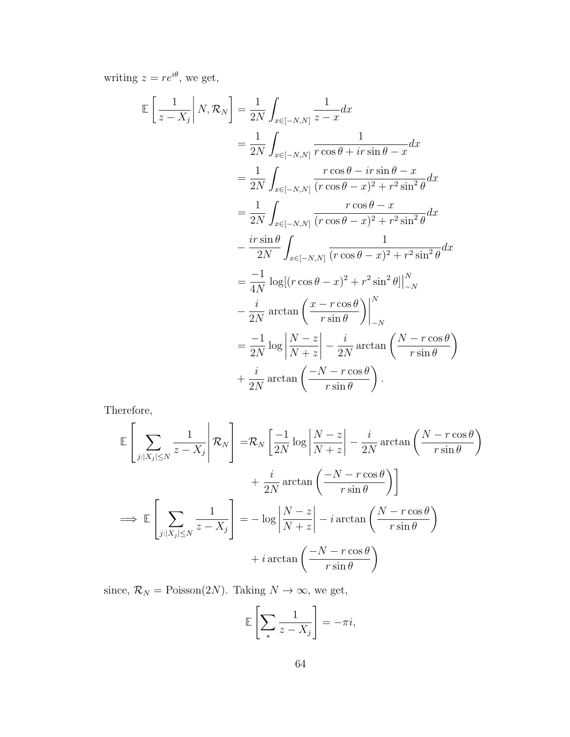writing  $z = re^{i\theta}$ , we get,

$$
\mathbb{E}\left[\frac{1}{z-X_j}\middle|N,\mathcal{R}_N\right] = \frac{1}{2N}\int_{x\in[-N,N]} \frac{1}{z-x} dx
$$
  
\n
$$
= \frac{1}{2N}\int_{x\in[-N,N]} \frac{1}{r\cos\theta + ir\sin\theta - x} dx
$$
  
\n
$$
= \frac{1}{2N}\int_{x\in[-N,N]} \frac{r\cos\theta - ir\sin\theta - x}{(r\cos\theta - x)^2 + r^2\sin^2\theta} dx
$$
  
\n
$$
= \frac{1}{2N}\int_{x\in[-N,N]} \frac{r\cos\theta - x}{(r\cos\theta - x)^2 + r^2\sin^2\theta} dx
$$
  
\n
$$
- \frac{ir\sin\theta}{2N}\int_{x\in[-N,N]} \frac{1}{(r\cos\theta - x)^2 + r^2\sin^2\theta} dx
$$
  
\n
$$
= \frac{-1}{4N} \log[(r\cos\theta - x)^2 + r^2\sin^2\theta] \Big|_{-N}^N
$$
  
\n
$$
- \frac{i}{2N} \arctan\left(\frac{x - r\cos\theta}{r\sin\theta}\right) \Big|_{-N}^N
$$
  
\n
$$
= \frac{-1}{2N} \log\left|\frac{N - z}{N + z}\right| - \frac{i}{2N} \arctan\left(\frac{N - r\cos\theta}{r\sin\theta}\right)
$$
  
\n
$$
+ \frac{i}{2N} \arctan\left(\frac{-N - r\cos\theta}{r\sin\theta}\right).
$$

Therefore,

$$
\mathbb{E}\left[\sum_{j:|X_j|\leq N} \frac{1}{z-X_j} \middle| \mathcal{R}_N\right] = \mathcal{R}_N \left[\frac{-1}{2N} \log \left|\frac{N-z}{N+z}\right| - \frac{i}{2N} \arctan\left(\frac{N-r\cos\theta}{r\sin\theta}\right) + \frac{i}{2N} \arctan\left(\frac{-N-r\cos\theta}{r\sin\theta}\right)\right]
$$
  

$$
\implies \mathbb{E}\left[\sum_{j:|X_j|\leq N} \frac{1}{z-X_j}\right] = -\log \left|\frac{N-z}{N+z}\right| - i \arctan\left(\frac{N-r\cos\theta}{r\sin\theta}\right) + i \arctan\left(\frac{-N-r\cos\theta}{r\sin\theta}\right)
$$

since,  $\mathcal{R}_N = \text{Poisson}(2N)$ . Taking  $N \to \infty$ , we get,

$$
\mathbb{E}\left[\sum_{*}\frac{1}{z-X_j}\right] = -\pi i,
$$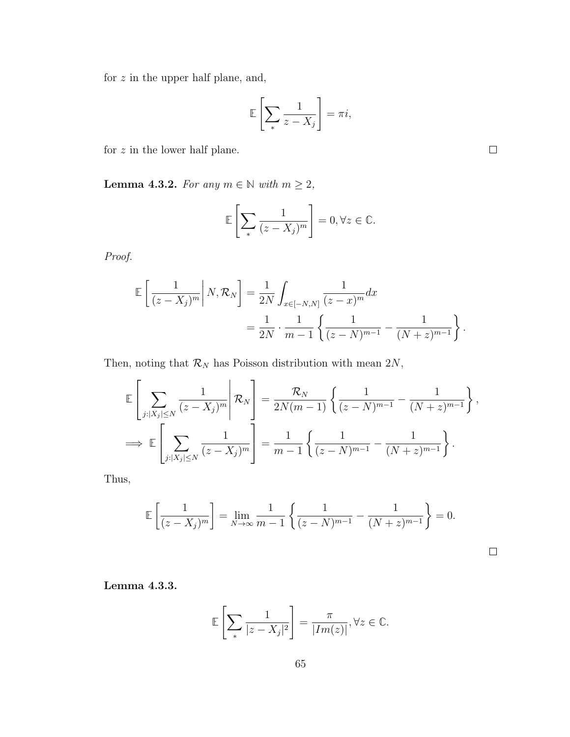for  $z$  in the upper half plane, and,

$$
\mathbb{E}\left[\sum_{*}\frac{1}{z-X_j}\right] = \pi i,
$$

for  $z$  in the lower half plane.

Lemma 4.3.2. For any  $m \in \mathbb{N}$  with  $m \geq 2$ ,

$$
\mathbb{E}\left[\sum_{*} \frac{1}{(z - X_j)^m}\right] = 0, \forall z \in \mathbb{C}.
$$

Proof.

$$
\mathbb{E}\left[\frac{1}{(z-X_j)^m}\middle| N, \mathcal{R}_N\right] = \frac{1}{2N} \int_{x \in [-N,N]} \frac{1}{(z-x)^m} dx
$$
  
=  $\frac{1}{2N} \cdot \frac{1}{m-1} \left\{ \frac{1}{(z-N)^{m-1}} - \frac{1}{(N+z)^{m-1}} \right\}.$ 

Then, noting that  $\mathcal{R}_N$  has Poisson distribution with mean  $2N$ ,

$$
\mathbb{E}\left[\sum_{j:|X_j|\leq N} \frac{1}{(z-X_j)^m} \middle| \mathcal{R}_N\right] = \frac{\mathcal{R}_N}{2N(m-1)} \left\{ \frac{1}{(z-N)^{m-1}} - \frac{1}{(N+z)^{m-1}} \right\},
$$
  

$$
\implies \mathbb{E}\left[\sum_{j:|X_j|\leq N} \frac{1}{(z-X_j)^m} \right] = \frac{1}{m-1} \left\{ \frac{1}{(z-N)^{m-1}} - \frac{1}{(N+z)^{m-1}} \right\}.
$$

Thus,

$$
\mathbb{E}\left[\frac{1}{(z-X_j)^m}\right] = \lim_{N \to \infty} \frac{1}{m-1} \left\{ \frac{1}{(z-N)^{m-1}} - \frac{1}{(N+z)^{m-1}} \right\} = 0.
$$

Lemma 4.3.3.

$$
\mathbb{E}\left[\sum_{*} \frac{1}{|z - X_j|^2}\right] = \frac{\pi}{|Im(z)|}, \forall z \in \mathbb{C}.
$$

 $\Box$ 

 $\Box$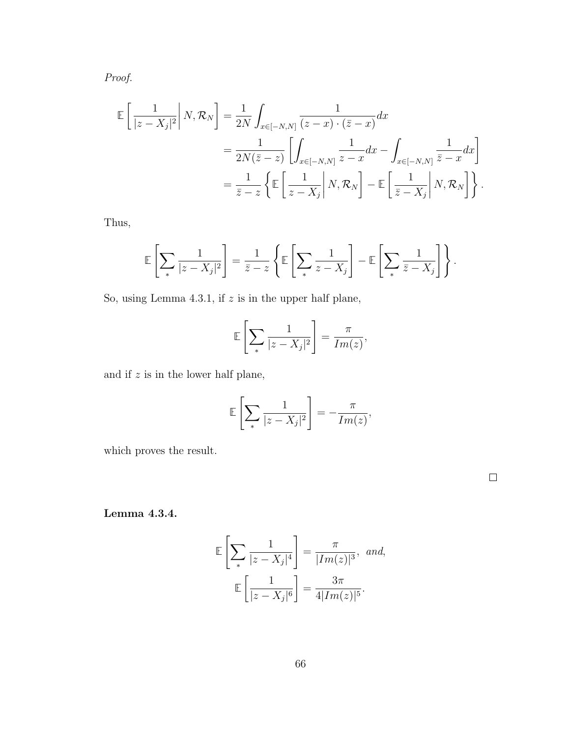Proof.

$$
\mathbb{E}\left[\frac{1}{|z-X_j|^2}\middle|N,\mathcal{R}_N\right] = \frac{1}{2N}\int_{x\in[-N,N]} \frac{1}{(z-x)\cdot(\bar{z}-x)}dx
$$
  
\n
$$
= \frac{1}{2N(\bar{z}-z)}\left[\int_{x\in[-N,N]} \frac{1}{z-x}dx - \int_{x\in[-N,N]} \frac{1}{\bar{z}-x}dx\right]
$$
  
\n
$$
= \frac{1}{\bar{z}-z}\left\{\mathbb{E}\left[\frac{1}{z-X_j}\middle|N,\mathcal{R}_N\right] - \mathbb{E}\left[\frac{1}{\bar{z}-X_j}\middle|N,\mathcal{R}_N\right]\right\}.
$$

Thus,

$$
\mathbb{E}\left[\sum_{*} \frac{1}{|z - X_j|^2}\right] = \frac{1}{\bar{z} - z} \left\{ \mathbb{E}\left[\sum_{*} \frac{1}{z - X_j}\right] - \mathbb{E}\left[\sum_{*} \frac{1}{\bar{z} - X_j}\right] \right\}.
$$

So, using Lemma 4.3.1, if  $z$  is in the upper half plane,

$$
\mathbb{E}\left[\sum_{*} \frac{1}{|z - X_j|^2}\right] = \frac{\pi}{Im(z)},
$$

and if  $z$  is in the lower half plane,

$$
\mathbb{E}\left[\sum_{*}\frac{1}{|z-X_j|^2}\right] = -\frac{\pi}{Im(z)},
$$

which proves the result.

 $\Box$ 

Lemma 4.3.4.

$$
\mathbb{E}\left[\sum_{*} \frac{1}{|z - X_j|^4}\right] = \frac{\pi}{|Im(z)|^3}, \text{ and,}
$$

$$
\mathbb{E}\left[\frac{1}{|z - X_j|^6}\right] = \frac{3\pi}{4|Im(z)|^5}.
$$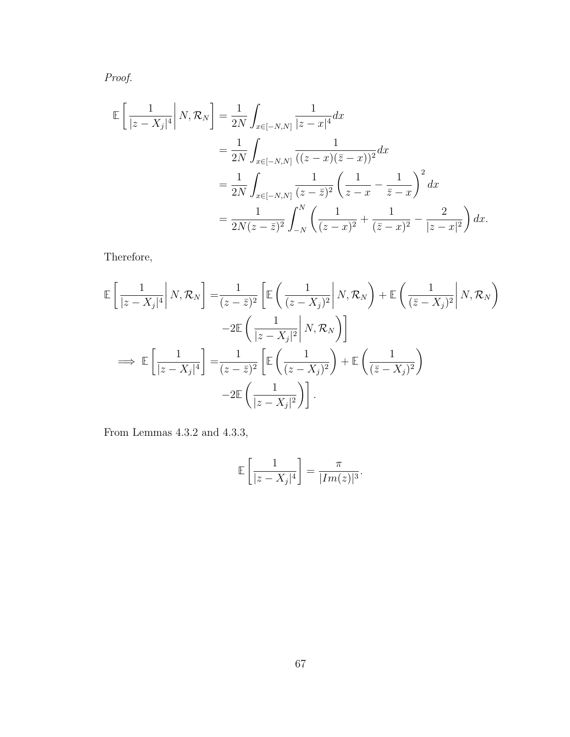Proof.

$$
\mathbb{E}\left[\frac{1}{|z - X_j|^4}\middle| N, \mathcal{R}_N\right] = \frac{1}{2N} \int_{x \in [-N,N]} \frac{1}{|z - x|^4} dx
$$
  
\n
$$
= \frac{1}{2N} \int_{x \in [-N,N]} \frac{1}{((z - x)(\overline{z} - x))^2} dx
$$
  
\n
$$
= \frac{1}{2N} \int_{x \in [-N,N]} \frac{1}{(z - \overline{z})^2} \left(\frac{1}{z - x} - \frac{1}{\overline{z} - x}\right)^2 dx
$$
  
\n
$$
= \frac{1}{2N(z - \overline{z})^2} \int_{-N}^N \left(\frac{1}{(z - x)^2} + \frac{1}{(\overline{z} - x)^2} - \frac{2}{|z - x|^2}\right) dx.
$$

Therefore,

$$
\mathbb{E}\left[\frac{1}{|z-X_j|^4}\middle|N,\mathcal{R}_N\right] = \frac{1}{(z-\bar{z})^2} \left[\mathbb{E}\left(\frac{1}{(z-X_j)^2}\middle|N,\mathcal{R}_N\right) + \mathbb{E}\left(\frac{1}{(\bar{z}-X_j)^2}\middle|N,\mathcal{R}_N\right)\right] \n-2\mathbb{E}\left(\frac{1}{|z-X_j|^2}\middle|N,\mathcal{R}_N\right)\right] \n\implies \mathbb{E}\left[\frac{1}{|z-X_j|^4}\right] = \frac{1}{(z-\bar{z})^2} \left[\mathbb{E}\left(\frac{1}{(z-X_j)^2}\right) + \mathbb{E}\left(\frac{1}{(\bar{z}-X_j)^2}\right) \n-2\mathbb{E}\left(\frac{1}{|z-X_j|^2}\right)\right].
$$

From Lemmas 4.3.2 and 4.3.3,

$$
\mathbb{E}\left[\frac{1}{|z-X_j|^4}\right] = \frac{\pi}{|Im(z)|^3}.
$$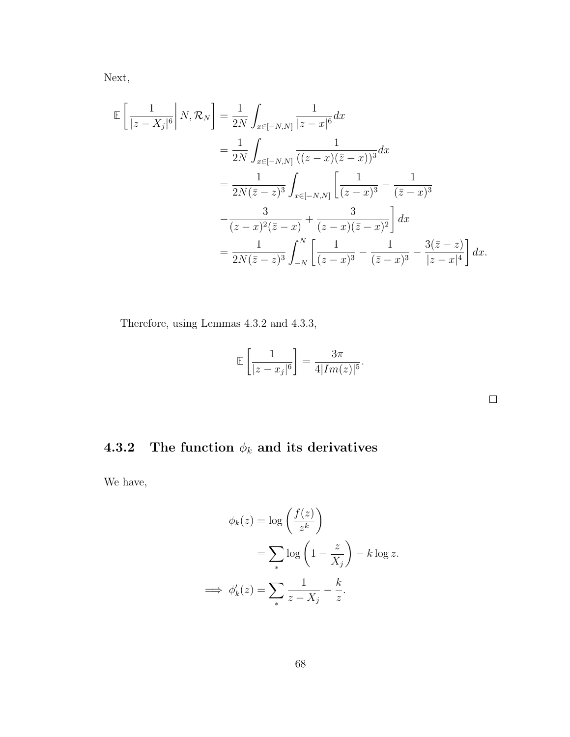Next,

$$
\mathbb{E}\left[\frac{1}{|z-X_j|^6}\middle|N,\mathcal{R}_N\right] = \frac{1}{2N}\int_{x\in[-N,N]} \frac{1}{|z-x|^6} dx \n= \frac{1}{2N}\int_{x\in[-N,N]} \frac{1}{((z-x)(\bar{z}-x))^3} dx \n= \frac{1}{2N(\bar{z}-z)^3}\int_{x\in[-N,N]} \left[\frac{1}{(z-x)^3} - \frac{1}{(\bar{z}-x)^3} - \frac{3}{(z-x)^2} + \frac{3}{(z-x)^2(\bar{z}-x)}\right] dx \n= \frac{1}{2N(\bar{z}-z)^3}\int_{-N}^N \left[\frac{1}{(z-x)^3} - \frac{1}{(\bar{z}-x)^3} - \frac{3(\bar{z}-z)}{|z-x|^4}\right] dx.
$$

Therefore, using Lemmas 4.3.2 and 4.3.3,

$$
\mathbb{E}\left[\frac{1}{|z-x_j|^6}\right] = \frac{3\pi}{4|Im(z)|^5}.
$$

 $\Box$ 

## 4.3.2 The function  $\phi_k$  and its derivatives

We have,

$$
\phi_k(z) = \log\left(\frac{f(z)}{z^k}\right)
$$

$$
= \sum_* \log\left(1 - \frac{z}{X_j}\right) - k \log z.
$$

$$
\implies \phi'_k(z) = \sum_* \frac{1}{z - X_j} - \frac{k}{z}.
$$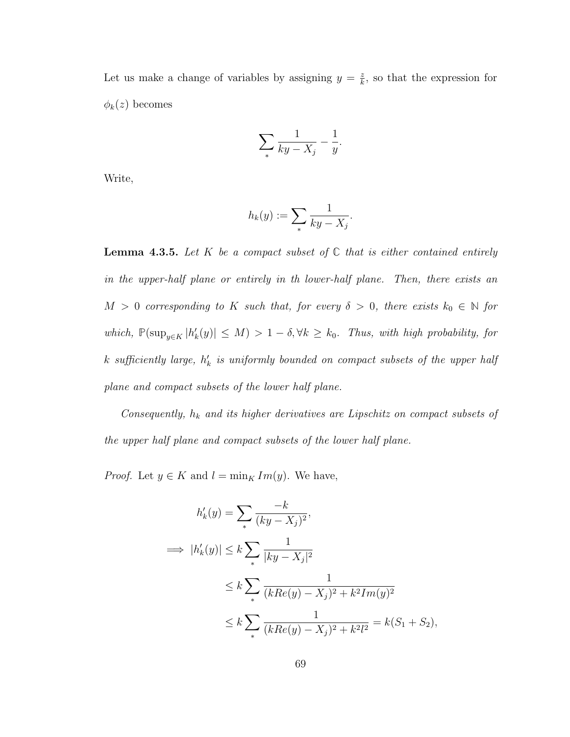Let us make a change of variables by assigning  $y = \frac{z}{k}$  $\frac{z}{k}$ , so that the expression for  $\phi_k(z)$  becomes

$$
\sum_{*} \frac{1}{ky - X_j} - \frac{1}{y}.
$$

Write,

$$
h_k(y) := \sum_{\ast} \frac{1}{ky - X_j}.
$$

**Lemma 4.3.5.** Let K be a compact subset of  $\mathbb C$  that is either contained entirely in the upper-half plane or entirely in th lower-half plane. Then, there exists an  $M > 0$  corresponding to K such that, for every  $\delta > 0$ , there exists  $k_0 \in \mathbb{N}$  for which,  $\mathbb{P}(\sup_{y \in K} |h'_k(y)| \leq M) > 1 - \delta, \forall k \geq k_0$ . Thus, with high probability, for k sufficiently large,  $h'_k$  is uniformly bounded on compact subsets of the upper half plane and compact subsets of the lower half plane.

Consequently,  $h_k$  and its higher derivatives are Lipschitz on compact subsets of the upper half plane and compact subsets of the lower half plane.

*Proof.* Let  $y \in K$  and  $l = \min_{K} Im(y)$ . We have,

$$
h'_k(y) = \sum_{*} \frac{-k}{(ky - X_j)^2},
$$
  
\n
$$
\implies |h'_k(y)| \le k \sum_{*} \frac{1}{|ky - X_j|^2}
$$
  
\n
$$
\le k \sum_{*} \frac{1}{(kRe(y) - X_j)^2 + k^2 Im(y)^2}
$$
  
\n
$$
\le k \sum_{*} \frac{1}{(kRe(y) - X_j)^2 + k^2 l^2} = k(S_1 + S_2),
$$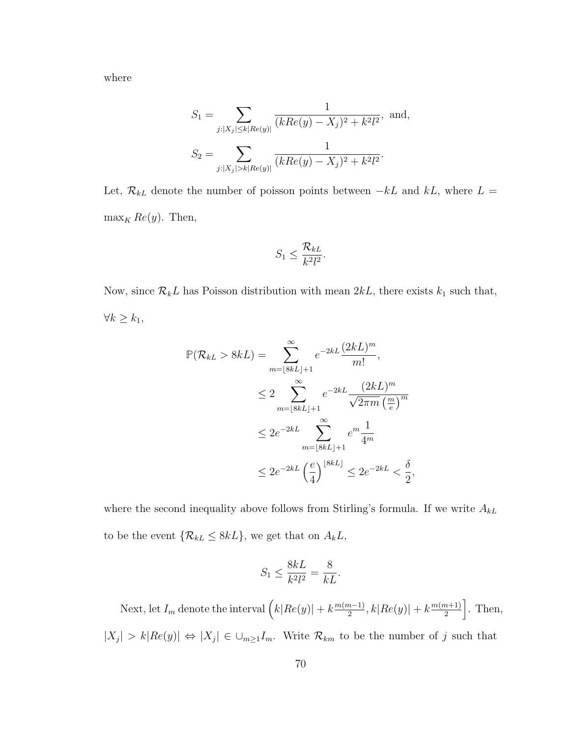where

$$
S_1 = \sum_{j:|X_j| \le k|Re(y)|} \frac{1}{(kRe(y) - X_j)^2 + k^2 l^2}, \text{ and,}
$$
  

$$
S_2 = \sum_{j:|X_j| > k|Re(y)|} \frac{1}{(kRe(y) - X_j)^2 + k^2 l^2}.
$$

Let,  $\mathcal{R}_{kL}$  denote the number of poisson points between  $-kL$  and  $kL$ , where  $L =$  $\max_K Re(y)$ . Then,

$$
S_1 \leq \frac{\mathcal{R}_{kL}}{k^2 l^2}.
$$

Now, since  $\mathcal{R}_k L$  has Poisson distribution with mean  $2kL$ , there exists  $k_1$  such that,  $\forall k \geq k_1,$ 

$$
\mathbb{P}(\mathcal{R}_{kL} > 8kL) = \sum_{m=\lfloor 8kL \rfloor + 1}^{\infty} e^{-2kL} \frac{(2kL)^m}{m!},
$$
  

$$
\leq 2 \sum_{m=\lfloor 8kL \rfloor + 1}^{\infty} e^{-2kL} \frac{(2kL)^m}{\sqrt{2\pi m} \left(\frac{m}{e}\right)^m}
$$
  

$$
\leq 2e^{-2kL} \sum_{m=\lfloor 8kL \rfloor + 1}^{\infty} e^m \frac{1}{4^m}
$$
  

$$
\leq 2e^{-2kL} \left(\frac{e}{4}\right)^{\lfloor 8kL \rfloor} \leq 2e^{-2kL} < \frac{\delta}{2}
$$

where the second inequality above follows from Stirling's formula. If we write  $A_{kL}$ to be the event  $\{R_{kL} \leq 8kL\}$ , we get that on  $A_kL$ ,

,

$$
S_1 \le \frac{8kL}{k^2l^2} = \frac{8}{kL}.
$$

Next, let  $I_m$  denote the interval  $\left(k|Re(y)|+k\frac{m(m-1)}{2}\right)$  $\frac{(m-1)}{2}$ ,  $k|Re(y)| + k \frac{m(m+1)}{2}$  $\left[\frac{n+1}{2}\right]$ . Then,  $|X_j| > k |Re(y)| \Leftrightarrow |X_j| \in \bigcup_{m \geq 1} I_m$ . Write  $\mathcal{R}_{km}$  to be the number of j such that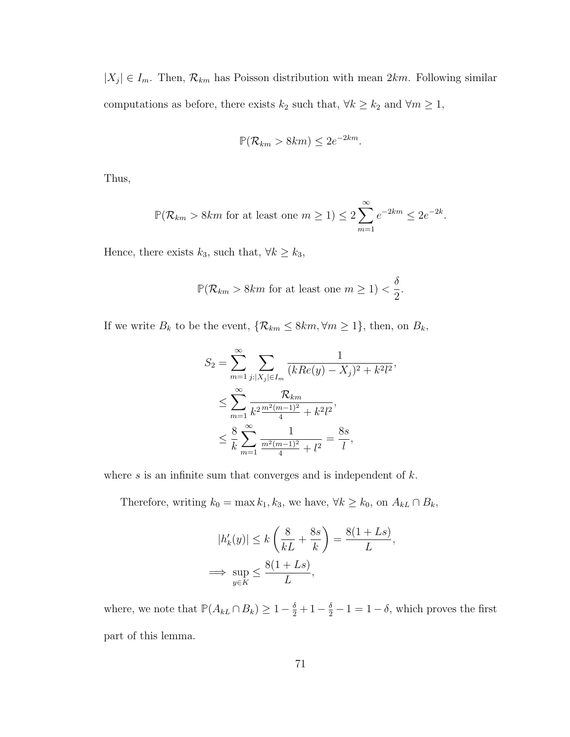$|X_j| \in I_m$ . Then,  $\mathcal{R}_{km}$  has Poisson distribution with mean  $2km$ . Following similar computations as before, there exists  $k_2$  such that,  $\forall k \geq k_2$  and  $\forall m \geq 1$ ,

$$
\mathbb{P}(\mathcal{R}_{km} > 8km) \le 2e^{-2km}.
$$

Thus,

$$
\mathbb{P}(\mathcal{R}_{km} > 8km \text{ for at least one } m \ge 1) \le 2\sum_{m=1}^{\infty} e^{-2km} \le 2e^{-2k}.
$$

Hence, there exists  $k_3$ , such that,  $\forall k \geq k_3$ ,

$$
\mathbb{P}(\mathcal{R}_{km} > 8km \text{ for at least one } m \ge 1) < \frac{\delta}{2}.
$$

If we write  $B_k$  to be the event,  $\{R_{km} \leq 8km, \forall m \geq 1\}$ , then, on  $B_k$ ,

$$
S_2 = \sum_{m=1}^{\infty} \sum_{j:|X_j| \in I_m} \frac{1}{(kRe(y) - X_j)^2 + k^2 l^2},
$$
  

$$
\leq \sum_{m=1}^{\infty} \frac{R_{km}}{k^2 \frac{m^2(m-1)^2}{4} + k^2 l^2},
$$
  

$$
\leq \frac{8}{k} \sum_{m=1}^{\infty} \frac{1}{\frac{m^2(m-1)^2}{4} + l^2} = \frac{8s}{l},
$$

where  $s$  is an infinite sum that converges and is independent of  $k$ .

Therefore, writing  $k_0 = \max k_1, k_3$ , we have,  $\forall k \geq k_0$ , on  $A_{kL} \cap B_k$ ,

$$
|h'_k(y)| \le k\left(\frac{8}{kL} + \frac{8s}{k}\right) = \frac{8(1+Ls)}{L},
$$
  

$$
\implies \sup_{y \in K} \le \frac{8(1+Ls)}{L},
$$

where, we note that  $\mathbb{P}(A_{kL} \cap B_k) \geq 1 - \frac{\delta}{2} + 1 - \frac{\delta}{2} - 1 = 1 - \delta$ , which proves the first part of this lemma.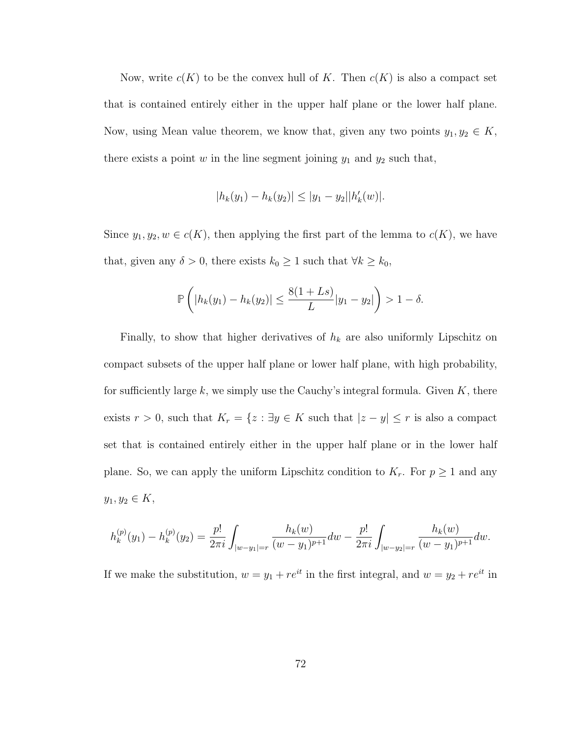Now, write  $c(K)$  to be the convex hull of K. Then  $c(K)$  is also a compact set that is contained entirely either in the upper half plane or the lower half plane. Now, using Mean value theorem, we know that, given any two points  $y_1, y_2 \in K$ , there exists a point  $w$  in the line segment joining  $y_1$  and  $y_2$  such that,

$$
|h_k(y_1) - h_k(y_2)| \le |y_1 - y_2||h'_k(w)|.
$$

Since  $y_1, y_2, w \in c(K)$ , then applying the first part of the lemma to  $c(K)$ , we have that, given any  $\delta > 0$ , there exists  $k_0 \ge 1$  such that  $\forall k \ge k_0$ ,

$$
\mathbb{P}\left(|h_k(y_1) - h_k(y_2)| \le \frac{8(1+Ls)}{L}|y_1 - y_2|\right) > 1 - \delta.
$$

Finally, to show that higher derivatives of  $h_k$  are also uniformly Lipschitz on compact subsets of the upper half plane or lower half plane, with high probability, for sufficiently large k, we simply use the Cauchy's integral formula. Given  $K$ , there exists  $r > 0$ , such that  $K_r = \{z : \exists y \in K \text{ such that } |z - y| \leq r \text{ is also a compact} \}$ set that is contained entirely either in the upper half plane or in the lower half plane. So, we can apply the uniform Lipschitz condition to  $K_r$ . For  $p \geq 1$  and any  $y_1, y_2 \in K$ ,

$$
h_k^{(p)}(y_1) - h_k^{(p)}(y_2) = \frac{p!}{2\pi i} \int_{|w-y_1|=r} \frac{h_k(w)}{(w-y_1)^{p+1}} dw - \frac{p!}{2\pi i} \int_{|w-y_2|=r} \frac{h_k(w)}{(w-y_1)^{p+1}} dw.
$$

If we make the substitution,  $w = y_1 + re^{it}$  in the first integral, and  $w = y_2 + re^{it}$  in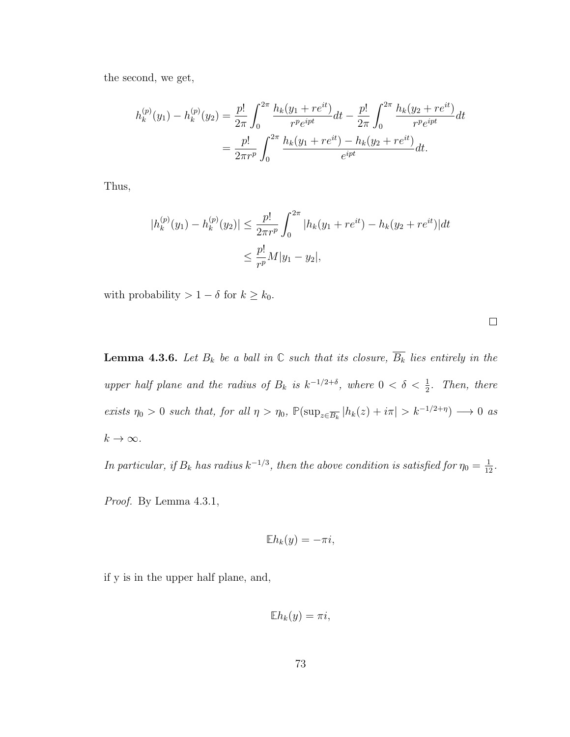the second, we get,

$$
h_k^{(p)}(y_1) - h_k^{(p)}(y_2) = \frac{p!}{2\pi} \int_0^{2\pi} \frac{h_k(y_1 + re^{it})}{r^p e^{ipt}} dt - \frac{p!}{2\pi} \int_0^{2\pi} \frac{h_k(y_2 + re^{it})}{r^p e^{ipt}} dt
$$
  
= 
$$
\frac{p!}{2\pi r^p} \int_0^{2\pi} \frac{h_k(y_1 + re^{it}) - h_k(y_2 + re^{it})}{e^{ipt}} dt.
$$

Thus,

$$
|h_k^{(p)}(y_1) - h_k^{(p)}(y_2)| \le \frac{p!}{2\pi r^p} \int_0^{2\pi} |h_k(y_1 + re^{it}) - h_k(y_2 + re^{it})| dt
$$
  

$$
\le \frac{p!}{r^p} M|y_1 - y_2|,
$$

with probability  $> 1 - \delta$  for  $k \geq k_0$ .

**Lemma 4.3.6.** Let  $B_k$  be a ball in  $\mathbb C$  such that its closure,  $\overline{B_k}$  lies entirely in the upper half plane and the radius of  $B_k$  is  $k^{-1/2+\delta}$ , where  $0 < \delta < \frac{1}{2}$ . Then, there exists  $\eta_0 > 0$  such that, for all  $\eta > \eta_0$ ,  $\mathbb{P}(\sup_{z \in \overline{B_k}} |h_k(z) + i\pi| > k^{-1/2+\eta}) \longrightarrow 0$  as  $k\to\infty.$ 

In particular, if  $B_k$  has radius  $k^{-1/3}$ , then the above condition is satisfied for  $\eta_0 = \frac{1}{12}$ .

Proof. By Lemma 4.3.1,

$$
\mathbb{E}h_k(y) = -\pi i,
$$

if y is in the upper half plane, and,

$$
\mathbb{E}h_k(y)=\pi i,
$$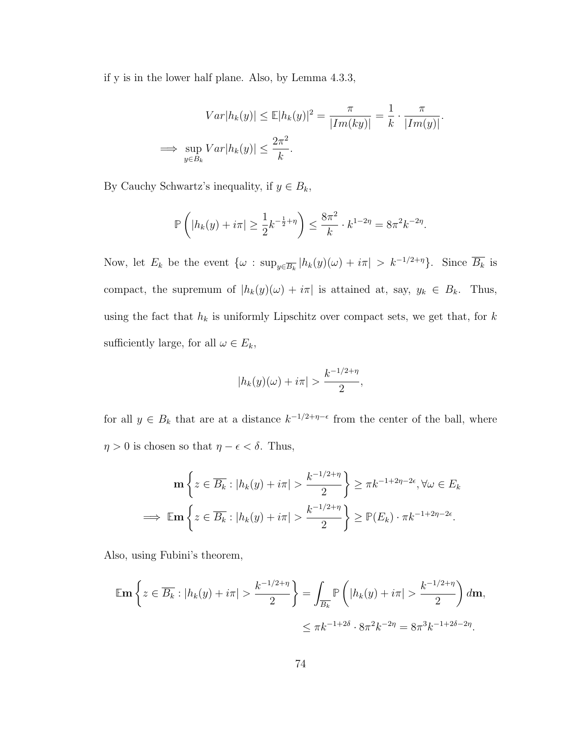if y is in the lower half plane. Also, by Lemma 4.3.3,

$$
Var|h_k(y)| \le \mathbb{E}|h_k(y)|^2 = \frac{\pi}{|Im(ky)|} = \frac{1}{k} \cdot \frac{\pi}{|Im(y)|}.
$$
  

$$
\implies \sup_{y \in B_k} Var|h_k(y)| \le \frac{2\pi^2}{k}.
$$

By Cauchy Schwartz's inequality, if  $y \in B_k$ ,

$$
\mathbb{P}\left(|h_k(y) + i\pi| \ge \frac{1}{2}k^{-\frac{1}{2}+\eta}\right) \le \frac{8\pi^2}{k} \cdot k^{1-2\eta} = 8\pi^2 k^{-2\eta}.
$$

Now, let  $E_k$  be the event  $\{\omega : \sup_{y \in \overline{B_k}} |h_k(y)(\omega) + i\pi| > k^{-1/2+\eta}\}.$  Since  $\overline{B_k}$  is compact, the supremum of  $|h_k(y)(\omega) + i\pi|$  is attained at, say,  $y_k \in B_k$ . Thus, using the fact that  $\mathcal{h}_k$  is uniformly Lipschitz over compact sets, we get that, for  $k$ sufficiently large, for all  $\omega \in E_k$ ,

$$
|h_k(y)(\omega) + i\pi| > \frac{k^{-1/2+\eta}}{2},
$$

for all  $y \in B_k$  that are at a distance  $k^{-1/2+\eta-\epsilon}$  from the center of the ball, where  $\eta > 0$  is chosen so that  $\eta - \epsilon < \delta$ . Thus,

$$
\mathbf{m} \left\{ z \in \overline{B_k} : |h_k(y) + i\pi| > \frac{k^{-1/2 + \eta}}{2} \right\} \ge \pi k^{-1 + 2\eta - 2\epsilon}, \forall \omega \in E_k
$$
  

$$
\implies \mathbb{E} \mathbf{m} \left\{ z \in \overline{B_k} : |h_k(y) + i\pi| > \frac{k^{-1/2 + \eta}}{2} \right\} \ge \mathbb{P}(E_k) \cdot \pi k^{-1 + 2\eta - 2\epsilon}.
$$

Also, using Fubini's theorem,

$$
\mathbb{E} \mathbf{m} \left\{ z \in \overline{B_k} : |h_k(y) + i\pi| > \frac{k^{-1/2 + \eta}}{2} \right\} = \int_{\overline{B_k}} \mathbb{P} \left( |h_k(y) + i\pi| > \frac{k^{-1/2 + \eta}}{2} \right) d\mathbf{m},
$$
  

$$
\leq \pi k^{-1 + 2\delta} \cdot 8\pi^2 k^{-2\eta} = 8\pi^3 k^{-1 + 2\delta - 2\eta}.
$$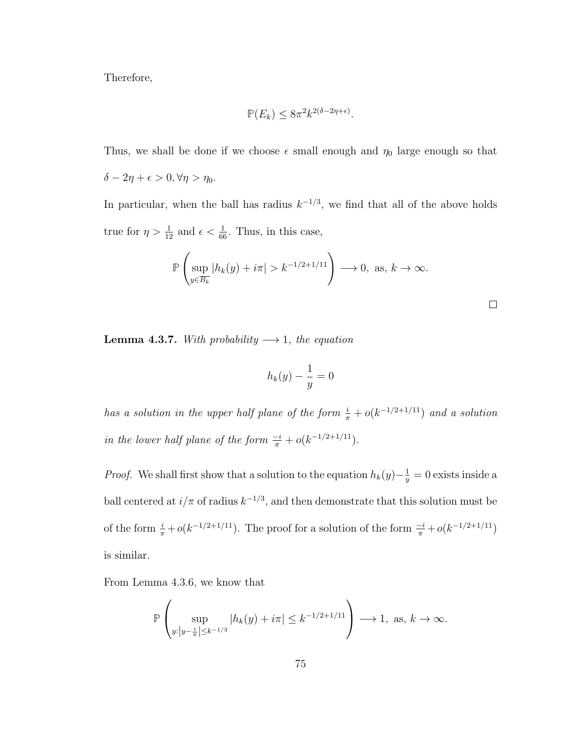Therefore,

$$
\mathbb{P}(E_k) \le 8\pi^2 k^{2(\delta - 2\eta + \epsilon)}.
$$

Thus, we shall be done if we choose  $\epsilon$  small enough and  $\eta_0$  large enough so that  $\delta - 2\eta + \epsilon > 0, \forall \eta > \eta_0.$ 

In particular, when the ball has radius  $k^{-1/3}$ , we find that all of the above holds true for  $\eta > \frac{1}{12}$  and  $\epsilon < \frac{1}{66}$ . Thus, in this case,

$$
\mathbb{P}\left(\sup_{y\in\overline{B_k}}|h_k(y)+i\pi|>k^{-1/2+1/11}\right)\longrightarrow 0,\text{ as, }k\to\infty.
$$

 $\Box$ 

**Lemma 4.3.7.** With probability  $\longrightarrow$  1, the equation

$$
h_k(y) - \frac{1}{y} = 0
$$

has a solution in the upper half plane of the form  $\frac{i}{\pi} + o(k^{-1/2+1/11})$  and a solution in the lower half plane of the form  $\frac{-i}{\pi} + o(k^{-1/2+1/11})$ .

*Proof.* We shall first show that a solution to the equation  $h_k(y) - \frac{1}{y}$  $\frac{1}{y} = 0$  exists inside a ball centered at  $i/\pi$  of radius  $k^{-1/3}$ , and then demonstrate that this solution must be of the form  $\frac{i}{\pi} + o(k^{-1/2+1/11})$ . The proof for a solution of the form  $\frac{-i}{\pi} + o(k^{-1/2+1/11})$ is similar.

From Lemma 4.3.6, we know that

$$
\mathbb{P}\left(\sup_{y:\|y-\frac{i}{\pi}\| \le k^{-1/3}} |h_k(y)+i\pi| \le k^{-1/2+1/11}\right) \longrightarrow 1, \text{ as, } k \to \infty.
$$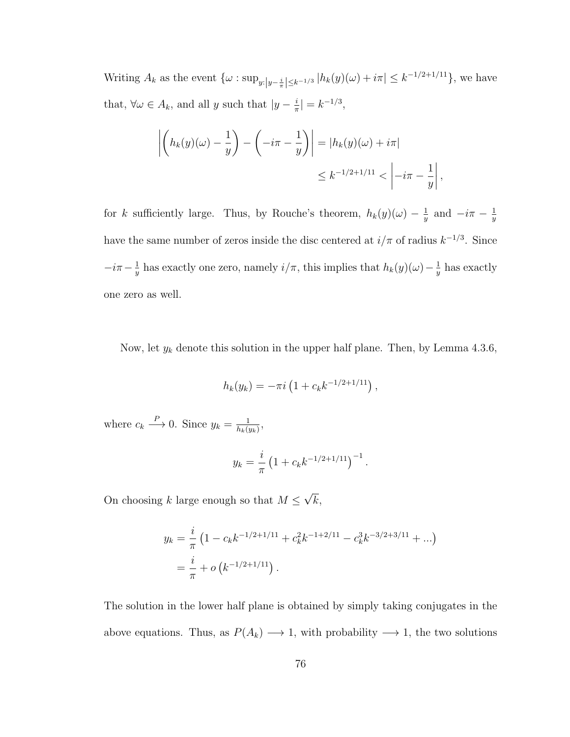Writing  $A_k$  as the event  $\{\omega : \sup_{y:|y-\frac{i}{\pi}| \leq k^{-1/3}} |h_k(y)(\omega)+i\pi| \leq k^{-1/2+1/11}\},\$ we have that,  $\forall \omega \in A_k$ , and all y such that  $|y - \frac{i}{\pi}\rangle$  $\frac{i}{\pi}| = k^{-1/3},$ 

$$
\left| \left( h_k(y)(\omega) - \frac{1}{y} \right) - \left( -i\pi - \frac{1}{y} \right) \right| = |h_k(y)(\omega) + i\pi|
$$
  

$$
\leq k^{-1/2 + 1/11} < \left| -i\pi - \frac{1}{y} \right|,
$$

for k sufficiently large. Thus, by Rouche's theorem,  $h_k(y)(\omega) - \frac{1}{y}$  $\frac{1}{y}$  and  $-i\pi - \frac{1}{y}$  $\overline{y}$ have the same number of zeros inside the disc centered at  $i/\pi$  of radius  $k^{-1/3}$ . Since  $-i\pi-\frac{1}{u}$  $\frac{1}{y}$  has exactly one zero, namely  $i/\pi$ , this implies that  $h_k(y)(\omega) - \frac{1}{y}$  $\frac{1}{y}$  has exactly one zero as well.

Now, let  $y_k$  denote this solution in the upper half plane. Then, by Lemma 4.3.6,

$$
h_k(y_k) = -\pi i \left(1 + c_k k^{-1/2 + 1/11}\right),
$$

where  $c_k \stackrel{P}{\longrightarrow} 0$ . Since  $y_k = \frac{1}{h_k(t)}$  $\frac{1}{h_k(y_k)},$ 

$$
y_k = \frac{i}{\pi} \left( 1 + c_k k^{-1/2 + 1/11} \right)^{-1}.
$$

On choosing k large enough so that  $M \leq$ √  $k,$ 

$$
y_k = \frac{i}{\pi} \left( 1 - c_k k^{-1/2 + 1/11} + c_k^2 k^{-1 + 2/11} - c_k^3 k^{-3/2 + 3/11} + \ldots \right)
$$
  
=  $\frac{i}{\pi} + o \left( k^{-1/2 + 1/11} \right).$ 

The solution in the lower half plane is obtained by simply taking conjugates in the above equations. Thus, as  $P(A_k) \longrightarrow 1$ , with probability  $\longrightarrow 1$ , the two solutions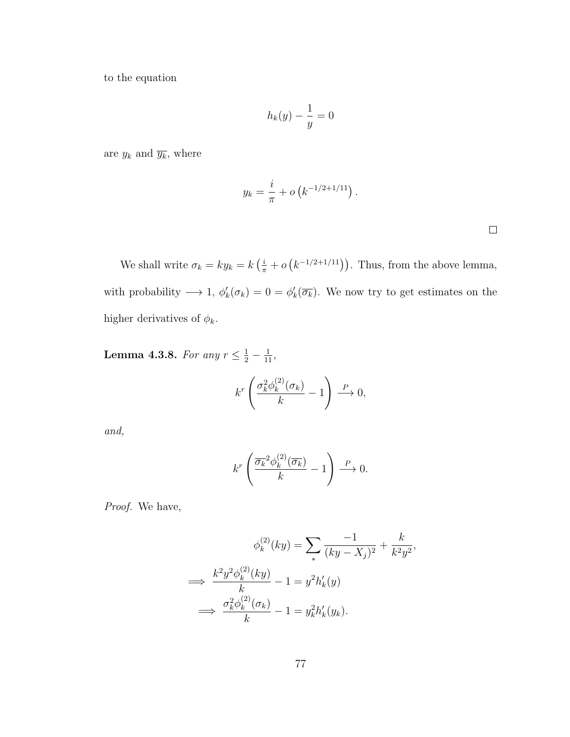to the equation

$$
h_k(y) - \frac{1}{y} = 0
$$

are  $y_k$  and  $\overline{y_k}$ , where

$$
y_k = \frac{i}{\pi} + o\left(k^{-1/2 + 1/11}\right).
$$

 $\Box$ 

We shall write  $\sigma_k = ky_k = k\left(\frac{i}{\pi} + o\left(k^{-1/2+1/11}\right)\right)$ . Thus, from the above lemma, with probability  $\longrightarrow 1$ ,  $\phi'_k(\sigma_k) = 0 = \phi'_k(\overline{\sigma_k})$ . We now try to get estimates on the higher derivatives of  $\phi_k$ .

**Lemma 4.3.8.** For any  $r \leq \frac{1}{2} - \frac{1}{11}$ ,

$$
k^r \left( \frac{\sigma_k^2 \phi_k^{(2)}(\sigma_k)}{k} - 1 \right) \xrightarrow{P} 0,
$$

and,

$$
k^r \left( \frac{\overline{\sigma_k}^2 \phi_k^{(2)}(\overline{\sigma_k})}{k} - 1 \right) \xrightarrow{P} 0.
$$

Proof. We have,

$$
\phi_k^{(2)}(ky) = \sum_* \frac{-1}{(ky - X_j)^2} + \frac{k}{k^2 y^2},
$$

$$
\implies \frac{k^2 y^2 \phi_k^{(2)}(ky)}{k} - 1 = y^2 h'_k(y)
$$

$$
\implies \frac{\sigma_k^2 \phi_k^{(2)}(\sigma_k)}{k} - 1 = y_k^2 h'_k(y_k).
$$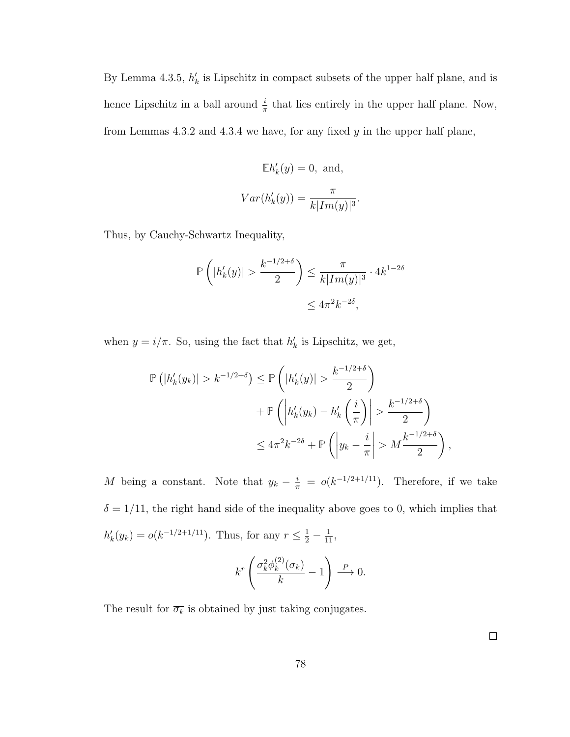By Lemma 4.3.5,  $h'_k$  is Lipschitz in compact subsets of the upper half plane, and is hence Lipschitz in a ball around  $\frac{i}{\pi}$  that lies entirely in the upper half plane. Now, from Lemmas  $4.3.2$  and  $4.3.4$  we have, for any fixed  $y$  in the upper half plane,

$$
\mathbb{E}h'_k(y) = 0, \text{ and,}
$$

$$
Var(h'_k(y)) = \frac{\pi}{k|Im(y)|^3}.
$$

Thus, by Cauchy-Schwartz Inequality,

$$
\mathbb{P}\left(|h'_k(y)| > \frac{k^{-1/2+\delta}}{2}\right) \le \frac{\pi}{k|Im(y)|^3} \cdot 4k^{1-2\delta}
$$
\n
$$
\le 4\pi^2 k^{-2\delta},
$$

when  $y = i/\pi$ . So, using the fact that  $h'_k$  is Lipschitz, we get,

$$
\mathbb{P}\left(|h'_{k}(y_{k})| > k^{-1/2+\delta}\right) \leq \mathbb{P}\left(|h'_{k}(y)| > \frac{k^{-1/2+\delta}}{2}\right)
$$

$$
+ \mathbb{P}\left(\left|h'_{k}(y_{k}) - h'_{k}\left(\frac{i}{\pi}\right)\right| > \frac{k^{-1/2+\delta}}{2}\right)
$$

$$
\leq 4\pi^{2}k^{-2\delta} + \mathbb{P}\left(\left|y_{k} - \frac{i}{\pi}\right| > M\frac{k^{-1/2+\delta}}{2}\right)
$$

M being a constant. Note that  $y_k - \frac{i}{\pi} = o(k^{-1/2+1/11})$ . Therefore, if we take  $\delta = 1/11$ , the right hand side of the inequality above goes to 0, which implies that  $h'_k(y_k) = o(k^{-1/2+1/11})$ . Thus, for any  $r \leq \frac{1}{2} - \frac{1}{11}$ ,  $\setminus$ 

$$
k^r \left( \frac{\sigma_k^2 \phi_k^{(2)}(\sigma_k)}{k} - 1 \right) \xrightarrow{P} 0.
$$

The result for  $\overline{\sigma_k}$  is obtained by just taking conjugates.

 $\Box$ 

,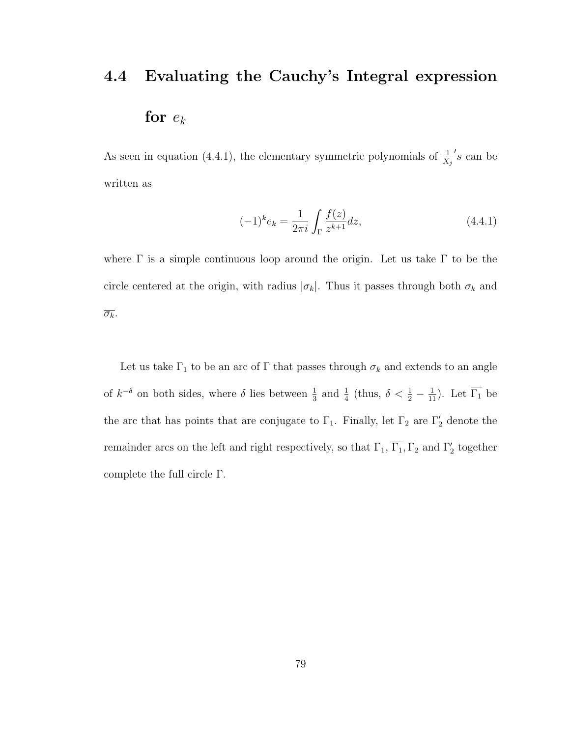# 4.4 Evaluating the Cauchy's Integral expression for  $e_k$

As seen in equation (4.4.1), the elementary symmetric polynomials of  $\frac{1}{X_j}$  $s$  can be written as

$$
(-1)^{k} e_{k} = \frac{1}{2\pi i} \int_{\Gamma} \frac{f(z)}{z^{k+1}} dz,
$$
\n(4.4.1)

where  $\Gamma$  is a simple continuous loop around the origin. Let us take  $\Gamma$  to be the circle centered at the origin, with radius  $|\sigma_k|$ . Thus it passes through both  $\sigma_k$  and  $\overline{\sigma_k}$ .

Let us take  $\Gamma_1$  to be an arc of  $\Gamma$  that passes through  $\sigma_k$  and extends to an angle of  $k^{-\delta}$  on both sides, where  $\delta$  lies between  $\frac{1}{3}$  and  $\frac{1}{4}$  (thus,  $\delta < \frac{1}{2} - \frac{1}{11}$ ). Let  $\overline{\Gamma_1}$  be the arc that has points that are conjugate to  $\Gamma_1$ . Finally, let  $\Gamma_2$  are  $\Gamma'_2$  denote the remainder arcs on the left and right respectively, so that  $\Gamma_1$ ,  $\overline{\Gamma_1}$ ,  $\Gamma_2$  and  $\Gamma_2'$  together complete the full circle Γ.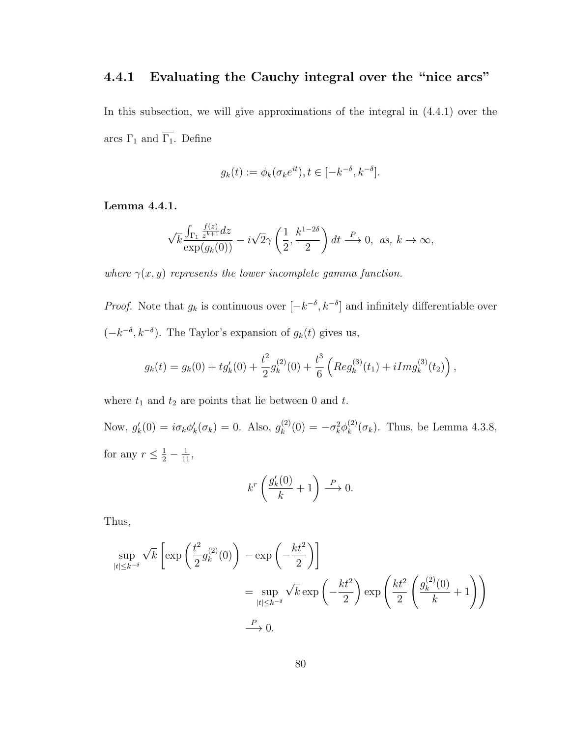## 4.4.1 Evaluating the Cauchy integral over the "nice arcs"

In this subsection, we will give approximations of the integral in (4.4.1) over the arcs  $\Gamma_1$  and  $\overline{\Gamma_1}.$  Define

$$
g_k(t) := \phi_k(\sigma_k e^{it}), t \in [-k^{-\delta}, k^{-\delta}].
$$

Lemma 4.4.1.

$$
\sqrt{k} \frac{\int_{\Gamma_1} \frac{f(z)}{z^{k+1}} dz}{\exp(g_k(0))} - i\sqrt{2}\gamma \left(\frac{1}{2}, \frac{k^{1-2\delta}}{2}\right) dt \stackrel{P}{\longrightarrow} 0, \text{ as, } k \to \infty,
$$

where  $\gamma(x, y)$  represents the lower incomplete gamma function.

*Proof.* Note that  $g_k$  is continuous over  $[-k^{-\delta}, k^{-\delta}]$  and infinitely differentiable over  $(-k^{-\delta}, k^{-\delta})$ . The Taylor's expansion of  $g_k(t)$  gives us,

$$
g_k(t) = g_k(0) + t g'_k(0) + \frac{t^2}{2} g_k^{(2)}(0) + \frac{t^3}{6} \left( \text{Reg}_k^{(3)}(t_1) + i \text{Img}_k^{(3)}(t_2) \right),
$$

where  $t_1$  and  $t_2$  are points that lie between  $0$  and  $t.$ 

Now,  $g'_k(0) = i \sigma_k \phi'_k(\sigma_k) = 0$ . Also,  $g_k^{(2)}$  $k^{(2)}(0) = -\sigma_k^2 \phi_k^{(2)}$  $\binom{2}{k}$  ( $\sigma_k$ ). Thus, be Lemma 4.3.8, for any  $r \leq \frac{1}{2} - \frac{1}{11}$ ,

$$
k^r \left( \frac{g'_k(0)}{k} + 1 \right) \xrightarrow{P} 0.
$$

Thus,

$$
\sup_{|t| \le k^{-\delta}} \sqrt{k} \left[ \exp\left(\frac{t^2}{2} g_k^{(2)}(0)\right) - \exp\left(-\frac{kt^2}{2}\right) \right]
$$
  
= 
$$
\sup_{|t| \le k^{-\delta}} \sqrt{k} \exp\left(-\frac{kt^2}{2}\right) \exp\left(\frac{kt^2}{2} \left(\frac{g_k^{(2)}(0)}{k} + 1\right)\right)
$$
  

$$
\xrightarrow{P} 0.
$$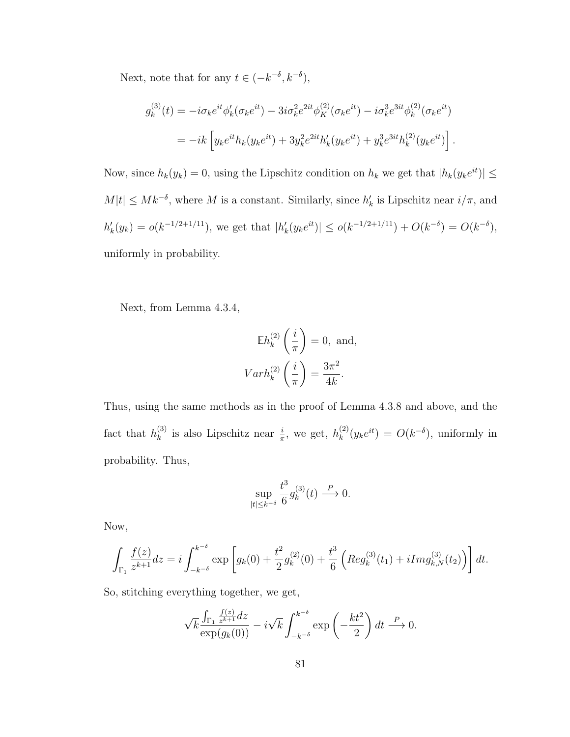Next, note that for any  $t \in (-k^{-\delta}, k^{-\delta}),$ 

$$
g_k^{(3)}(t) = -i\sigma_k e^{it}\phi'_k(\sigma_k e^{it}) - 3i\sigma_k^2 e^{2it}\phi'^{(2)}_K(\sigma_k e^{it}) - i\sigma_k^3 e^{3it}\phi'^{(2)}_k(\sigma_k e^{it})
$$
  

$$
= -ik \left[ y_k e^{it} h_k(y_k e^{it}) + 3y_k^2 e^{2it} h'_k(y_k e^{it}) + y_k^3 e^{3it} h_k^{(2)}(y_k e^{it}) \right].
$$

Now, since  $h_k(y_k) = 0$ , using the Lipschitz condition on  $h_k$  we get that  $|h_k(y_k e^{it})| \le$  $M|t| \leq Mk^{-\delta}$ , where M is a constant. Similarly, since  $h'_k$  is Lipschitz near  $i/\pi$ , and  $h'_k(y_k) = o(k^{-1/2+1/11}),$  we get that  $|h'_k(y_k e^{it})| \le o(k^{-1/2+1/11}) + O(k^{-\delta}) = O(k^{-\delta}),$ uniformly in probability.

Next, from Lemma 4.3.4,

$$
\mathbb{E}h_k^{(2)}\left(\frac{i}{\pi}\right) = 0, \text{ and,}
$$

$$
Varh_k^{(2)}\left(\frac{i}{\pi}\right) = \frac{3\pi^2}{4k}.
$$

Thus, using the same methods as in the proof of Lemma 4.3.8 and above, and the fact that  $h_k^{(3)}$  $\binom{3}{k}$  is also Lipschitz near  $\frac{i}{\pi}$ , we get,  $h_k^{(2)}$  $k^{(2)}(y_k e^{it}) = O(k^{-\delta}),$  uniformly in probability. Thus,

$$
\sup_{|t| \le k^{-\delta}} \frac{t^3}{6} g_k^{(3)}(t) \stackrel{P}{\longrightarrow} 0.
$$

Now,

$$
\int_{\Gamma_1} \frac{f(z)}{z^{k+1}} dz = i \int_{-k^{-\delta}}^{k^{-\delta}} \exp \left[ g_k(0) + \frac{t^2}{2} g_k^{(2)}(0) + \frac{t^3}{6} \left( \text{Reg}_k^{(3)}(t_1) + i \text{Img}_{k,N}^{(3)}(t_2) \right) \right] dt.
$$

So, stitching everything together, we get,

$$
\sqrt{k} \frac{\int_{\Gamma_1} \frac{f(z)}{z^{k+1}} dz}{\exp(g_k(0))} - i\sqrt{k} \int_{-k^{-\delta}}^{k^{-\delta}} \exp\left(-\frac{kt^2}{2}\right) dt \stackrel{P}{\longrightarrow} 0.
$$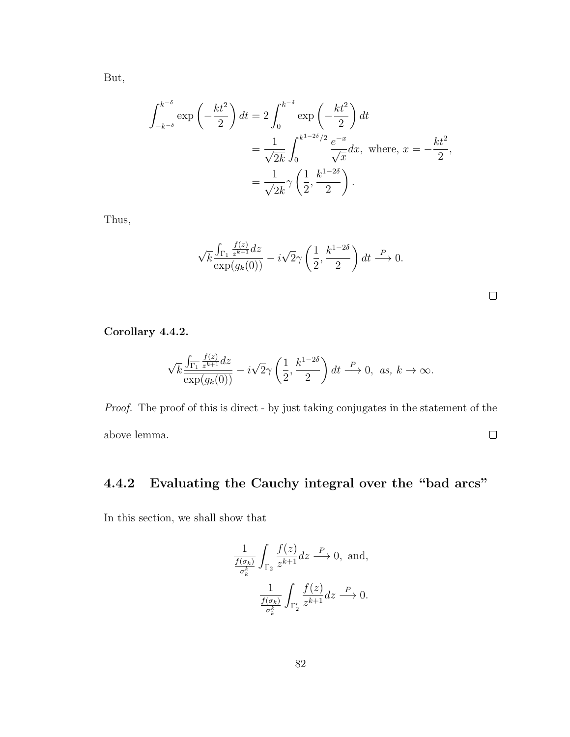But,

$$
\int_{-k^{-\delta}}^{k^{-\delta}} \exp\left(-\frac{kt^2}{2}\right) dt = 2 \int_0^{k^{-\delta}} \exp\left(-\frac{kt^2}{2}\right) dt
$$
  
= 
$$
\frac{1}{\sqrt{2k}} \int_0^{k^{1-2\delta}/2} \frac{e^{-x}}{\sqrt{x}} dx, \text{ where, } x = -\frac{kt^2}{2},
$$
  
= 
$$
\frac{1}{\sqrt{2k}} \gamma \left(\frac{1}{2}, \frac{k^{1-2\delta}}{2}\right).
$$

Thus,

$$
\sqrt{k} \frac{\int_{\Gamma_1} \frac{f(z)}{z^{k+1}} dz}{\exp(g_k(0))} - i\sqrt{2}\gamma \left(\frac{1}{2}, \frac{k^{1-2\delta}}{2}\right) dt \stackrel{P}{\longrightarrow} 0.
$$

 $\Box$ 

Corollary 4.4.2.

$$
\sqrt{k}\frac{\int_{\overline{\Gamma_1}}\frac{f(z)}{z^{k+1}}dz}{\exp(g_k(0))}-i\sqrt{2}\gamma\left(\frac{1}{2},\frac{k^{1-2\delta}}{2}\right)dt\stackrel{P}{\longrightarrow}0,\ \ as,\ k\to\infty.
$$

Proof. The proof of this is direct - by just taking conjugates in the statement of the above lemma.  $\Box$ 

## 4.4.2 Evaluating the Cauchy integral over the "bad arcs"

In this section, we shall show that

$$
\frac{1}{\frac{f(\sigma_k)}{\sigma_k^k}} \int_{\Gamma_2} \frac{f(z)}{z^{k+1}} dz \xrightarrow{P} 0, \text{ and,}
$$

$$
\frac{1}{\frac{f(\sigma_k)}{\sigma_k^k}} \int_{\Gamma_2'} \frac{f(z)}{z^{k+1}} dz \xrightarrow{P} 0.
$$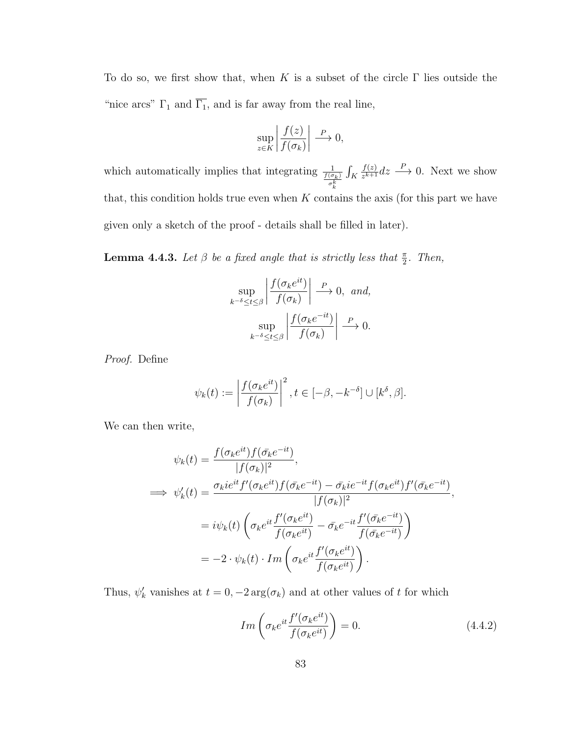To do so, we first show that, when K is a subset of the circle  $\Gamma$  lies outside the "nice arcs"  $\Gamma_1$  and  $\overline{\Gamma_1}$ , and is far away from the real line,

$$
\sup_{z \in K} \left| \frac{f(z)}{f(\sigma_k)} \right| \xrightarrow{P} 0,
$$

which automatically implies that integrating  $\frac{1}{\frac{f(\sigma_k)}{\sigma_k^k}}$  $\int_K$  $f(z)$  $\frac{f(z)}{z^{k+1}}dz \stackrel{P}{\longrightarrow} 0$ . Next we show that, this condition holds true even when  $K$  contains the axis (for this part we have given only a sketch of the proof - details shall be filled in later).

**Lemma 4.4.3.** Let  $\beta$  be a fixed angle that is strictly less that  $\frac{\pi}{2}$ . Then,

$$
\sup_{k^{-\delta} \le t \le \beta} \left| \frac{f(\sigma_k e^{it})}{f(\sigma_k)} \right| \xrightarrow{P} 0, \text{ and,}
$$

$$
\sup_{k^{-\delta} \le t \le \beta} \left| \frac{f(\sigma_k e^{-it})}{f(\sigma_k)} \right| \xrightarrow{P} 0.
$$

Proof. Define

$$
\psi_k(t):=\left|\frac{f(\sigma_ke^{it})}{f(\sigma_k)}\right|^2, t\in[-\beta,-k^{-\delta}]\cup[k^{\delta},\beta].
$$

We can then write,

$$
\psi_k(t) = \frac{f(\sigma_k e^{it}) f(\bar{\sigma_k} e^{-it})}{|f(\sigma_k)|^2},
$$
  
\n
$$
\implies \psi'_k(t) = \frac{\sigma_k i e^{it} f'(\sigma_k e^{it}) f(\bar{\sigma_k} e^{-it}) - \bar{\sigma_k} i e^{-it} f(\sigma_k e^{it}) f'(\bar{\sigma_k} e^{-it})}{|f(\sigma_k)|^2},
$$
  
\n
$$
= i \psi_k(t) \left( \sigma_k e^{it} \frac{f'(\sigma_k e^{it})}{f(\sigma_k e^{it})} - \bar{\sigma_k} e^{-it} \frac{f'(\bar{\sigma_k} e^{-it})}{f(\bar{\sigma_k} e^{-it})} \right)
$$
  
\n
$$
= -2 \cdot \psi_k(t) \cdot Im \left( \sigma_k e^{it} \frac{f'(\sigma_k e^{it})}{f(\sigma_k e^{it})} \right).
$$

Thus,  $\psi'_k$  vanishes at  $t = 0, -2 \arg(\sigma_k)$  and at other values of t for which

$$
Im\left(\sigma_k e^{it} \frac{f'(\sigma_k e^{it})}{f(\sigma_k e^{it})}\right) = 0.
$$
\n(4.4.2)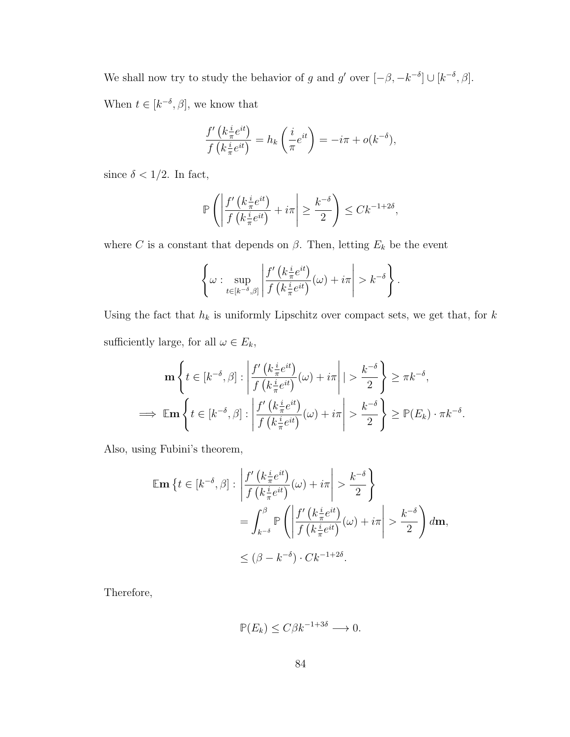We shall now try to study the behavior of g and g' over  $[-\beta, -k^{-\delta}] \cup [k^{-\delta}, \beta]$ . When  $t \in [k^{-\delta}, \beta]$ , we know that

$$
\frac{f'\left(k\frac{i}{\pi}e^{it}\right)}{f\left(k\frac{i}{\pi}e^{it}\right)} = h_k\left(\frac{i}{\pi}e^{it}\right) = -i\pi + o(k^{-\delta}),
$$

since  $\delta < 1/2$ . In fact,

$$
\mathbb{P}\left(\left|\frac{f'\left(k\frac{i}{\pi}e^{it}\right)}{f\left(k\frac{i}{\pi}e^{it}\right)}+i\pi\right|\geq\frac{k^{-\delta}}{2}\right)\leq Ck^{-1+2\delta},
$$

where C is a constant that depends on  $\beta$ . Then, letting  $E_k$  be the event

$$
\left\{\omega: \sup_{t\in[k^{-\delta},\beta]}\left|\frac{f'\left(k\frac{i}{\pi}e^{it}\right)}{f\left(k\frac{i}{\pi}e^{it}\right)}(\omega)+i\pi\right|>k^{-\delta}\right\}.
$$

Using the fact that  $h_k$  is uniformly Lipschitz over compact sets, we get that, for  $k$ sufficiently large, for all  $\omega \in E_k$ ,

$$
\mathbf{m} \left\{ t \in [k^{-\delta}, \beta] : \left| \frac{f'\left(k\frac{i}{\pi}e^{it}\right)}{f\left(k\frac{i}{\pi}e^{it}\right)}(\omega) + i\pi \right| \geq \frac{k^{-\delta}}{2} \right\} \geq \pi k^{-\delta},
$$
  
\n
$$
\implies \mathbb{E} \mathbf{m} \left\{ t \in [k^{-\delta}, \beta] : \left| \frac{f'\left(k\frac{i}{\pi}e^{it}\right)}{f\left(k\frac{i}{\pi}e^{it}\right)}(\omega) + i\pi \right| > \frac{k^{-\delta}}{2} \right\} \geq \mathbb{P}(E_k) \cdot \pi k^{-\delta}.
$$

Also, using Fubini's theorem,

$$
\mathbb{E} \mathbf{m} \left\{ t \in [k^{-\delta}, \beta] : \left| \frac{f'(k \frac{i}{\pi} e^{it})}{f(k \frac{i}{\pi} e^{it})}(\omega) + i\pi \right| > \frac{k^{-\delta}}{2} \right\}
$$
  

$$
= \int_{k^{-\delta}}^{\beta} \mathbb{P} \left( \left| \frac{f'(k \frac{i}{\pi} e^{it})}{f(k \frac{i}{\pi} e^{it})}(\omega) + i\pi \right| > \frac{k^{-\delta}}{2} \right) d\mathbf{m},
$$
  

$$
\leq (\beta - k^{-\delta}) \cdot C k^{-1+2\delta}.
$$

Therefore,

$$
\mathbb{P}(E_k) \le C\beta k^{-1+3\delta} \longrightarrow 0.
$$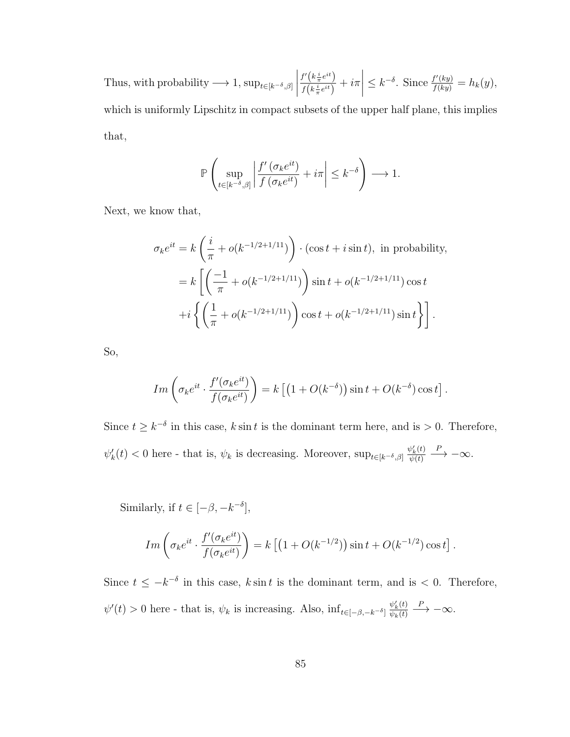Thus, with probability  $\longrightarrow 1$ ,  $\sup_{t\in[k^{-\delta},\beta]}$   $f'\left(k\frac{i}{\pi}e^{it}\right)$  $\frac{i}{f\left(k\frac{i}{\pi}e^{it}\right)}+i\pi$   $\leq k^{-\delta}$ . Since  $\frac{f'(ky)}{f(ky)} = h_k(y)$ , which is uniformly Lipschitz in compact subsets of the upper half plane, this implies that,

$$
\mathbb{P}\left(\sup_{t\in [k^{-\delta},\beta]}\left|\frac{f'\left(\sigma_ke^{it}\right)}{f\left(\sigma_ke^{it}\right)}+i\pi\right|\leq k^{-\delta}\right)\longrightarrow 1.
$$

Next, we know that,

$$
\sigma_k e^{it} = k \left( \frac{i}{\pi} + o(k^{-1/2 + 1/11}) \right) \cdot (\cos t + i \sin t), \text{ in probability},
$$
  
=  $k \left[ \left( \frac{-1}{\pi} + o(k^{-1/2 + 1/11}) \right) \sin t + o(k^{-1/2 + 1/11}) \cos t$   
+  $i \left\{ \left( \frac{1}{\pi} + o(k^{-1/2 + 1/11}) \right) \cos t + o(k^{-1/2 + 1/11}) \sin t \right\} \right].$ 

So,

$$
Im\left(\sigma_k e^{it} \cdot \frac{f'(\sigma_k e^{it})}{f(\sigma_k e^{it})}\right) = k\left[\left(1 + O(k^{-\delta})\right)\sin t + O(k^{-\delta})\cos t\right].
$$

Since  $t \geq k^{-\delta}$  in this case, k sin t is the dominant term here, and is > 0. Therefore,  $\psi'_k(t) < 0$  here - that is,  $\psi_k$  is decreasing. Moreover,  $\sup_{t \in [k^{-\delta}, \beta]} \frac{\psi'_k(t)}{\psi(t)}$  $\psi(t)$  $\stackrel{P}{\longrightarrow} -\infty$ .

Similarly, if  $t \in [-\beta, -k^{-\delta}],$ 

$$
Im\left(\sigma_k e^{it} \cdot \frac{f'(\sigma_k e^{it})}{f(\sigma_k e^{it})}\right) = k\left[\left(1 + O(k^{-1/2})\right)\sin t + O(k^{-1/2})\cos t\right].
$$

Since  $t \leq -k^{-\delta}$  in this case, k sin t is the dominant term, and is < 0. Therefore,  $\psi'(t) > 0$  here - that is,  $\psi_k$  is increasing. Also,  $\inf_{t \in [-\beta, -k^{-\delta}]}\frac{\psi'_k(t)}{\psi_k(t)}$  $\psi_k(t)$  $\stackrel{P}{\longrightarrow} -\infty$ .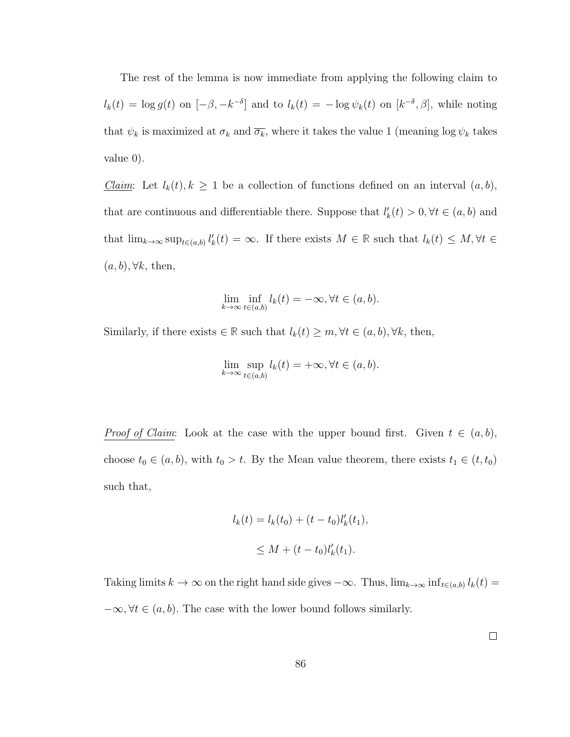The rest of the lemma is now immediate from applying the following claim to  $l_k(t) = \log g(t)$  on  $[-\beta, -k^{-\delta}]$  and to  $l_k(t) = -\log \psi_k(t)$  on  $[k^{-\delta}, \beta]$ , while noting that  $\psi_k$  is maximized at  $\sigma_k$  and  $\overline{\sigma_k}$ , where it takes the value 1 (meaning log  $\psi_k$  takes value 0).

Claim: Let  $l_k(t)$ ,  $k \geq 1$  be a collection of functions defined on an interval  $(a, b)$ , that are continuous and differentiable there. Suppose that  $l'_k(t) > 0, \forall t \in (a, b)$  and that  $\lim_{k\to\infty} \sup_{t\in(a,b)} l'_k(t) = \infty$ . If there exists  $M \in \mathbb{R}$  such that  $l_k(t) \leq M, \forall t \in$  $(a, b), \forall k$ , then,

$$
\lim_{k \to \infty} \inf_{t \in (a,b)} l_k(t) = -\infty, \forall t \in (a,b).
$$

Similarly, if there exists  $\in \mathbb{R}$  such that  $l_k(t) \geq m, \forall t \in (a, b), \forall k$ , then,

$$
\lim_{k \to \infty} \sup_{t \in (a,b)} l_k(t) = +\infty, \forall t \in (a,b).
$$

*Proof of Claim:* Look at the case with the upper bound first. Given  $t \in (a, b)$ , choose  $t_0 \in (a, b)$ , with  $t_0 > t$ . By the Mean value theorem, there exists  $t_1 \in (t, t_0)$ such that,

$$
l_k(t) = l_k(t_0) + (t - t_0)l'_k(t_1),
$$
  
 
$$
\leq M + (t - t_0)l'_k(t_1).
$$

Taking limits  $k \to \infty$  on the right hand side gives  $-\infty$ . Thus,  $\lim_{k \to \infty} \inf_{t \in (a,b)} l_k(t) =$  $-\infty, \forall t \in (a, b)$ . The case with the lower bound follows similarly.

 $\Box$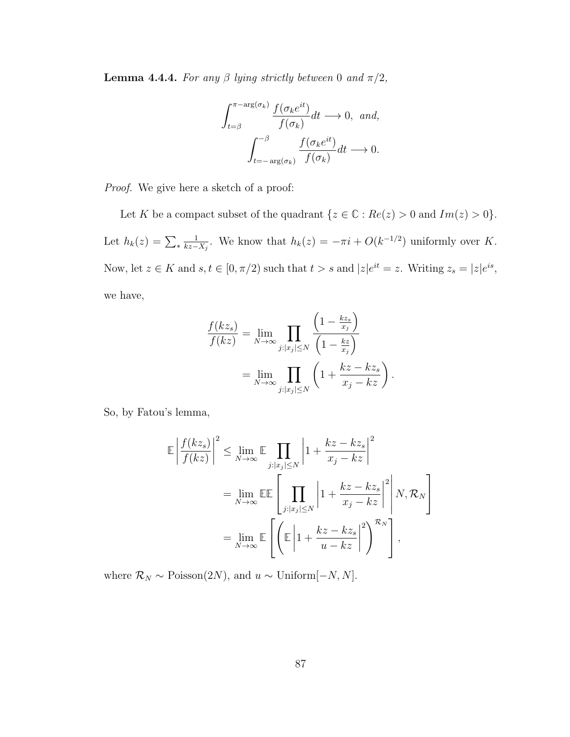**Lemma 4.4.4.** For any  $\beta$  lying strictly between 0 and  $\pi/2$ ,

$$
\int_{t=\beta}^{\pi-\arg(\sigma_k)} \frac{f(\sigma_k e^{it})}{f(\sigma_k)} dt \longrightarrow 0, \text{ and,}
$$

$$
\int_{t=-\arg(\sigma_k)}^{-\beta} \frac{f(\sigma_k e^{it})}{f(\sigma_k)} dt \longrightarrow 0.
$$

Proof. We give here a sketch of a proof:

Let K be a compact subset of the quadrant  $\{z \in \mathbb{C} : Re(z) > 0 \text{ and } Im(z) > 0\}.$ Let  $h_k(z) = \sum_{*}$ 1  $\frac{1}{kz-X_j}$ . We know that  $h_k(z) = -\pi i + O(k^{-1/2})$  uniformly over K. Now, let  $z \in K$  and  $s, t \in [0, \pi/2)$  such that  $t > s$  and  $|z|e^{it} = z$ . Writing  $z_s = |z|e^{is}$ , we have,

$$
\frac{f(kz_s)}{f(kz)} = \lim_{N \to \infty} \prod_{j:|x_j| \le N} \frac{\left(1 - \frac{kz_s}{x_j}\right)}{\left(1 - \frac{kz}{x_j}\right)}
$$

$$
= \lim_{N \to \infty} \prod_{j:|x_j| \le N} \left(1 + \frac{kz - kz_s}{x_j - kz}\right)
$$

.

So, by Fatou's lemma,

$$
\mathbb{E}\left|\frac{f(kz_s)}{f(kz)}\right|^2 \le \lim_{N \to \infty} \mathbb{E} \prod_{j:|x_j| \le N} \left|1 + \frac{kz - kz_s}{x_j - kz}\right|^2
$$

$$
= \lim_{N \to \infty} \mathbb{E}\mathbb{E} \left[\prod_{j:|x_j| \le N} \left|1 + \frac{kz - kz_s}{x_j - kz}\right|^2 \right] N, \mathcal{R}_N
$$

$$
= \lim_{N \to \infty} \mathbb{E} \left[\left(\mathbb{E}\left|1 + \frac{kz - kz_s}{u - kz}\right|^2\right)^{\mathcal{R}_N}\right],
$$

where  $\mathcal{R}_N \sim \text{Poisson}(2N)$ , and  $u \sim \text{Uniform}[-N, N]$ .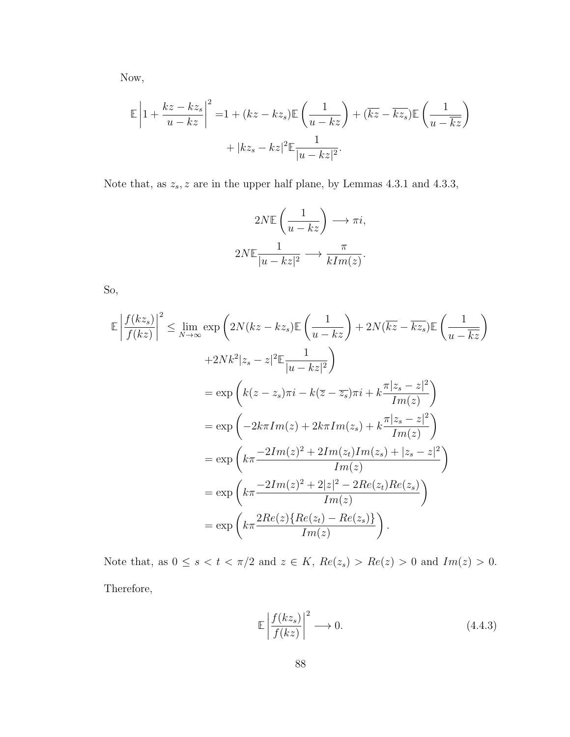Now,

$$
\mathbb{E}\left|1+\frac{kz-kz_s}{u-kz}\right|^2 = 1+(kz-kz_s)\mathbb{E}\left(\frac{1}{u-kz}\right)+(\overline{kz}-\overline{kz_s})\mathbb{E}\left(\frac{1}{u-\overline{kz}}\right) + |kz_s-kz|^2\mathbb{E}\frac{1}{|u-kz|^2}.
$$

Note that, as  $z_s$ , z are in the upper half plane, by Lemmas 4.3.1 and 4.3.3,

$$
2N\mathbb{E}\left(\frac{1}{u-kz}\right) \longrightarrow \pi i,
$$
  

$$
2N\mathbb{E}\frac{1}{|u-kz|^2} \longrightarrow \frac{\pi}{kIm(z)}.
$$

So,

$$
\mathbb{E}\left|\frac{f(kz_s)}{f(kz)}\right|^2 \leq \lim_{N \to \infty} \exp\left(2N(kz - kz_s)\mathbb{E}\left(\frac{1}{u - kz}\right) + 2N(\overline{kz} - \overline{kz_s})\mathbb{E}\left(\frac{1}{u - \overline{kz}}\right) \right.
$$
  
\n
$$
+ 2Nk^2|z_s - z|^2 \mathbb{E}\frac{1}{|u - kz|^2}
$$
  
\n
$$
= \exp\left(k(z - z_s)\pi i - k(\overline{z} - \overline{z_s})\pi i + k\frac{\pi|z_s - z|^2}{Im(z)}\right)
$$
  
\n
$$
= \exp\left(-2k\pi Im(z) + 2k\pi Im(z_s) + k\frac{\pi|z_s - z|^2}{Im(z)}\right)
$$
  
\n
$$
= \exp\left(k\pi \frac{-2Im(z)^2 + 2Im(z_t)Im(z_s) + |z_s - z|^2}{Im(z)}\right)
$$
  
\n
$$
= \exp\left(k\pi \frac{-2Im(z)^2 + 2|z|^2 - 2Re(z_t)Re(z_s)}{Im(z)}\right)
$$
  
\n
$$
= \exp\left(k\pi \frac{2Re(z)\{Re(z_t) - Re(z_s)\}}{Im(z)}\right).
$$

Note that, as  $0 \le s < t < \pi/2$  and  $z \in K$ ,  $Re(z_s) > Re(z) > 0$  and  $Im(z) > 0$ . Therefore,

$$
\mathbb{E}\left|\frac{f(kz_s)}{f(kz)}\right|^2 \longrightarrow 0. \tag{4.4.3}
$$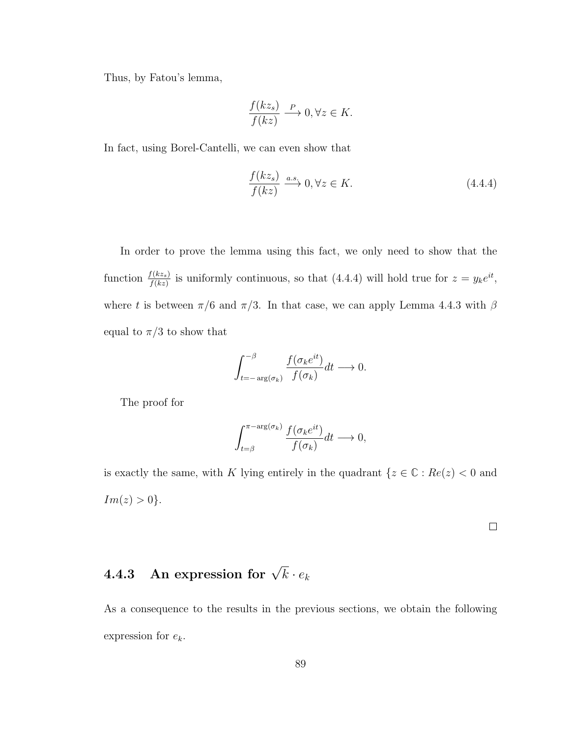Thus, by Fatou's lemma,

$$
\frac{f(kz_s)}{f(kz)} \xrightarrow{P} 0, \forall z \in K.
$$

In fact, using Borel-Cantelli, we can even show that

$$
\frac{f(kz_s)}{f(kz)} \xrightarrow{a.s.} 0, \forall z \in K.
$$
\n(4.4.4)

In order to prove the lemma using this fact, we only need to show that the function  $\frac{f(kz_s)}{f(kz)}$  is uniformly continuous, so that (4.4.4) will hold true for  $z = y_k e^{it}$ , where t is between  $\pi/6$  and  $\pi/3$ . In that case, we can apply Lemma 4.4.3 with  $\beta$ equal to  $\pi/3$  to show that

$$
\int_{t=-\arg(\sigma_k)}^{-\beta} \frac{f(\sigma_k e^{it})}{f(\sigma_k)} dt \longrightarrow 0.
$$

The proof for

$$
\int_{t=\beta}^{\pi-\arg(\sigma_k)} \frac{f(\sigma_k e^{it})}{f(\sigma_k)} dt \longrightarrow 0,
$$

is exactly the same, with  $K$  lying entirely in the quadrant  $\{z\in \mathbb{C}: Re(z)<0 \text{ and }$  $Im(z) > 0$ .

 $\Box$ 

## $\textbf{4.4.3} \quad \textbf{An expression for} \; \sqrt{k} \cdot e_k$

As a consequence to the results in the previous sections, we obtain the following expression for  $e_k$ .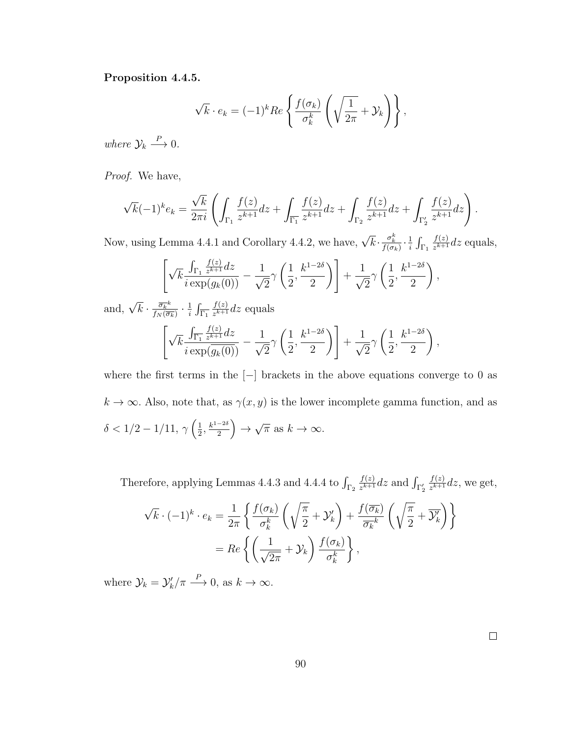#### Proposition 4.4.5.

$$
\sqrt{k} \cdot e_k = (-1)^k Re \left\{ \frac{f(\sigma_k)}{\sigma_k^k} \left( \sqrt{\frac{1}{2\pi}} + \mathcal{Y}_k \right) \right\},\,
$$

where  $\mathcal{Y}_k \stackrel{P}{\longrightarrow} 0$ .

Proof. We have,

$$
\sqrt{k}(-1)^k e_k = \frac{\sqrt{k}}{2\pi i} \left( \int_{\Gamma_1} \frac{f(z)}{z^{k+1}} dz + \int_{\overline{\Gamma_1}} \frac{f(z)}{z^{k+1}} dz + \int_{\Gamma_2} \frac{f(z)}{z^{k+1}} dz + \int_{\Gamma_2'} \frac{f(z)}{z^{k+1}} dz \right).
$$

Now, using Lemma 4.4.1 and Corollary 4.4.2, we have,  $\sqrt{k} \cdot \frac{\sigma_k^k}{f(\sigma_k)} \cdot \frac{1}{i}$  $\frac{1}{i} \int_{\Gamma_1}$  $f(z)$  $\frac{f(z)}{z^{k+1}}$ dz equals,

$$
\left[\sqrt{k} \frac{\int_{\Gamma_1} \frac{f(z)}{z^{k+1}} dz}{i \exp(g_k(0))} - \frac{1}{\sqrt{2}} \gamma \left(\frac{1}{2}, \frac{k^{1-2\delta}}{2}\right)\right] + \frac{1}{\sqrt{2}} \gamma \left(\frac{1}{2}, \frac{k^{1-2\delta}}{2}\right),
$$

and,  $\sqrt{k} \cdot \frac{\overline{\sigma_k}^k}{f_N(\overline{\sigma_k})}$  $\frac{\overline{\sigma_k}^k}{f_N(\overline{\sigma_k})}\cdot\frac{1}{i}$  $\frac{1}{i} \int_{\overline{\Gamma_1}}$  $f(z)$  $\frac{f(z)}{z^{k+1}}$ dz equals  $\lceil \; \rceil$ k  $\int_{\overline{\Gamma_1}}$  $f(z)$  $rac{J(z)}{z^{k+1}}dz$  $i \exp(g_k(0))$  $-\frac{1}{4}$ 2  $\gamma$  $\sqrt{1}$ 2 ,  $k^{1-2\delta}$ 2  $\setminus$  $+$  $\frac{1}{\sqrt{2}}$ 2 γ  $\sqrt{1}$ 2 ,  $k^{1-2\delta}$ 

where the first terms in the  $[-]$  brackets in the above equations converge to 0 as  $k \to \infty$ . Also, note that, as  $\gamma(x, y)$  is the lower incomplete gamma function, and as  $\delta < 1/2 - 1/11, \gamma \left( \frac{1}{2} \right)$  $\frac{1}{2}, \frac{k^{1-2\delta}}{2}$  $\frac{-2\delta}{2}\Big)\rightarrow$ √  $\overline{\pi}$  as  $k \to \infty$ .

2

 $\setminus$ ,

Therefore, applying Lemmas 4.4.3 and 4.4.4 to  $\int_{\Gamma_2}$  $f(z)$  $\frac{f(z)}{z^{k+1}}$ dz and  $\int_{\Gamma_2'}$  $f(z)$  $\frac{f(z)}{z^{k+1}}$ dz, we get,

$$
\sqrt{k} \cdot (-1)^k \cdot e_k = \frac{1}{2\pi} \left\{ \frac{f(\sigma_k)}{\sigma_k^k} \left( \sqrt{\frac{\pi}{2}} + \mathcal{Y}'_k \right) + \frac{f(\overline{\sigma_k})}{\overline{\sigma_k}^k} \left( \sqrt{\frac{\pi}{2}} + \overline{\mathcal{Y}'_k} \right) \right\}
$$

$$
= Re \left\{ \left( \frac{1}{\sqrt{2\pi}} + \mathcal{Y}_k \right) \frac{f(\sigma_k)}{\sigma_k^k} \right\},
$$

where  $\mathcal{Y}_k = \mathcal{Y}'_k / \pi \stackrel{P}{\longrightarrow} 0$ , as  $k \to \infty$ .

 $\Box$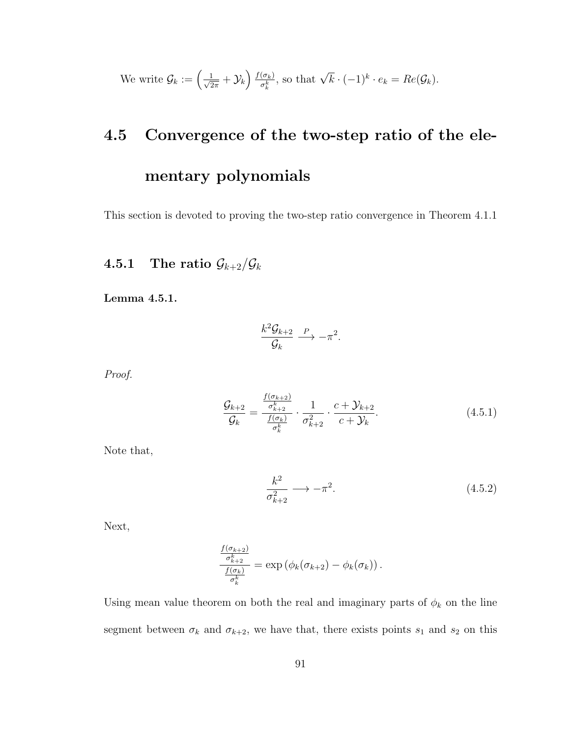We write 
$$
\mathcal{G}_k := \left(\frac{1}{\sqrt{2\pi}} + \mathcal{Y}_k\right) \frac{f(\sigma_k)}{\sigma_k^k}
$$
, so that  $\sqrt{k} \cdot (-1)^k \cdot e_k = Re(\mathcal{G}_k)$ .

## 4.5 Convergence of the two-step ratio of the elementary polynomials

This section is devoted to proving the two-step ratio convergence in Theorem 4.1.1

## 4.5.1 The ratio  $\mathcal{G}_{k+2}/\mathcal{G}_k$

Lemma 4.5.1.

$$
\frac{k^2 \mathcal{G}_{k+2}}{\mathcal{G}_k} \xrightarrow{P} -\pi^2.
$$

Proof.

$$
\frac{\mathcal{G}_{k+2}}{\mathcal{G}_k} = \frac{\frac{f(\sigma_{k+2})}{\sigma_{k+2}^k}}{\frac{f(\sigma_k)}{\sigma_k^k}} \cdot \frac{1}{\sigma_{k+2}^2} \cdot \frac{c + \mathcal{Y}_{k+2}}{c + \mathcal{Y}_k}.
$$
\n(4.5.1)

Note that,

$$
\frac{k^2}{\sigma_{k+2}^2} \longrightarrow -\pi^2. \tag{4.5.2}
$$

Next,

$$
\frac{\frac{f(\sigma_{k+2})}{\sigma_{k+2}^k}}{\frac{f(\sigma_k)}{\sigma_k^k}} = \exp\left(\phi_k(\sigma_{k+2}) - \phi_k(\sigma_k)\right).
$$

Using mean value theorem on both the real and imaginary parts of  $\phi_k$  on the line segment between  $\sigma_k$  and  $\sigma_{k+2}$ , we have that, there exists points  $s_1$  and  $s_2$  on this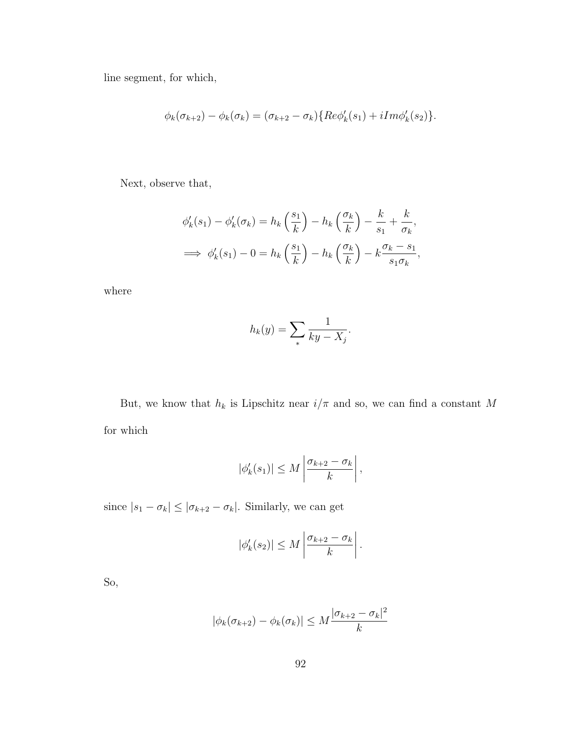line segment, for which,

$$
\phi_k(\sigma_{k+2}) - \phi_k(\sigma_k) = (\sigma_{k+2} - \sigma_k) \{ Re \phi'_k(s_1) + i Im \phi'_k(s_2) \}.
$$

Next, observe that,

$$
\phi'_k(s_1) - \phi'_k(\sigma_k) = h_k\left(\frac{s_1}{k}\right) - h_k\left(\frac{\sigma_k}{k}\right) - \frac{k}{s_1} + \frac{k}{\sigma_k},
$$
  

$$
\implies \phi'_k(s_1) - 0 = h_k\left(\frac{s_1}{k}\right) - h_k\left(\frac{\sigma_k}{k}\right) - k\frac{\sigma_k - s_1}{s_1\sigma_k},
$$

where

$$
h_k(y) = \sum_{*} \frac{1}{ky - X_j}.
$$

But, we know that  $h_k$  is Lipschitz near  $i/\pi$  and so, we can find a constant  $M$ for which

$$
|\phi_k'(s_1)| \leq M \left| \frac{\sigma_{k+2} - \sigma_k}{k} \right|,
$$

since  $|s_1 - \sigma_k| \leq |\sigma_{k+2} - \sigma_k|$ . Similarly, we can get

$$
|\phi_k'(s_2)| \leq M \left| \frac{\sigma_{k+2} - \sigma_k}{k} \right|.
$$

So,

$$
|\phi_k(\sigma_{k+2}) - \phi_k(\sigma_k)| \le M \frac{|\sigma_{k+2} - \sigma_k|^2}{k}
$$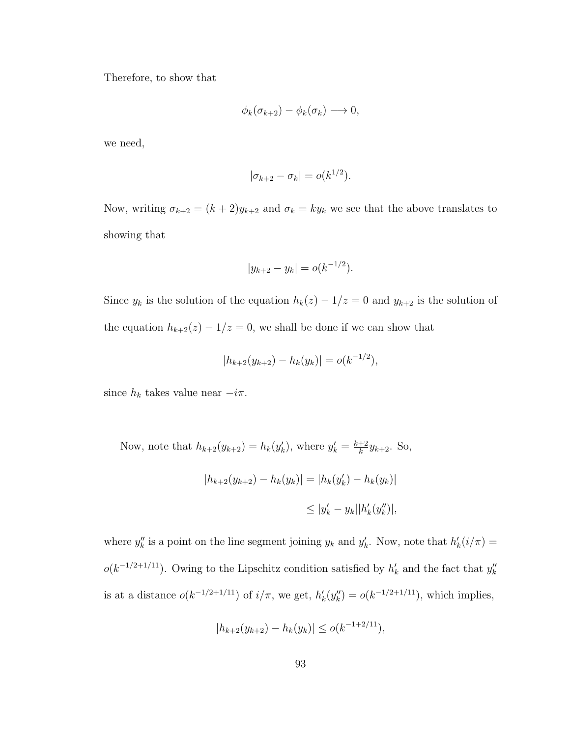Therefore, to show that

$$
\phi_k(\sigma_{k+2}) - \phi_k(\sigma_k) \longrightarrow 0,
$$

we need,

$$
|\sigma_{k+2} - \sigma_k| = o(k^{1/2}).
$$

Now, writing  $\sigma_{k+2} = (k+2)y_{k+2}$  and  $\sigma_k = ky_k$  we see that the above translates to showing that

$$
|y_{k+2} - y_k| = o(k^{-1/2}).
$$

Since  $y_k$  is the solution of the equation  $h_k(z) - 1/z = 0$  and  $y_{k+2}$  is the solution of the equation  $h_{k+2}(z) - 1/z = 0$ , we shall be done if we can show that

$$
|h_{k+2}(y_{k+2}) - h_k(y_k)| = o(k^{-1/2}),
$$

since  $h_k$  takes value near  $-i\pi$ .

Now, note that  $h_{k+2}(y_{k+2}) = h_k(y'_k)$ , where  $y'_k = \frac{k+2}{k}$  $\frac{+2}{k}y_{k+2}$ . So,

$$
|h_{k+2}(y_{k+2}) - h_k(y_k)| = |h_k(y'_k) - h_k(y_k)|
$$
  

$$
\leq |y'_k - y_k||h'_k(y''_k)|,
$$

where  $y''_k$  is a point on the line segment joining  $y_k$  and  $y'_k$ . Now, note that  $h'_k(i/\pi) =$  $o(k^{-1/2+1/11})$ . Owing to the Lipschitz condition satisfied by  $h'_k$  and the fact that  $y''_k$ is at a distance  $o(k^{-1/2+1/11})$  of  $i/\pi$ , we get,  $h'_k(y''_k) = o(k^{-1/2+1/11})$ , which implies,

$$
|h_{k+2}(y_{k+2}) - h_k(y_k)| \le o(k^{-1+2/11}),
$$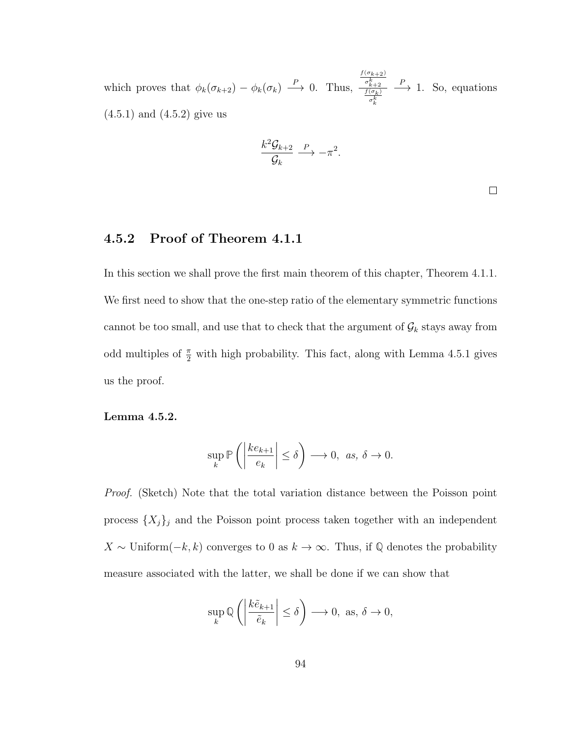which proves that  $\phi_k(\sigma_{k+2}) - \phi_k(\sigma_k) \stackrel{P}{\longrightarrow} 0$ . Thus,  $f(\sigma_{k+2})$  $\frac{\sigma_{k+2}^k}{f(\sigma_k)}$ <br> $\frac{\sigma_k^k}{\sigma_k^k}$  $\stackrel{P}{\longrightarrow}$  1. So, equations (4.5.1) and (4.5.2) give us

$$
\frac{k^2 \mathcal{G}_{k+2}}{\mathcal{G}_k} \xrightarrow{P} -\pi^2.
$$

 $\Box$ 

### 4.5.2 Proof of Theorem 4.1.1

In this section we shall prove the first main theorem of this chapter, Theorem 4.1.1. We first need to show that the one-step ratio of the elementary symmetric functions cannot be too small, and use that to check that the argument of  $\mathcal{G}_k$  stays away from odd multiples of  $\frac{\pi}{2}$  with high probability. This fact, along with Lemma 4.5.1 gives us the proof.

Lemma 4.5.2.

$$
\sup_{k} \mathbb{P}\left(\left|\frac{ke_{k+1}}{e_k}\right| \le \delta\right) \longrightarrow 0, \text{ as, } \delta \to 0.
$$

Proof. (Sketch) Note that the total variation distance between the Poisson point process  $\{X_j\}_j$  and the Poisson point process taken together with an independent X ~ Uniform( $-k, k$ ) converges to 0 as  $k \to \infty$ . Thus, if  $\mathbb Q$  denotes the probability measure associated with the latter, we shall be done if we can show that

$$
\sup_{k} \mathbb{Q}\left(\left|\frac{k\tilde{e}_{k+1}}{\tilde{e}_k}\right| \le \delta\right) \longrightarrow 0, \text{ as, } \delta \to 0,
$$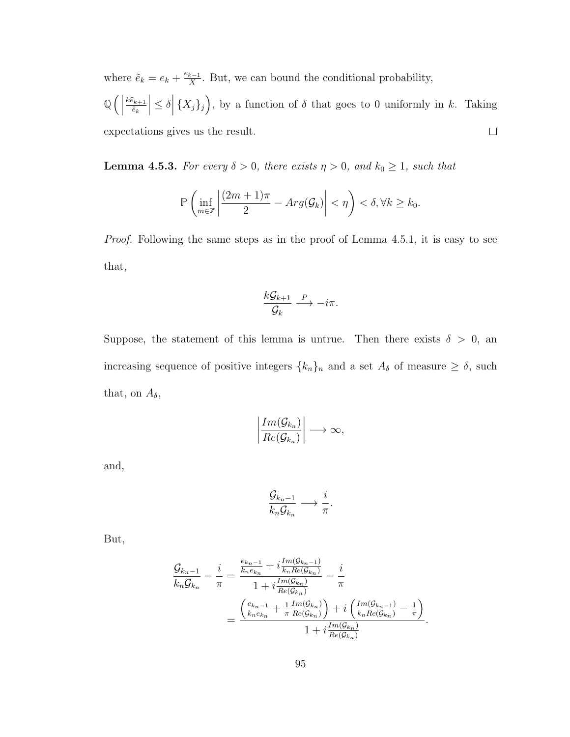where  $\tilde{e}_k = e_k + \frac{e_{k-1}}{X}$  $\frac{k-1}{X}$ . But, we can bound the conditional probability, **Q**  $\left| \leq \delta \right| \{X_j\}_j$ , by a function of  $\delta$  that goes to 0 uniformly in k. Taking  $k \tilde{e}_{k+1}$  $\v{e}_k$  $\Box$ expectations gives us the result.

**Lemma 4.5.3.** For every  $\delta > 0$ , there exists  $\eta > 0$ , and  $k_0 \ge 1$ , such that

$$
\mathbb{P}\left(\inf_{m\in\mathbb{Z}}\left|\frac{(2m+1)\pi}{2}-Arg(\mathcal{G}_k)\right|<\eta\right)<\delta,\forall k\geq k_0.
$$

Proof. Following the same steps as in the proof of Lemma 4.5.1, it is easy to see that,

$$
\frac{k\mathcal{G}_{k+1}}{\mathcal{G}_k} \xrightarrow{P} -i\pi.
$$

Suppose, the statement of this lemma is untrue. Then there exists  $\delta > 0$ , an increasing sequence of positive integers  $\{k_n\}_n$  and a set  $A_\delta$  of measure  $\geq \delta$ , such that, on  $A_{\delta}$ ,

$$
\left|\frac{Im(\mathcal{G}_{k_n})}{Re(\mathcal{G}_{k_n})}\right|\longrightarrow\infty,
$$

and,

$$
\frac{\mathcal{G}_{k_n-1}}{k_n\mathcal{G}_{k_n}} \longrightarrow \frac{i}{\pi}.
$$

But,

$$
\frac{\mathcal{G}_{k_n-1}}{k_n \mathcal{G}_{k_n}} - \frac{i}{\pi} = \frac{\frac{e_{k_n-1}}{k_n e_{k_n}} + i \frac{Im(\mathcal{G}_{k_n-1})}{k_n Re(\mathcal{G}_{k_n})}}{1 + i \frac{Im(\mathcal{G}_{k_n})}{Re(\mathcal{G}_{k_n})}} - \frac{i}{\pi}
$$

$$
= \frac{\left(\frac{e_{k_n-1}}{k_n e_{k_n}} + \frac{1}{\pi} \frac{Im(\mathcal{G}_{k_n})}{Re(\mathcal{G}_{k_n})}\right) + i \left(\frac{Im(\mathcal{G}_{k_n-1})}{k_n Re(\mathcal{G}_{k_n})} - \frac{1}{\pi}\right)}{1 + i \frac{Im(\mathcal{G}_{k_n})}{Re(\mathcal{G}_{k_n})}}.
$$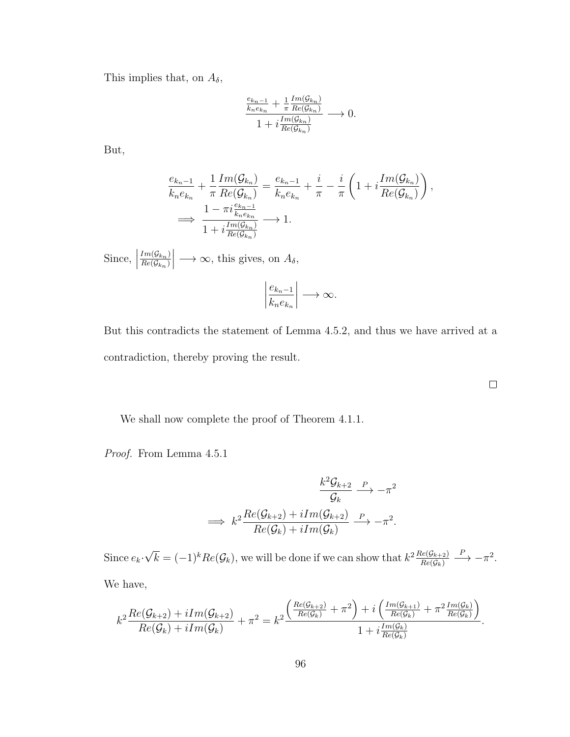This implies that, on  $A_{\delta}$ ,

$$
\frac{\frac{e_{k_n-1}}{k_n e_{k_n}} + \frac{1}{\pi} \frac{Im(\mathcal{G}_{k_n})}{Re(\mathcal{G}_{k_n})}}{1 + i \frac{Im(\mathcal{G}_{k_n})}{Re(\mathcal{G}_{k_n})}} \longrightarrow 0.
$$

But,

$$
\frac{e_{k_n-1}}{k_n e_{k_n}} + \frac{1}{\pi} \frac{Im(\mathcal{G}_{k_n})}{Re(\mathcal{G}_{k_n})} = \frac{e_{k_n-1}}{k_n e_{k_n}} + \frac{i}{\pi} - \frac{i}{\pi} \left( 1 + i \frac{Im(\mathcal{G}_{k_n})}{Re(\mathcal{G}_{k_n})} \right),
$$
  

$$
\implies \frac{1 - \pi i \frac{e_{k_n-1}}{k_n e_{k_n}}}{1 + i \frac{Im(\mathcal{G}_{k_n})}{Re(\mathcal{G}_{k_n})}} \longrightarrow 1.
$$

Since,  $\Big|$  $Im(\mathcal{G}_{k_n})$  $Re(\mathcal{G}_{k_n})$  $\begin{array}{c} \begin{array}{c} \begin{array}{c} \end{array} \\ \begin{array}{c} \end{array} \end{array} \end{array}$  $\longrightarrow \infty$ , this gives, on  $A_{\delta}$ ,

$$
\left|\frac{e_{k_n-1}}{k_n e_{k_n}}\right| \longrightarrow \infty.
$$

But this contradicts the statement of Lemma 4.5.2, and thus we have arrived at a contradiction, thereby proving the result.

We shall now complete the proof of Theorem 4.1.1.

Proof. From Lemma 4.5.1

$$
\frac{k^2 \mathcal{G}_{k+2}}{\mathcal{G}_k} \xrightarrow{P} -\pi^2
$$
  

$$
\implies k^2 \frac{Re(\mathcal{G}_{k+2}) + iIm(\mathcal{G}_{k+2})}{Re(\mathcal{G}_k) + iIm(\mathcal{G}_k)} \xrightarrow{P} -\pi^2.
$$

Since  $e_k$ . √  $\overline{k} = (-1)^k Re(\mathcal{G}_k)$ , we will be done if we can show that  $k^2 \frac{Re(\mathcal{G}_{k+2})}{Re(\mathcal{G}_{k})}$  $Re(\mathcal{G}_k)$  $\stackrel{P}{\longrightarrow} -\pi^2$ . We have,

$$
k^{2}\frac{Re(\mathcal{G}_{k+2})+iIm(\mathcal{G}_{k+2})}{Re(\mathcal{G}_{k})+iIm(\mathcal{G}_{k})}+\pi^{2}=k^{2}\frac{\left(\frac{Re(\mathcal{G}_{k+2})}{Re(\mathcal{G}_{k})}+\pi^{2}\right)+i\left(\frac{Im(\mathcal{G}_{k+1})}{Re(\mathcal{G}_{k})}+\pi^{2}\frac{Im(\mathcal{G}_{k})}{Re(\mathcal{G}_{k})}\right)}{1+i\frac{Im(\mathcal{G}_{k})}{Re(\mathcal{G}_{k})}}.
$$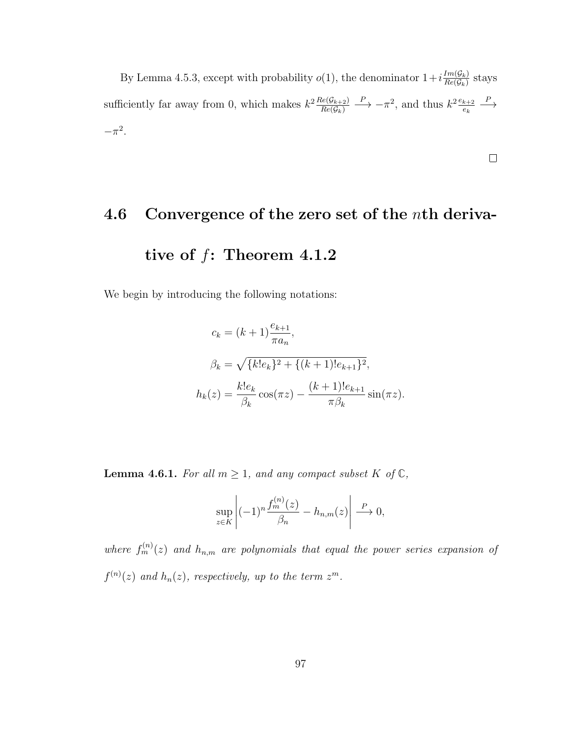By Lemma 4.5.3, except with probability  $o(1)$ , the denominator  $1+i\frac{Im(G_k)}{Re(G_k)}$  $\frac{Im(\mathcal{G}_k)}{Re(\mathcal{G}_k)}$  stays sufficiently far away from 0, which makes  $k^2 \frac{Re(G_{k+2})}{Re(G_k)}$  $Re(\mathcal{G}_k)$  $\stackrel{P}{\longrightarrow} -\pi^2$ , and thus  $k^2 \frac{e_{k+2}}{e_k}$ ek  $\xrightarrow{P}$  $-\pi^2$ .

 $\Box$ 

# 4.6 Convergence of the zero set of the nth derivative of  $f$ : Theorem 4.1.2

We begin by introducing the following notations:

$$
c_k = (k+1)\frac{e_{k+1}}{\pi a_n},
$$
  
\n
$$
\beta_k = \sqrt{\{k!e_k\}^2 + \{(k+1)!e_{k+1}\}^2},
$$
  
\n
$$
h_k(z) = \frac{k!e_k}{\beta_k}\cos(\pi z) - \frac{(k+1)!e_{k+1}}{\pi \beta_k}\sin(\pi z).
$$

**Lemma 4.6.1.** For all  $m \geq 1$ , and any compact subset K of  $\mathbb{C}$ ,

$$
\sup_{z \in K} \left| (-1)^n \frac{f_m^{(n)}(z)}{\beta_n} - h_{n,m}(z) \right| \stackrel{P}{\longrightarrow} 0,
$$

where  $f_m^{(n)}(z)$  and  $h_{n,m}$  are polynomials that equal the power series expansion of  $f^{(n)}(z)$  and  $h_n(z)$ , respectively, up to the term  $z^m$ .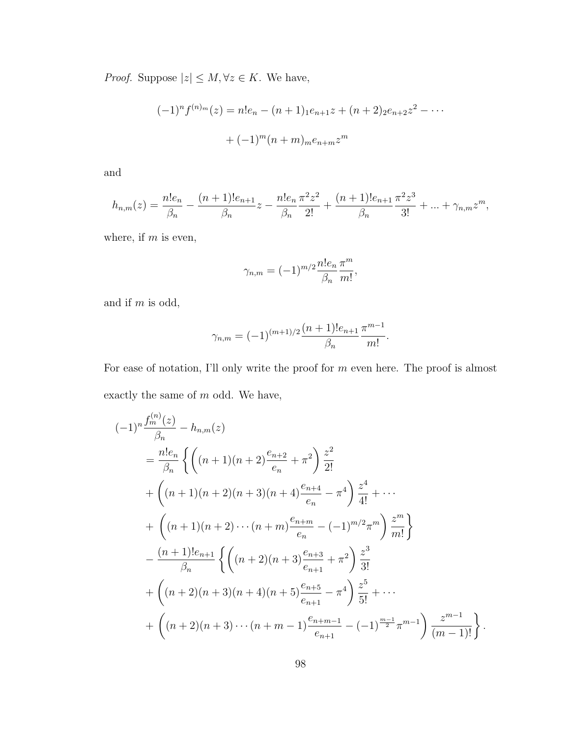*Proof.* Suppose  $|z| \le M$ ,  $\forall z \in K$ . We have,

$$
(-1)^n f^{(n)_m}(z) = n!e_n - (n+1)_1 e_{n+1} z + (n+2)_2 e_{n+2} z^2 - \cdots
$$

$$
+ (-1)^m (n+m)_{m} e_{n+m} z^m
$$

and

$$
h_{n,m}(z) = \frac{n!e_n}{\beta_n} - \frac{(n+1)!e_{n+1}}{\beta_n}z - \frac{n!e_n}{\beta_n}\frac{\pi^2 z^2}{2!} + \frac{(n+1)!e_{n+1}}{\beta_n}\frac{\pi^2 z^3}{3!} + \dots + \gamma_{n,m}z^m,
$$

where, if  $m$  is even,

$$
\gamma_{n,m} = (-1)^{m/2} \frac{n! e_n}{\beta_n} \frac{\pi^m}{m!},
$$

and if m is odd,

$$
\gamma_{n,m} = (-1)^{(m+1)/2} \frac{(n+1)! e_{n+1}}{\beta_n} \frac{\pi^{m-1}}{m!}.
$$

For ease of notation, I'll only write the proof for m even here. The proof is almost exactly the same of m odd. We have,

$$
(-1)^{n} \frac{f_{m}^{(n)}(z)}{\beta_{n}} - h_{n,m}(z)
$$
  
=  $\frac{n!e_{n}}{\beta_{n}} \left\{ \left( (n+1)(n+2) \frac{e_{n+2}}{e_{n}} + \pi^{2} \right) \frac{z^{2}}{2!} + \left( (n+1)(n+2)(n+3)(n+4) \frac{e_{n+4}}{e_{n}} - \pi^{4} \right) \frac{z^{4}}{4!} + \cdots + \left( (n+1)(n+2) \cdots (n+m) \frac{e_{n+m}}{e_{n}} - (-1)^{m/2} \pi^{m} \right) \frac{z^{m}}{m!} \right\}$   
 $\left. - \frac{(n+1)!e_{n+1}}{\beta_{n}} \left\{ \left( (n+2)(n+3) \frac{e_{n+3}}{e_{n+1}} + \pi^{2} \right) \frac{z^{3}}{3!} + \left( (n+2)(n+3)(n+4)(n+5) \frac{e_{n+5}}{e_{n+1}} - \pi^{4} \right) \frac{z^{5}}{5!} + \cdots + \left( (n+2)(n+3) \cdots (n+m-1) \frac{e_{n+m-1}}{e_{n+1}} - (-1)^{\frac{m-1}{2}} \pi^{m-1} \right) \frac{z^{m-1}}{(m-1)!} \right\}.$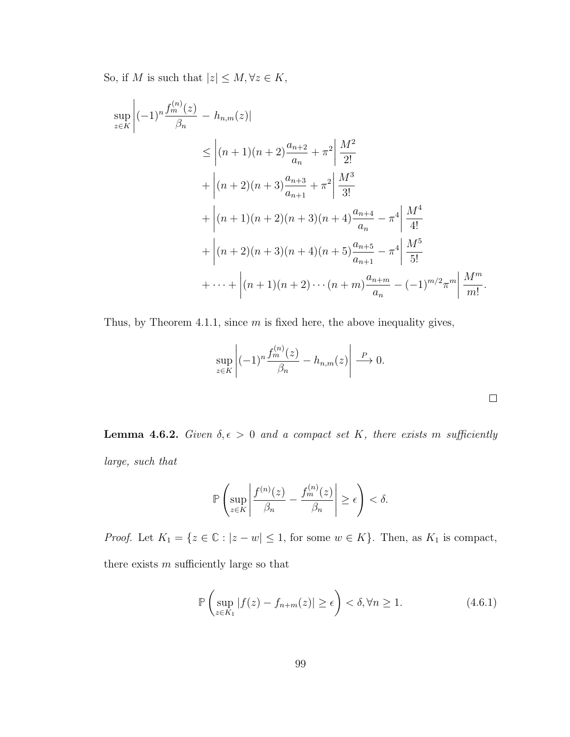So, if  $M$  is such that  $|z|\leq M, \forall z\in K,$ 

$$
\sup_{z \in K} \left| (-1)^n \frac{f_m^{(n)}(z)}{\beta_n} - h_{n,m}(z) \right|
$$
\n
$$
\leq \left| (n+1)(n+2) \frac{a_{n+2}}{a_n} + \pi^2 \right| \frac{M^2}{2!} + \left| (n+2)(n+3) \frac{a_{n+3}}{a_{n+1}} + \pi^2 \right| \frac{M^3}{3!} + \left| (n+1)(n+2)(n+3)(n+4) \frac{a_{n+4}}{a_n} - \pi^4 \right| \frac{M^4}{4!} + \left| (n+2)(n+3)(n+4)(n+5) \frac{a_{n+5}}{a_{n+1}} - \pi^4 \right| \frac{M^5}{5!} + \dots + \left| (n+1)(n+2) \cdots (n+m) \frac{a_{n+m}}{a_n} - (-1)^{m/2} \pi^m \right| \frac{M^m}{m!}.
$$

Thus, by Theorem 4.1.1, since  $m$  is fixed here, the above inequality gives,

$$
\sup_{z \in K} \left| (-1)^n \frac{f_m^{(n)}(z)}{\beta_n} - h_{n,m}(z) \right| \stackrel{P}{\longrightarrow} 0.
$$

**Lemma 4.6.2.** Given  $\delta, \epsilon > 0$  and a compact set K, there exists m sufficiently large, such that

$$
\mathbb{P}\left(\sup_{z\in K}\left|\frac{f^{(n)}(z)}{\beta_n}-\frac{f_m^{(n)}(z)}{\beta_n}\right|\geq \epsilon\right)<\delta.
$$

*Proof.* Let  $K_1 = \{z \in \mathbb{C} : |z - w| \leq 1$ , for some  $w \in K\}$ . Then, as  $K_1$  is compact, there exists  $m$  sufficiently large so that

$$
\mathbb{P}\left(\sup_{z\in K_1} |f(z) - f_{n+m}(z)| \ge \epsilon\right) < \delta, \forall n \ge 1.
$$
 (4.6.1)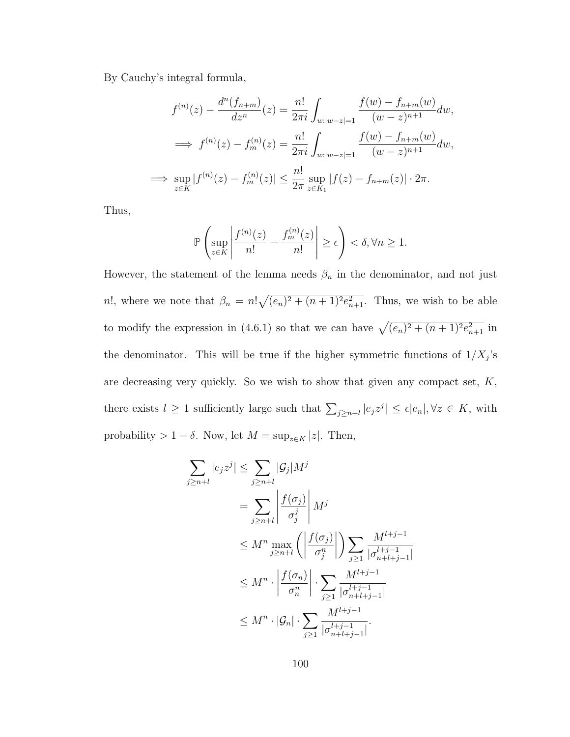By Cauchy's integral formula,

$$
f^{(n)}(z) - \frac{d^n(f_{n+m})}{dz^n}(z) = \frac{n!}{2\pi i} \int_{w:|w-z|=1} \frac{f(w) - f_{n+m}(w)}{(w-z)^{n+1}} dw,
$$
  
\n
$$
\implies f^{(n)}(z) - f_m^{(n)}(z) = \frac{n!}{2\pi i} \int_{w:|w-z|=1} \frac{f(w) - f_{n+m}(w)}{(w-z)^{n+1}} dw,
$$
  
\n
$$
\implies \sup_{z \in K} |f^{(n)}(z) - f_m^{(n)}(z)| \le \frac{n!}{2\pi} \sup_{z \in K_1} |f(z) - f_{n+m}(z)| \cdot 2\pi.
$$

Thus,

$$
\mathbb{P}\left(\sup_{z\in K}\left|\frac{f^{(n)}(z)}{n!}-\frac{f_m^{(n)}(z)}{n!}\right|\geq \epsilon\right)<\delta, \forall n\geq 1.
$$

However, the statement of the lemma needs  $\beta_n$  in the denominator, and not just n!, where we note that  $\beta_n = n! \sqrt{(e_n)^2 + (n+1)^2 e_{n+1}^2}$ . Thus, we wish to be able to modify the expression in (4.6.1) so that we can have  $\sqrt{(e_n)^2 + (n+1)^2 e_{n+1}^2}$  in the denominator. This will be true if the higher symmetric functions of  $1/X_j$ 's are decreasing very quickly. So we wish to show that given any compact set, K, there exists  $l \geq 1$  sufficiently large such that  $\sum_{j \geq n+l} |e_j z^j| \leq \epsilon |e_n|, \forall z \in K$ , with probability > 1 −  $\delta$ . Now, let  $M = \sup_{z \in K} |z|$ . Then,

$$
\sum_{j\geq n+l} |e_j z^j| \leq \sum_{j\geq n+l} |\mathcal{G}_j| M^j
$$
\n
$$
= \sum_{j\geq n+l} \left| \frac{f(\sigma_j)}{\sigma_j^j} \right| M^j
$$
\n
$$
\leq M^n \max_{j\geq n+l} \left( \left| \frac{f(\sigma_j)}{\sigma_j^n} \right| \right) \sum_{j\geq 1} \frac{M^{l+j-1}}{|\sigma_{n+l+j-1}^{l+j-1}|}
$$
\n
$$
\leq M^n \cdot \left| \frac{f(\sigma_n)}{\sigma_n^n} \right| \cdot \sum_{j\geq 1} \frac{M^{l+j-1}}{|\sigma_{n+l+j-1}^{l+j-1}|}
$$
\n
$$
\leq M^n \cdot |\mathcal{G}_n| \cdot \sum_{j\geq 1} \frac{M^{l+j-1}}{|\sigma_{n+l+j-1}^{l+j-1}|}.
$$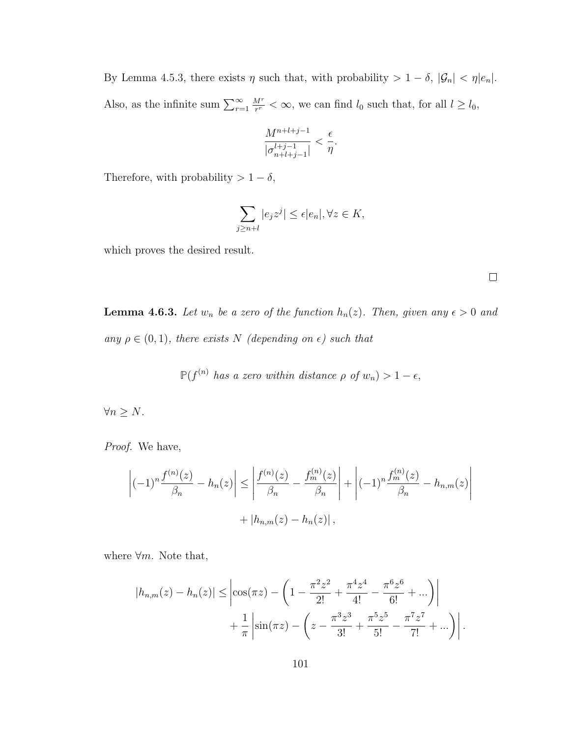By Lemma 4.5.3, there exists  $\eta$  such that, with probability  $> 1 - \delta$ ,  $|\mathcal{G}_n| < \eta |e_n|$ . Also, as the infinite sum  $\sum_{r=1}^{\infty}$  $M^r$  $\frac{M^r}{r^r} < \infty$ , we can find  $l_0$  such that, for all  $l \geq l_0$ ,

$$
\frac{M^{n+l+j-1}}{|\sigma_{n+l+j-1}^{l+j-1}|} < \frac{\epsilon}{\eta}.
$$

Therefore, with probability >  $1 - \delta$ ,

$$
\sum_{j\geq n+l}|e_jz^j|\leq \epsilon|e_n|, \forall z\in K,
$$

which proves the desired result.

**Lemma 4.6.3.** Let  $w_n$  be a zero of the function  $h_n(z)$ . Then, given any  $\epsilon > 0$  and any  $\rho \in (0,1)$ , there exists N (depending on  $\epsilon$ ) such that

$$
\mathbb{P}(f^{(n)} \text{ has a zero within distance } \rho \text{ of } w_n) > 1 - \epsilon,
$$

 $\forall n\geq N.$ 

Proof. We have,

$$
\left| (-1)^n \frac{f^{(n)}(z)}{\beta_n} - h_n(z) \right| \le \left| \frac{f^{(n)}(z)}{\beta_n} - \frac{f_m^{(n)}(z)}{\beta_n} \right| + \left| (-1)^n \frac{f_m^{(n)}(z)}{\beta_n} - h_{n,m}(z) \right| + |h_{n,m}(z) - h_n(z)|,
$$

where  $\forall m$ . Note that,

$$
|h_{n,m}(z) - h_n(z)| \le \left| \cos(\pi z) - \left( 1 - \frac{\pi^2 z^2}{2!} + \frac{\pi^4 z^4}{4!} - \frac{\pi^6 z^6}{6!} + \dots \right) \right| + \frac{1}{\pi} \left| \sin(\pi z) - \left( z - \frac{\pi^3 z^3}{3!} + \frac{\pi^5 z^5}{5!} - \frac{\pi^7 z^7}{7!} + \dots \right) \right|.
$$

 $\Box$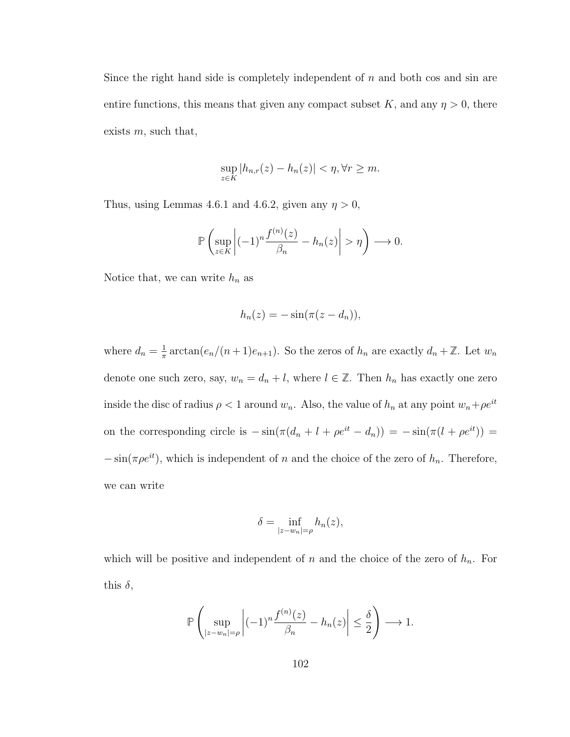Since the right hand side is completely independent of  $n$  and both cos and sin are entire functions, this means that given any compact subset K, and any  $\eta > 0$ , there exists  $m$ , such that,

$$
\sup_{z \in K} |h_{n,r}(z) - h_n(z)| < \eta, \forall r \ge m.
$$

Thus, using Lemmas 4.6.1 and 4.6.2, given any  $\eta > 0$ ,

$$
\mathbb{P}\left(\sup_{z\in K}\left|(-1)^n\frac{f^{(n)}(z)}{\beta_n}-h_n(z)\right|>\eta\right)\longrightarrow 0.
$$

Notice that, we can write  $h_n$  as

$$
h_n(z) = -\sin(\pi(z - d_n)),
$$

where  $d_n = \frac{1}{\pi}$  $\frac{1}{\pi} \arctan(e_n/(n+1)e_{n+1})$ . So the zeros of  $h_n$  are exactly  $d_n + \mathbb{Z}$ . Let  $w_n$ denote one such zero, say,  $w_n = d_n + l$ , where  $l \in \mathbb{Z}$ . Then  $h_n$  has exactly one zero inside the disc of radius  $\rho < 1$  around  $w_n$ . Also, the value of  $h_n$  at any point  $w_n + \rho e^{it}$ on the corresponding circle is  $-\sin(\pi(d_n + l + \rho e^{it} - d_n)) = -\sin(\pi(l + \rho e^{it}))$  $-\sin(\pi \rho e^{it})$ , which is independent of n and the choice of the zero of  $h_n$ . Therefore, we can write

$$
\delta = \inf_{|z-w_n|=\rho} h_n(z),
$$

which will be positive and independent of  $n$  and the choice of the zero of  $h_n$ . For this  $\delta$ ,

$$
\mathbb{P}\left(\sup_{|z-w_n|=\rho} \left|(-1)^n \frac{f^{(n)}(z)}{\beta_n} - h_n(z)\right| \leq \frac{\delta}{2}\right) \longrightarrow 1.
$$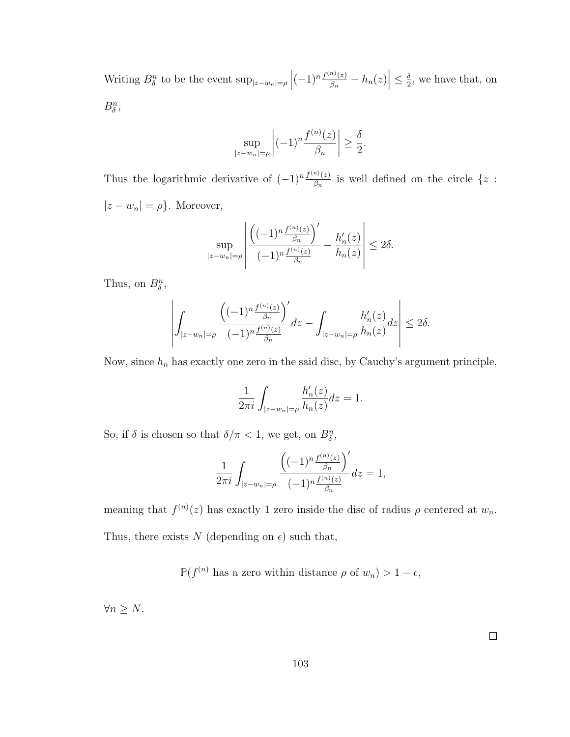Writing  $B_{\delta}^{n}$  to be the event  $\sup_{|z-w_n|=\rho} |(-1)^n \frac{f^{(n)}(z)}{\beta_n}$  $\left| \frac{h^{(n)}(z)}{\beta_n} - h_n(z) \right| \leq \frac{\delta}{2}$  $\frac{\delta}{2}$ , we have that, on  $B^n_\delta,$ 

$$
\sup_{|z-w_n|=\rho} \left| (-1)^n \frac{f^{(n)}(z)}{\beta_n} \right| \ge \frac{\delta}{2}.
$$

Thus the logarithmic derivative of  $(-1)^n \frac{f^{(n)}(z)}{a}$  $\frac{n}{\beta_n}$  is well defined on the circle  $\{z :$  $|z - w_n| = \rho$ . Moreover,

$$
\sup_{|z-w_n|=\rho} \left| \frac{\left((-1)^n \frac{f^{(n)}(z)}{\beta_n}\right)'}{(-1)^n \frac{f^{(n)}(z)}{\beta_n}} - \frac{h'_n(z)}{h_n(z)} \right| \le 2\delta.
$$

Thus, on  $B^n_\delta$ ,

$$
\left| \int_{|z-w_n| = \rho} \frac{\left((-1)^n \frac{f^{(n)}(z)}{\beta_n}\right)^{r}}{(-1)^n \frac{f^{(n)}(z)}{\beta_n}} dz - \int_{|z-w_n| = \rho} \frac{h'_n(z)}{h_n(z)} dz \right| \le 2\delta.
$$

Now, since  $h_n$  has exactly one zero in the said disc, by Cauchy's argument principle,

$$
\frac{1}{2\pi i} \int_{|z-w_n|=\rho} \frac{h'_n(z)}{h_n(z)} dz = 1.
$$

So, if  $\delta$  is chosen so that  $\delta/\pi < 1$ , we get, on  $B^n_{\delta}$ ,

$$
\frac{1}{2\pi i} \int_{|z-w_n|=\rho} \frac{\left((-1)^n \frac{f^{(n)}(z)}{\beta_n}\right)^{\prime}}{(-1)^n \frac{f^{(n)}(z)}{\beta_n}} dz = 1,
$$

meaning that  $f^{(n)}(z)$  has exactly 1 zero inside the disc of radius  $\rho$  centered at  $w_n$ . Thus, there exists N (depending on  $\epsilon$ ) such that,

$$
\mathbb{P}(f^{(n)} \text{ has a zero within distance } \rho \text{ of } w_n) > 1 - \epsilon,
$$

 $\forall n \geq N.$ 

 $\Box$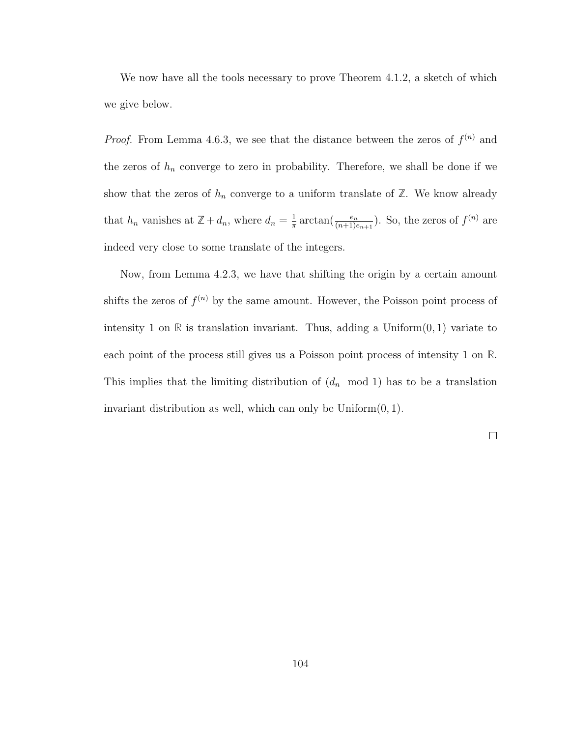We now have all the tools necessary to prove Theorem 4.1.2, a sketch of which we give below.

*Proof.* From Lemma 4.6.3, we see that the distance between the zeros of  $f^{(n)}$  and the zeros of  $h_n$  converge to zero in probability. Therefore, we shall be done if we show that the zeros of  $h_n$  converge to a uniform translate of  $\mathbb{Z}$ . We know already that  $h_n$  vanishes at  $\mathbb{Z} + d_n$ , where  $d_n = \frac{1}{\pi}$  $\frac{1}{\pi} \arctan(\frac{e_n}{(n+1)e_{n+1}})$ . So, the zeros of  $f^{(n)}$  are indeed very close to some translate of the integers.

Now, from Lemma 4.2.3, we have that shifting the origin by a certain amount shifts the zeros of  $f^{(n)}$  by the same amount. However, the Poisson point process of intensity 1 on  $\mathbb R$  is translation invariant. Thus, adding a Uniform $(0, 1)$  variate to each point of the process still gives us a Poisson point process of intensity 1 on **R**. This implies that the limiting distribution of  $(d_n \mod 1)$  has to be a translation invariant distribution as well, which can only be  $Uniform(0, 1)$ .

 $\Box$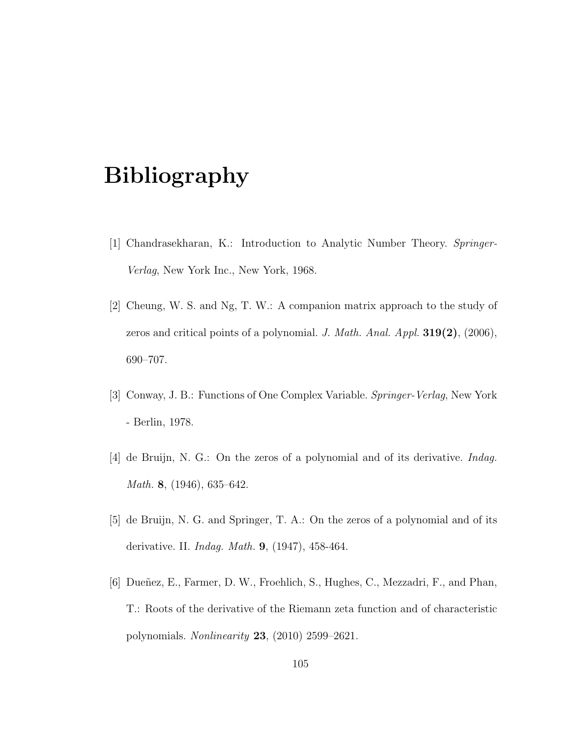## Bibliography

- [1] Chandrasekharan, K.: Introduction to Analytic Number Theory. Springer-Verlag, New York Inc., New York, 1968.
- [2] Cheung, W. S. and Ng, T. W.: A companion matrix approach to the study of zeros and critical points of a polynomial. J. Math. Anal. Appl.  $319(2)$ , (2006), 690–707.
- [3] Conway, J. B.: Functions of One Complex Variable. Springer-Verlag, New York - Berlin, 1978.
- [4] de Bruijn, N. G.: On the zeros of a polynomial and of its derivative. Indag. Math. 8, (1946), 635–642.
- [5] de Bruijn, N. G. and Springer, T. A.: On the zeros of a polynomial and of its derivative. II. Indag. Math. 9, (1947), 458-464.
- [6] Dueñez, E., Farmer, D. W., Froehlich, S., Hughes, C., Mezzadri, F., and Phan, T.: Roots of the derivative of the Riemann zeta function and of characteristic polynomials. Nonlinearity 23, (2010) 2599–2621.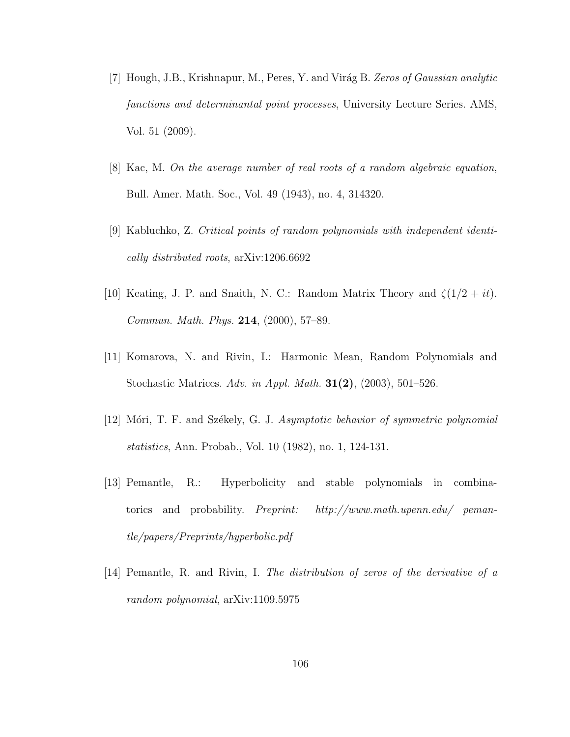- [7] Hough, J.B., Krishnapur, M., Peres, Y. and Virág B. Zeros of Gaussian analytic functions and determinantal point processes, University Lecture Series. AMS, Vol. 51 (2009).
- [8] Kac, M. On the average number of real roots of a random algebraic equation, Bull. Amer. Math. Soc., Vol. 49 (1943), no. 4, 314320.
- [9] Kabluchko, Z. Critical points of random polynomials with independent identically distributed roots, arXiv:1206.6692
- [10] Keating, J. P. and Snaith, N. C.: Random Matrix Theory and  $\zeta(1/2 + it)$ . Commun. Math. Phys. 214, (2000), 57–89.
- [11] Komarova, N. and Rivin, I.: Harmonic Mean, Random Polynomials and Stochastic Matrices. Adv. in Appl. Math. 31(2), (2003), 501–526.
- [12] Móri, T. F. and Székely, G. J. Asymptotic behavior of symmetric polynomial statistics, Ann. Probab., Vol. 10 (1982), no. 1, 124-131.
- [13] Pemantle, R.: Hyperbolicity and stable polynomials in combinatorics and probability. Preprint: http://www.math.upenn.edu/ pemantle/papers/Preprints/hyperbolic.pdf
- [14] Pemantle, R. and Rivin, I. The distribution of zeros of the derivative of a random polynomial, arXiv:1109.5975